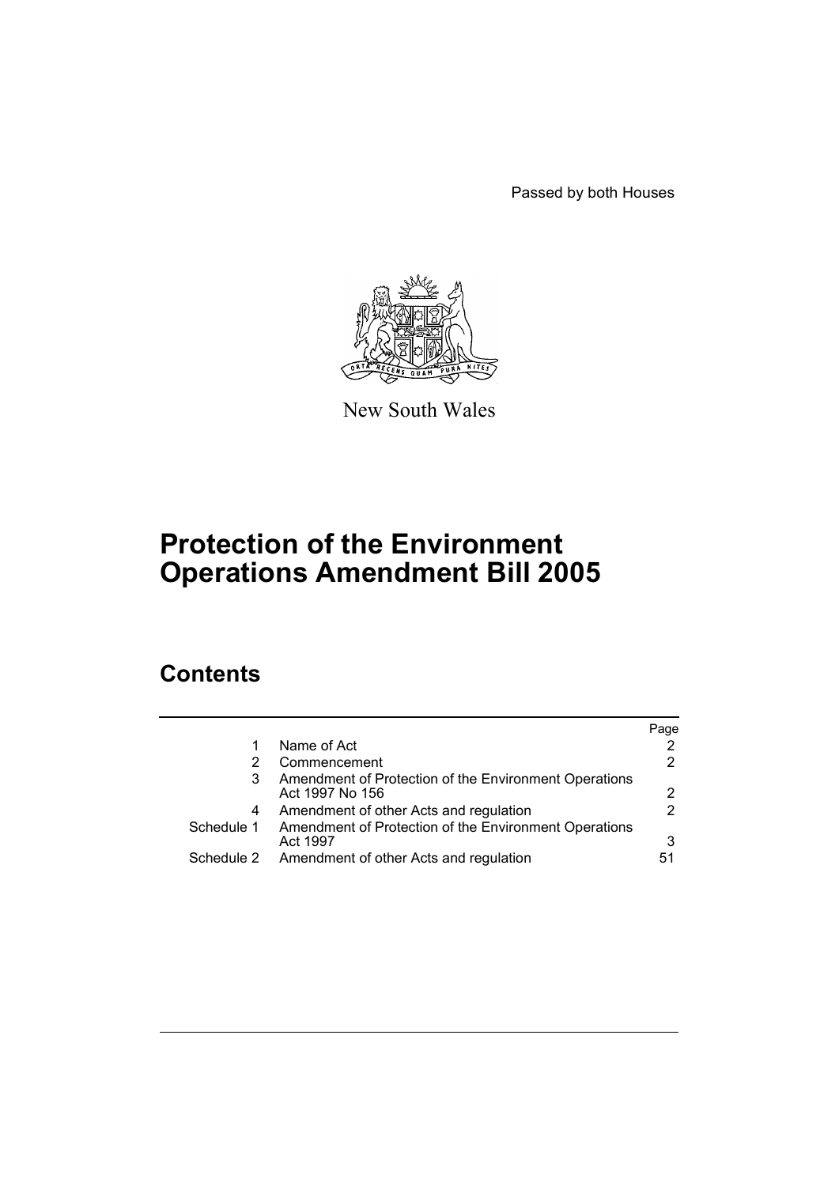Passed by both Houses



New South Wales

# **Protection of the Environment Operations Amendment Bill 2005**

# **Contents**

|            |                                                                          | Page |
|------------|--------------------------------------------------------------------------|------|
|            | Name of Act                                                              |      |
|            | Commencement                                                             |      |
| 3          | Amendment of Protection of the Environment Operations<br>Act 1997 No 156 |      |
| 4          | Amendment of other Acts and regulation                                   |      |
| Schedule 1 | Amendment of Protection of the Environment Operations<br>Act 1997        | 3    |
| Schedule 2 | Amendment of other Acts and regulation                                   | 51   |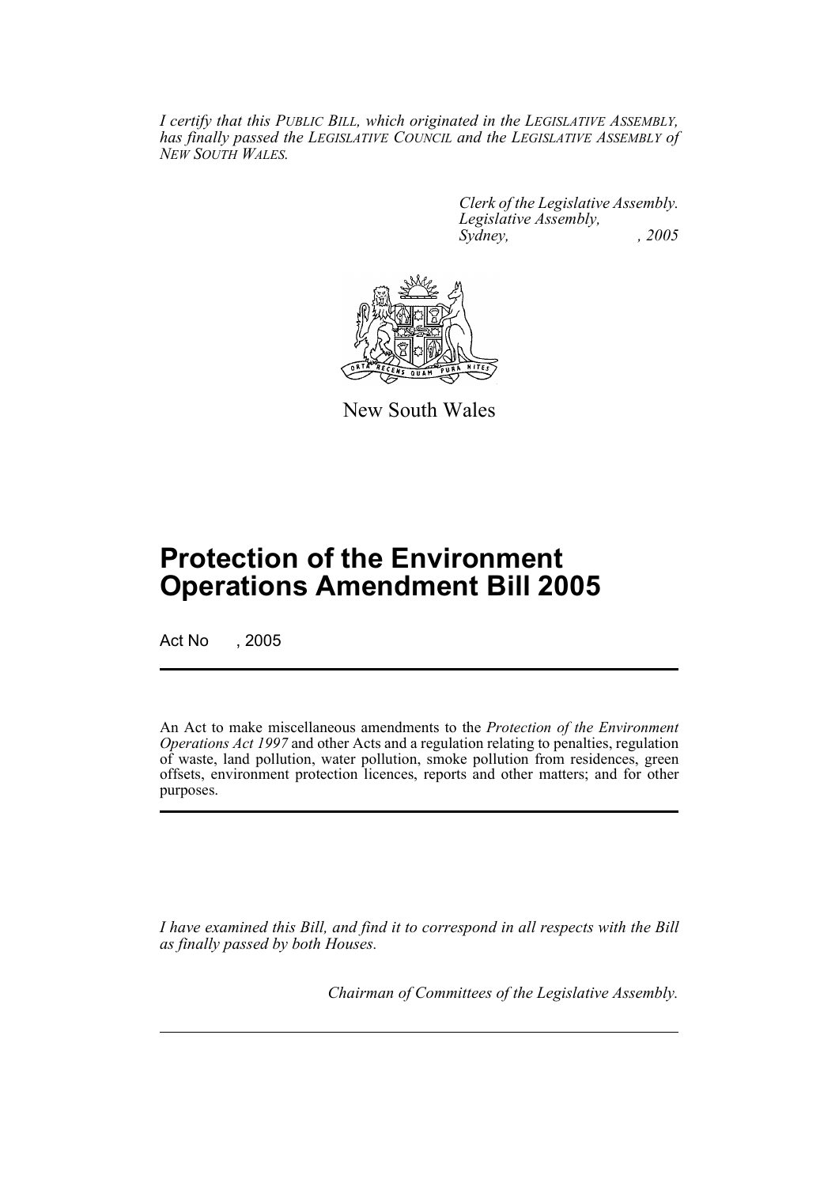*I certify that this PUBLIC BILL, which originated in the LEGISLATIVE ASSEMBLY, has finally passed the LEGISLATIVE COUNCIL and the LEGISLATIVE ASSEMBLY of NEW SOUTH WALES.*

> *Clerk of the Legislative Assembly. Legislative Assembly, Sydney, , 2005*



New South Wales

# **Protection of the Environment Operations Amendment Bill 2005**

Act No , 2005

An Act to make miscellaneous amendments to the *Protection of the Environment Operations Act 1997* and other Acts and a regulation relating to penalties, regulation of waste, land pollution, water pollution, smoke pollution from residences, green offsets, environment protection licences, reports and other matters; and for other purposes.

*I have examined this Bill, and find it to correspond in all respects with the Bill as finally passed by both Houses.*

*Chairman of Committees of the Legislative Assembly.*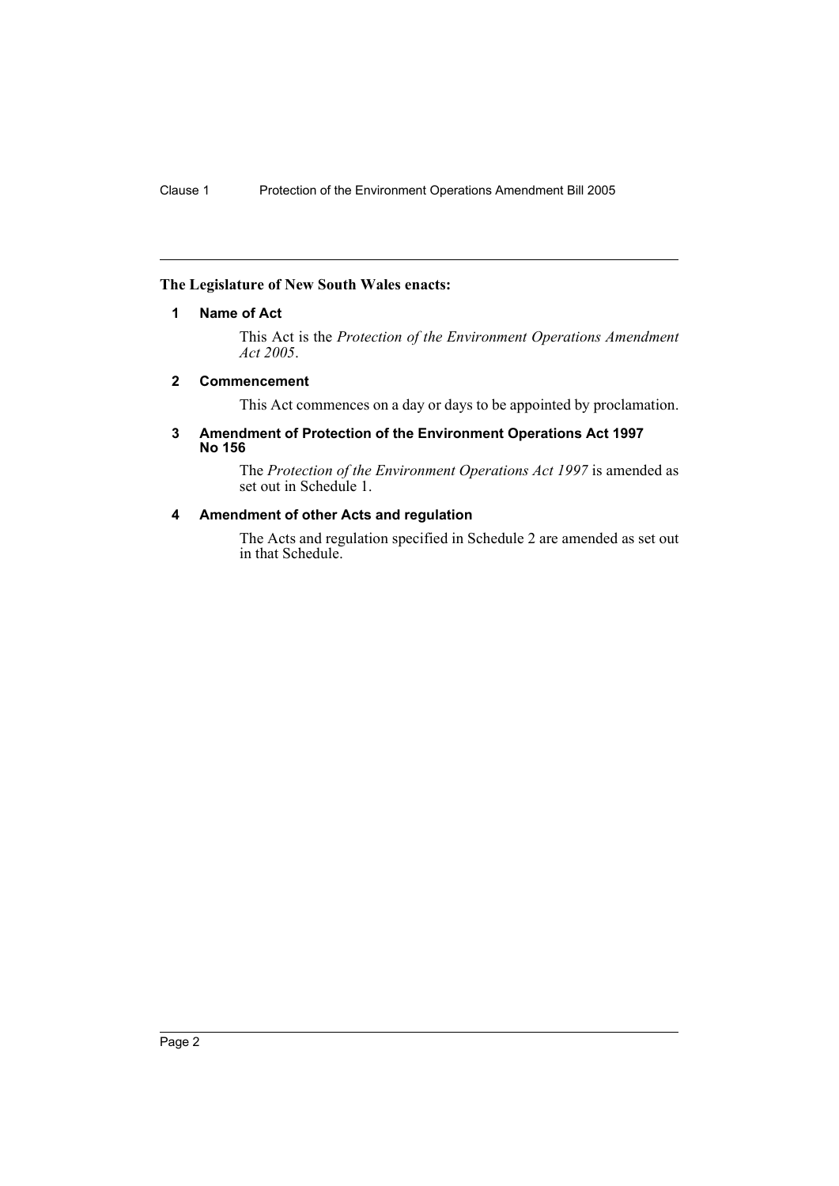## **The Legislature of New South Wales enacts:**

## **1 Name of Act**

This Act is the *Protection of the Environment Operations Amendment Act 2005*.

## **2 Commencement**

This Act commences on a day or days to be appointed by proclamation.

#### **3 Amendment of Protection of the Environment Operations Act 1997 No 156**

The *Protection of the Environment Operations Act 1997* is amended as set out in Schedule 1.

## **4 Amendment of other Acts and regulation**

The Acts and regulation specified in Schedule 2 are amended as set out in that Schedule.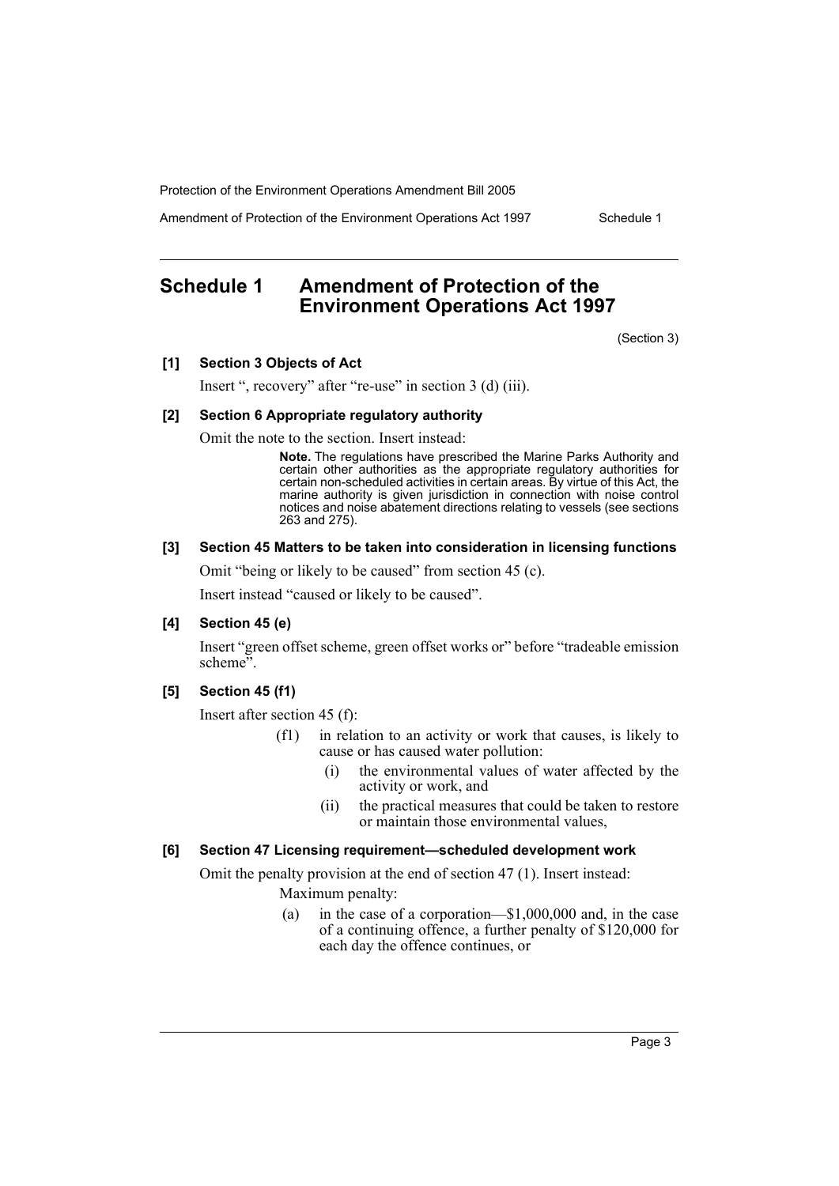Amendment of Protection of the Environment Operations Act 1997 Schedule 1

## **Schedule 1 Amendment of Protection of the Environment Operations Act 1997**

(Section 3)

#### **[1] Section 3 Objects of Act**

Insert ", recovery" after "re-use" in section 3 (d) (iii).

#### **[2] Section 6 Appropriate regulatory authority**

Omit the note to the section. Insert instead:

**Note.** The regulations have prescribed the Marine Parks Authority and certain other authorities as the appropriate regulatory authorities for certain non-scheduled activities in certain areas. By virtue of this Act, the marine authority is given jurisdiction in connection with noise control notices and noise abatement directions relating to vessels (see sections 263 and 275).

## **[3] Section 45 Matters to be taken into consideration in licensing functions**

Omit "being or likely to be caused" from section 45 (c).

Insert instead "caused or likely to be caused".

## **[4] Section 45 (e)**

Insert "green offset scheme, green offset works or" before "tradeable emission scheme".

## **[5] Section 45 (f1)**

Insert after section 45 (f):

- (f1) in relation to an activity or work that causes, is likely to cause or has caused water pollution:
	- (i) the environmental values of water affected by the activity or work, and
	- (ii) the practical measures that could be taken to restore or maintain those environmental values,

## **[6] Section 47 Licensing requirement—scheduled development work**

Omit the penalty provision at the end of section 47 (1). Insert instead: Maximum penalty:

> (a) in the case of a corporation—\$1,000,000 and, in the case of a continuing offence, a further penalty of \$120,000 for each day the offence continues, or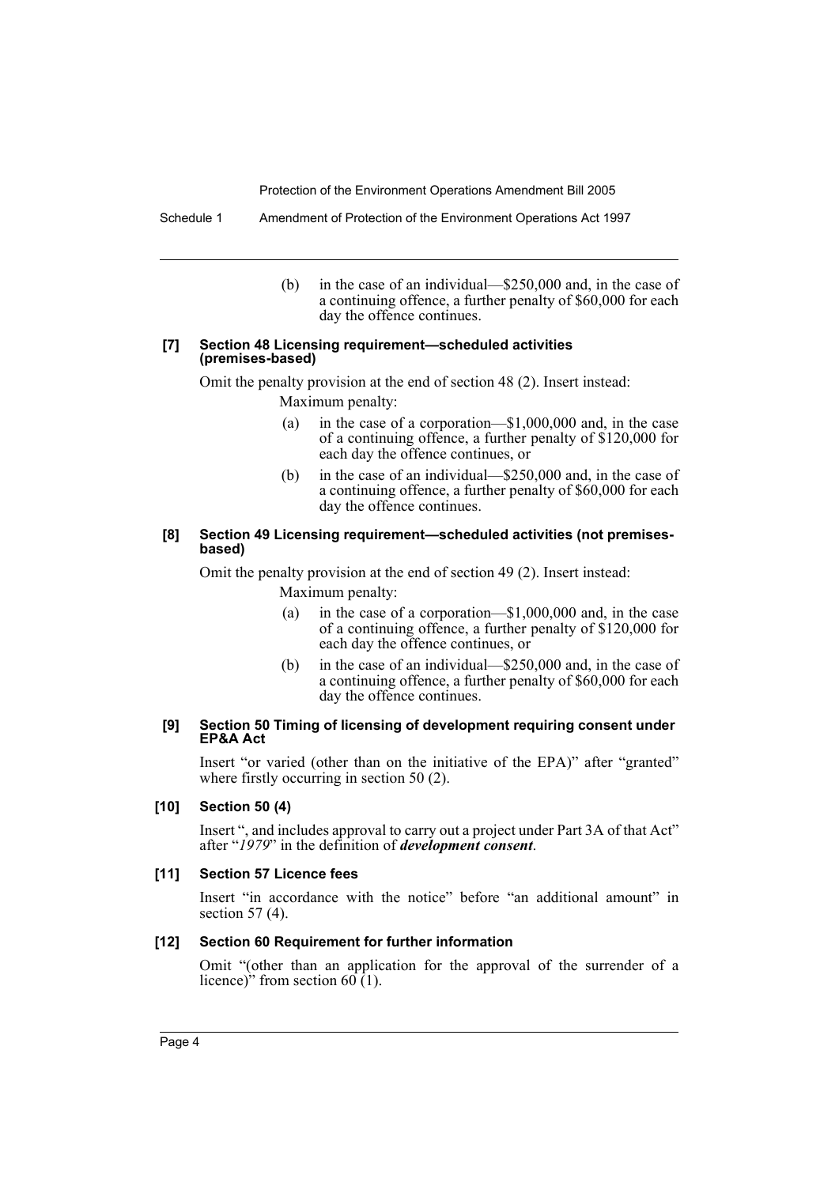Schedule 1 Amendment of Protection of the Environment Operations Act 1997

(b) in the case of an individual—\$250,000 and, in the case of a continuing offence, a further penalty of \$60,000 for each day the offence continues.

#### **[7] Section 48 Licensing requirement—scheduled activities (premises-based)**

Omit the penalty provision at the end of section 48 (2). Insert instead: Maximum penalty:

- (a) in the case of a corporation—\$1,000,000 and, in the case of a continuing offence, a further penalty of \$120,000 for each day the offence continues, or
- (b) in the case of an individual—\$250,000 and, in the case of a continuing offence, a further penalty of \$60,000 for each day the offence continues.

## **[8] Section 49 Licensing requirement—scheduled activities (not premisesbased)**

Omit the penalty provision at the end of section 49 (2). Insert instead: Maximum penalty:

- (a) in the case of a corporation—\$1,000,000 and, in the case of a continuing offence, a further penalty of \$120,000 for each day the offence continues, or
- (b) in the case of an individual—\$250,000 and, in the case of a continuing offence, a further penalty of \$60,000 for each day the offence continues.

## **[9] Section 50 Timing of licensing of development requiring consent under EP&A Act**

Insert "or varied (other than on the initiative of the EPA)" after "granted" where firstly occurring in section 50 (2).

## **[10] Section 50 (4)**

Insert ", and includes approval to carry out a project under Part 3A of that Act" after "*1979*" in the definition of *development consent*.

#### **[11] Section 57 Licence fees**

Insert "in accordance with the notice" before "an additional amount" in section 57 (4).

#### **[12] Section 60 Requirement for further information**

Omit "(other than an application for the approval of the surrender of a licence)" from section  $60(1)$ .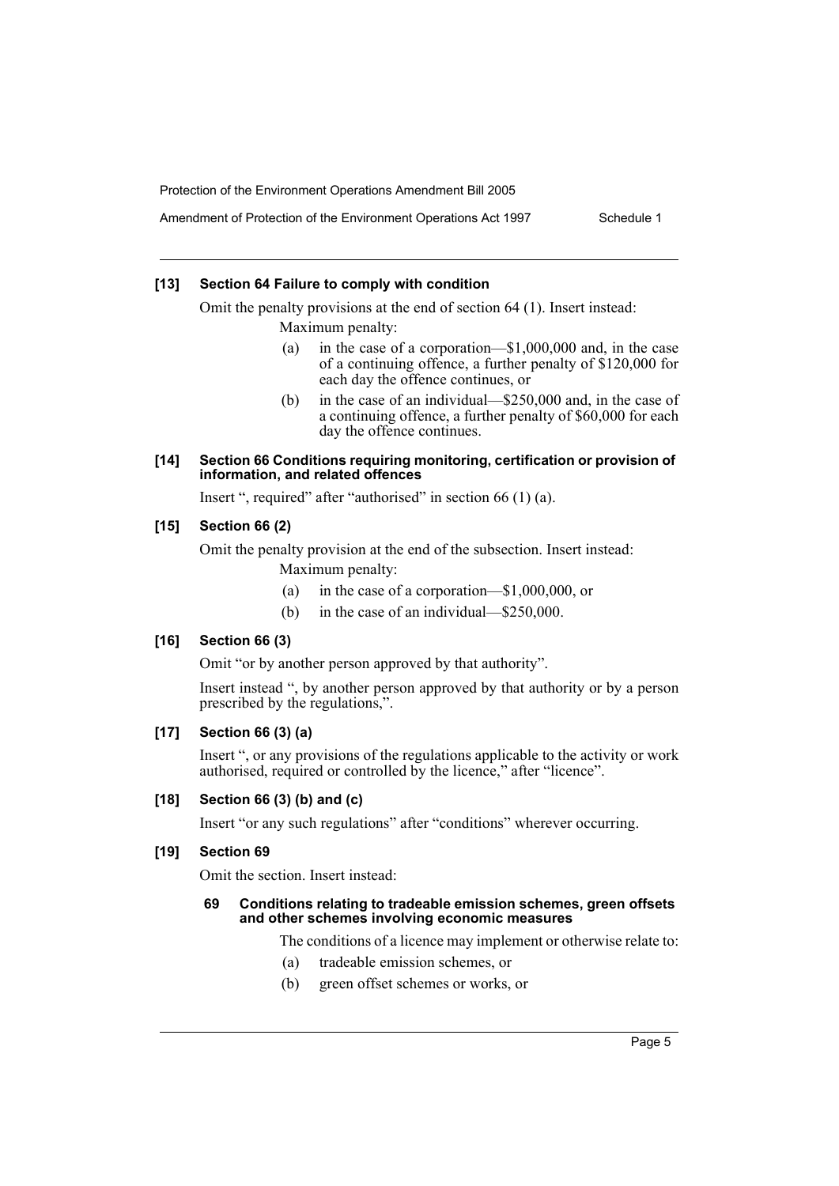Amendment of Protection of the Environment Operations Act 1997 Schedule 1

## **[13] Section 64 Failure to comply with condition**

Omit the penalty provisions at the end of section 64 (1). Insert instead: Maximum penalty:

- (a) in the case of a corporation—\$1,000,000 and, in the case of a continuing offence, a further penalty of \$120,000 for each day the offence continues, or
- (b) in the case of an individual—\$250,000 and, in the case of a continuing offence, a further penalty of \$60,000 for each day the offence continues.

## **[14] Section 66 Conditions requiring monitoring, certification or provision of information, and related offences**

Insert ", required" after "authorised" in section 66 (1) (a).

## **[15] Section 66 (2)**

Omit the penalty provision at the end of the subsection. Insert instead: Maximum penalty:

- (a) in the case of a corporation—\$1,000,000, or
- (b) in the case of an individual—\$250,000.

## **[16] Section 66 (3)**

Omit "or by another person approved by that authority".

Insert instead ", by another person approved by that authority or by a person prescribed by the regulations,".

## **[17] Section 66 (3) (a)**

Insert ", or any provisions of the regulations applicable to the activity or work authorised, required or controlled by the licence," after "licence".

## **[18] Section 66 (3) (b) and (c)**

Insert "or any such regulations" after "conditions" wherever occurring.

## **[19] Section 69**

Omit the section. Insert instead:

#### **69 Conditions relating to tradeable emission schemes, green offsets and other schemes involving economic measures**

The conditions of a licence may implement or otherwise relate to:

- (a) tradeable emission schemes, or
- (b) green offset schemes or works, or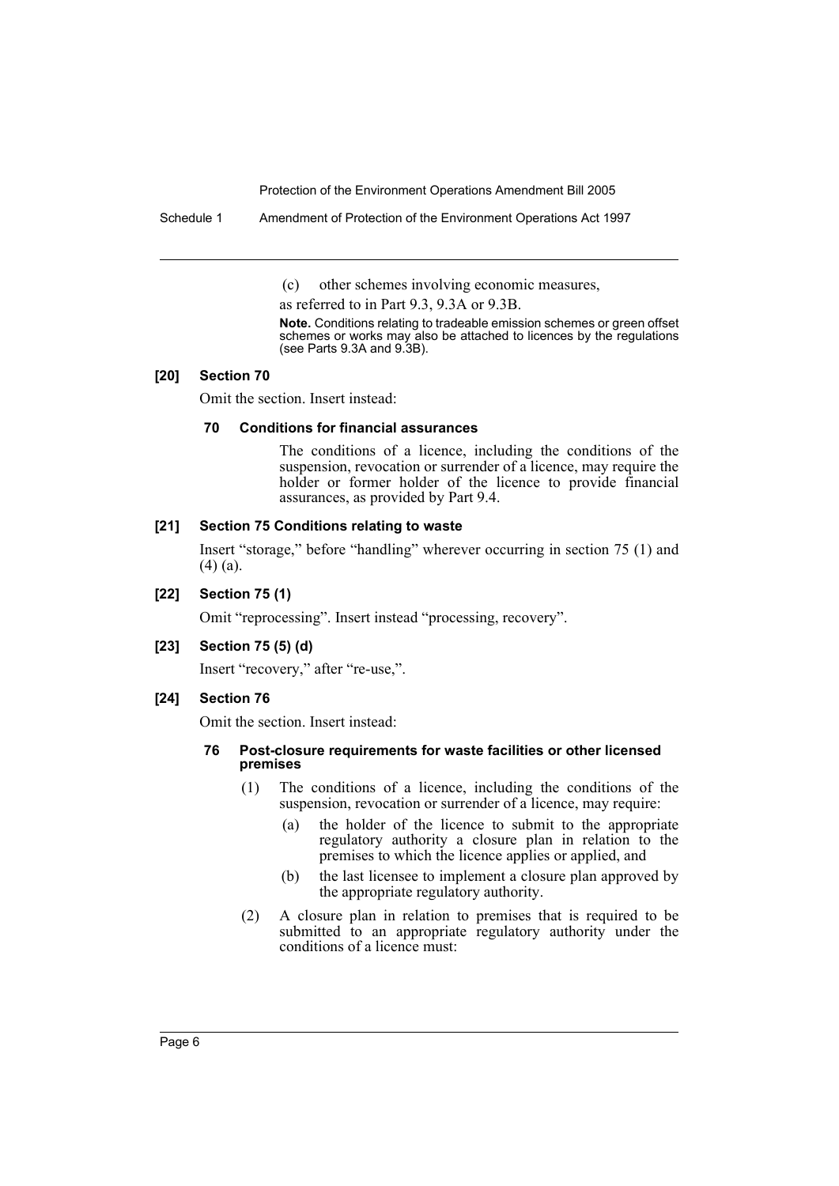Schedule 1 Amendment of Protection of the Environment Operations Act 1997

(c) other schemes involving economic measures,

as referred to in Part 9.3, 9.3A or 9.3B.

**Note.** Conditions relating to tradeable emission schemes or green offset schemes or works may also be attached to licences by the regulations (see Parts 9.3A and 9.3B).

#### **[20] Section 70**

Omit the section. Insert instead:

## **70 Conditions for financial assurances**

The conditions of a licence, including the conditions of the suspension, revocation or surrender of a licence, may require the holder or former holder of the licence to provide financial assurances, as provided by Part 9.4.

## **[21] Section 75 Conditions relating to waste**

Insert "storage," before "handling" wherever occurring in section 75 (1) and (4) (a).

## **[22] Section 75 (1)**

Omit "reprocessing". Insert instead "processing, recovery".

## **[23] Section 75 (5) (d)**

Insert "recovery," after "re-use,".

## **[24] Section 76**

Omit the section. Insert instead:

## **76 Post-closure requirements for waste facilities or other licensed premises**

- (1) The conditions of a licence, including the conditions of the suspension, revocation or surrender of a licence, may require:
	- (a) the holder of the licence to submit to the appropriate regulatory authority a closure plan in relation to the premises to which the licence applies or applied, and
	- (b) the last licensee to implement a closure plan approved by the appropriate regulatory authority.
- (2) A closure plan in relation to premises that is required to be submitted to an appropriate regulatory authority under the conditions of a licence must: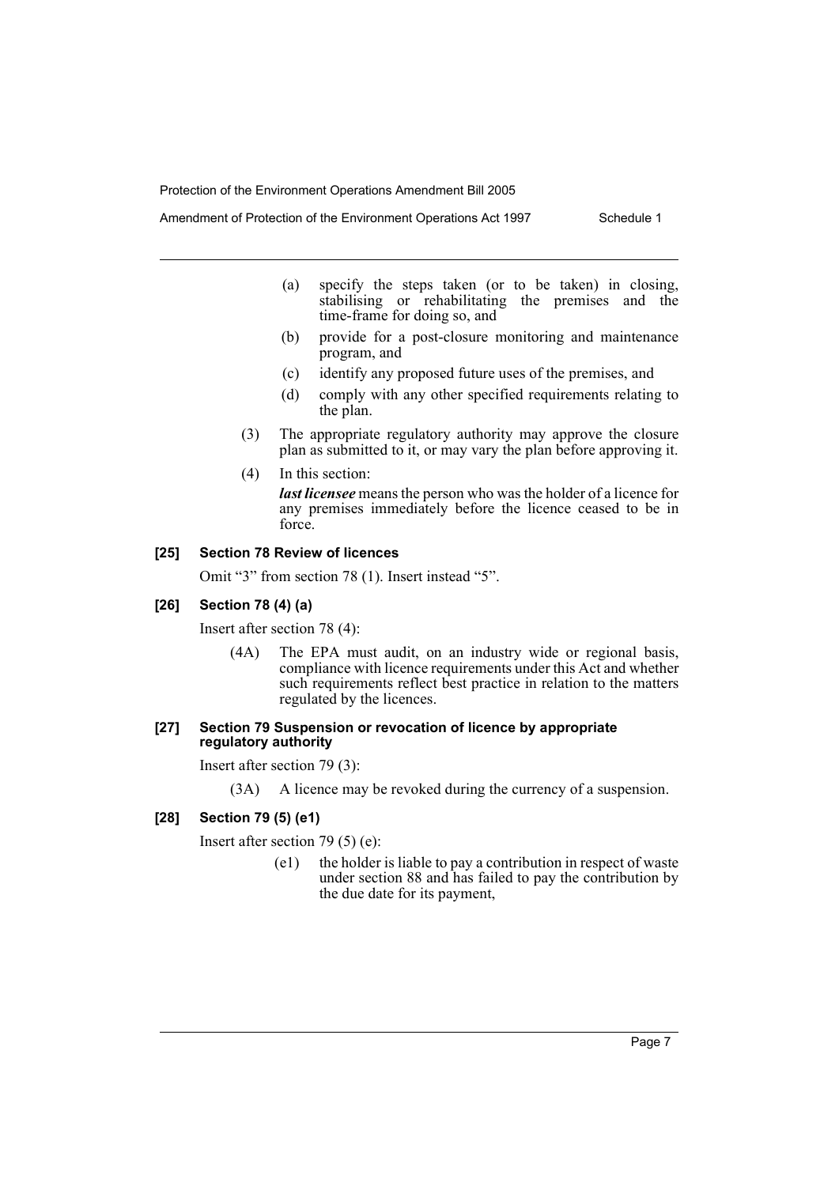Amendment of Protection of the Environment Operations Act 1997 Schedule 1

- (a) specify the steps taken (or to be taken) in closing, stabilising or rehabilitating the premises and the time-frame for doing so, and
- (b) provide for a post-closure monitoring and maintenance program, and
- (c) identify any proposed future uses of the premises, and
- (d) comply with any other specified requirements relating to the plan.
- (3) The appropriate regulatory authority may approve the closure plan as submitted to it, or may vary the plan before approving it.
- (4) In this section:

*last licensee* means the person who was the holder of a licence for any premises immediately before the licence ceased to be in force.

## **[25] Section 78 Review of licences**

Omit "3" from section 78 (1). Insert instead "5".

#### **[26] Section 78 (4) (a)**

Insert after section 78 (4):

(4A) The EPA must audit, on an industry wide or regional basis, compliance with licence requirements under this Act and whether such requirements reflect best practice in relation to the matters regulated by the licences.

#### **[27] Section 79 Suspension or revocation of licence by appropriate regulatory authority**

Insert after section 79 (3):

(3A) A licence may be revoked during the currency of a suspension.

#### **[28] Section 79 (5) (e1)**

Insert after section 79 (5) (e):

(e1) the holder is liable to pay a contribution in respect of waste under section 88 and has failed to pay the contribution by the due date for its payment,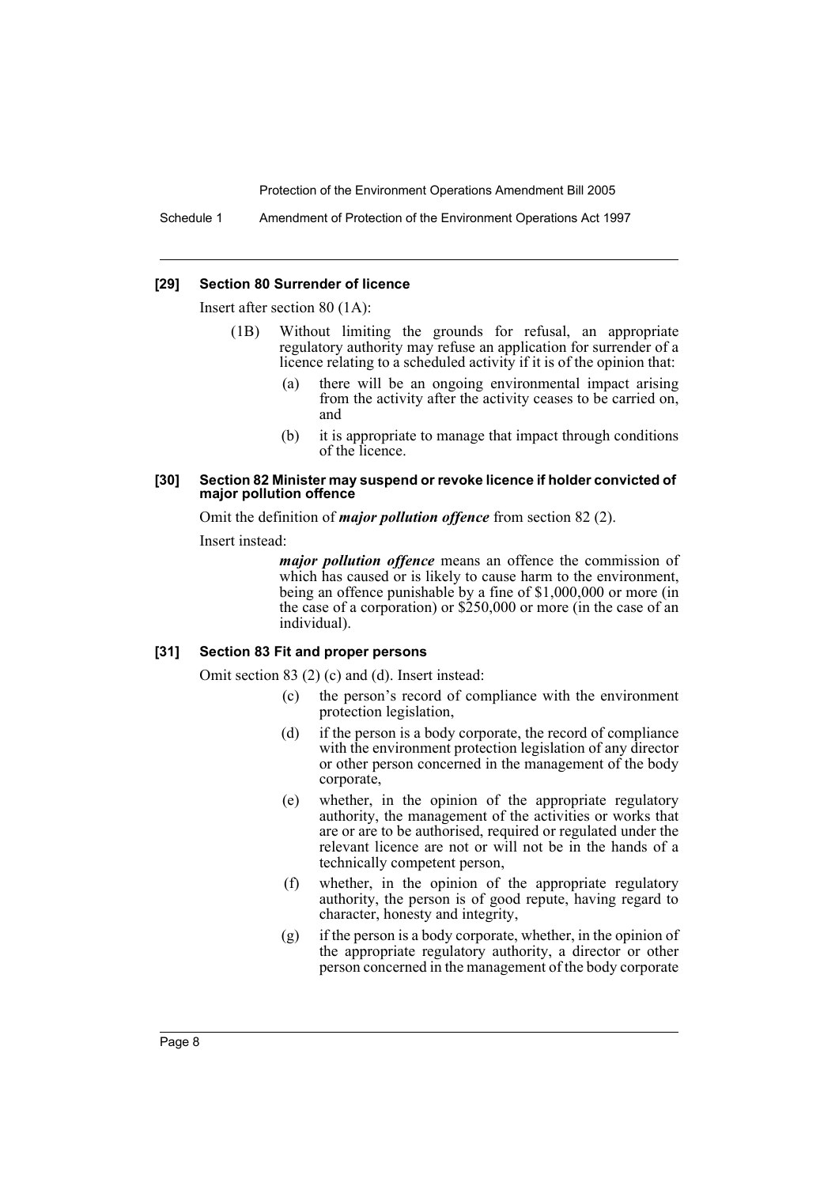Schedule 1 Amendment of Protection of the Environment Operations Act 1997

#### **[29] Section 80 Surrender of licence**

Insert after section 80 (1A):

- (1B) Without limiting the grounds for refusal, an appropriate regulatory authority may refuse an application for surrender of a licence relating to a scheduled activity if it is of the opinion that:
	- (a) there will be an ongoing environmental impact arising from the activity after the activity ceases to be carried on, and
	- (b) it is appropriate to manage that impact through conditions of the licence.

#### **[30] Section 82 Minister may suspend or revoke licence if holder convicted of major pollution offence**

Omit the definition of *major pollution offence* from section 82 (2).

Insert instead:

*major pollution offence* means an offence the commission of which has caused or is likely to cause harm to the environment, being an offence punishable by a fine of \$1,000,000 or more (in the case of a corporation) or \$250,000 or more (in the case of an individual).

#### **[31] Section 83 Fit and proper persons**

Omit section 83 (2) (c) and (d). Insert instead:

- (c) the person's record of compliance with the environment protection legislation,
- (d) if the person is a body corporate, the record of compliance with the environment protection legislation of any director or other person concerned in the management of the body corporate,
- (e) whether, in the opinion of the appropriate regulatory authority, the management of the activities or works that are or are to be authorised, required or regulated under the relevant licence are not or will not be in the hands of a technically competent person,
- (f) whether, in the opinion of the appropriate regulatory authority, the person is of good repute, having regard to character, honesty and integrity,
- (g) if the person is a body corporate, whether, in the opinion of the appropriate regulatory authority, a director or other person concerned in the management of the body corporate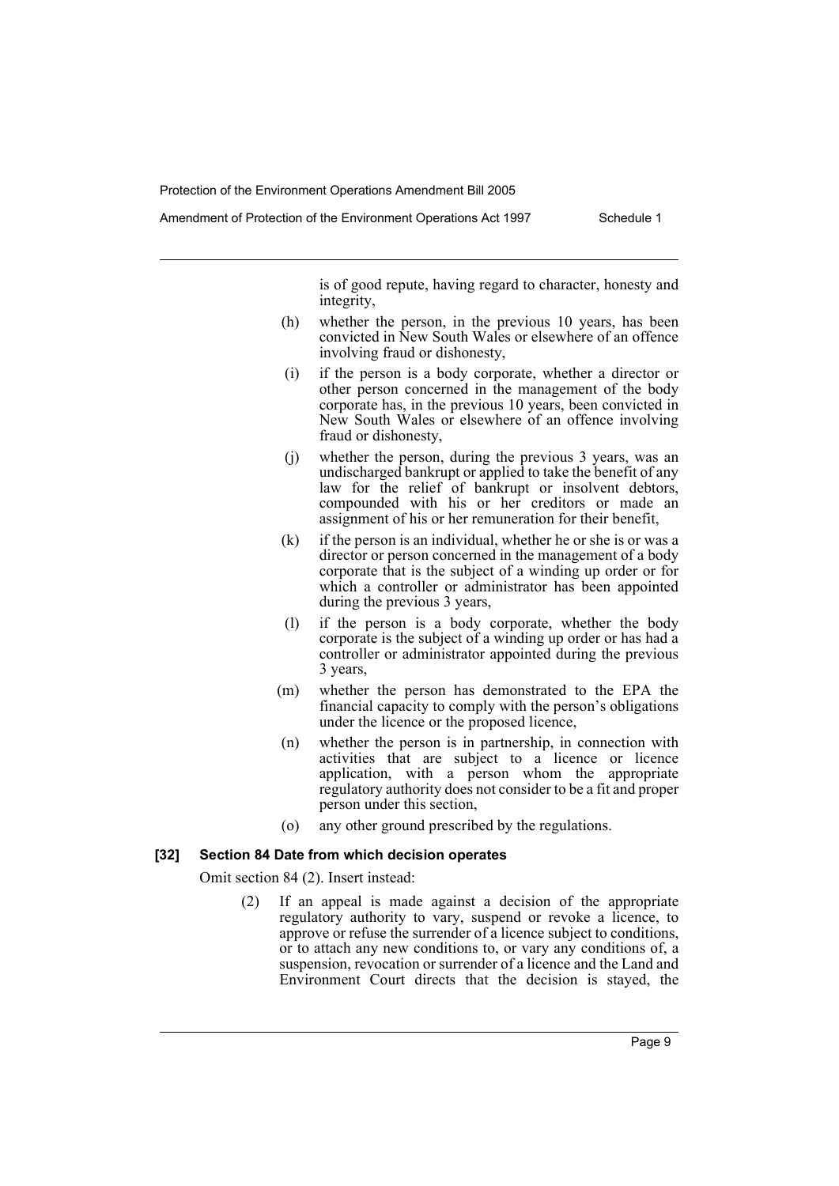is of good repute, having regard to character, honesty and integrity,

- (h) whether the person, in the previous 10 years, has been convicted in New South Wales or elsewhere of an offence involving fraud or dishonesty,
- (i) if the person is a body corporate, whether a director or other person concerned in the management of the body corporate has, in the previous 10 years, been convicted in New South Wales or elsewhere of an offence involving fraud or dishonesty,
- (j) whether the person, during the previous 3 years, was an undischarged bankrupt or applied to take the benefit of any law for the relief of bankrupt or insolvent debtors, compounded with his or her creditors or made an assignment of his or her remuneration for their benefit,
- (k) if the person is an individual, whether he or she is or was a director or person concerned in the management of a body corporate that is the subject of a winding up order or for which a controller or administrator has been appointed during the previous 3 years,
- (l) if the person is a body corporate, whether the body corporate is the subject of a winding up order or has had a controller or administrator appointed during the previous 3 years,
- (m) whether the person has demonstrated to the EPA the financial capacity to comply with the person's obligations under the licence or the proposed licence,
- (n) whether the person is in partnership, in connection with activities that are subject to a licence or licence application, with a person whom the appropriate regulatory authority does not consider to be a fit and proper person under this section,
- (o) any other ground prescribed by the regulations.

#### **[32] Section 84 Date from which decision operates**

Omit section 84 (2). Insert instead:

(2) If an appeal is made against a decision of the appropriate regulatory authority to vary, suspend or revoke a licence, to approve or refuse the surrender of a licence subject to conditions, or to attach any new conditions to, or vary any conditions of, a suspension, revocation or surrender of a licence and the Land and Environment Court directs that the decision is stayed, the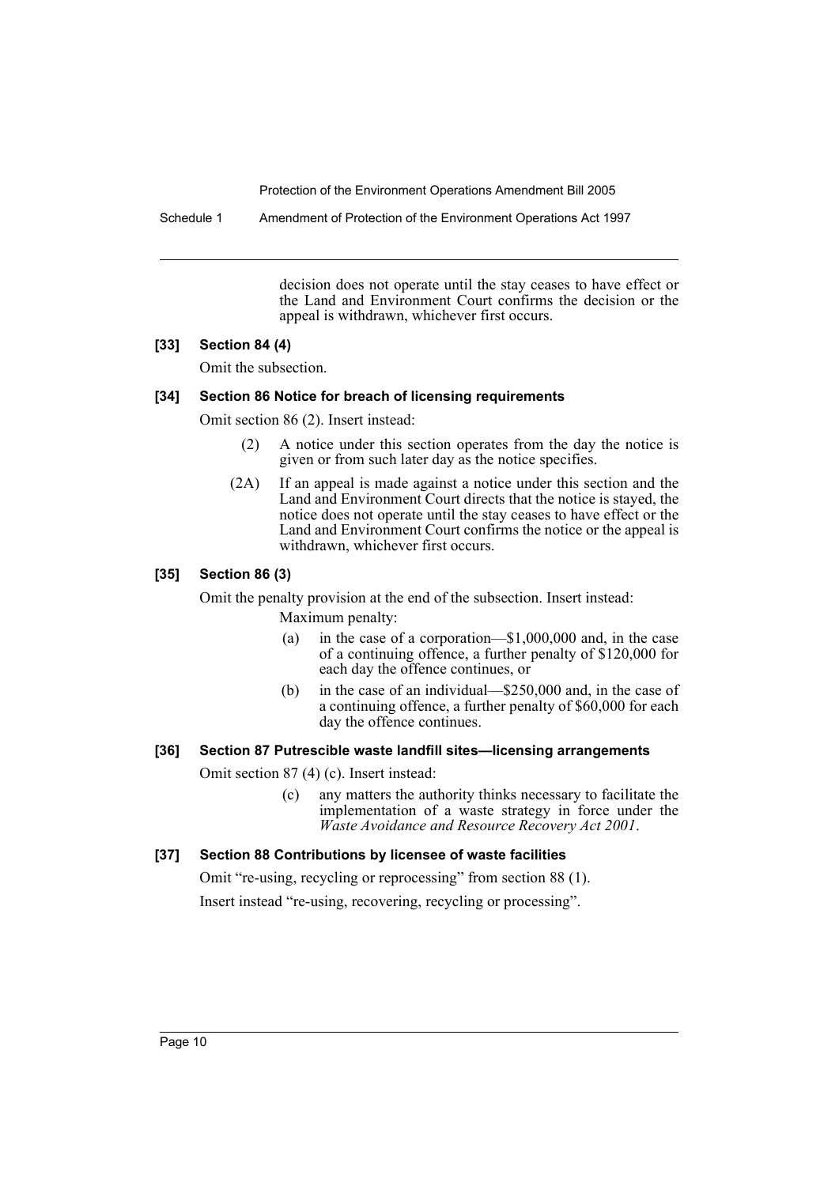Schedule 1 Amendment of Protection of the Environment Operations Act 1997

decision does not operate until the stay ceases to have effect or the Land and Environment Court confirms the decision or the appeal is withdrawn, whichever first occurs.

## **[33] Section 84 (4)**

Omit the subsection.

## **[34] Section 86 Notice for breach of licensing requirements**

Omit section 86 (2). Insert instead:

- (2) A notice under this section operates from the day the notice is given or from such later day as the notice specifies.
- (2A) If an appeal is made against a notice under this section and the Land and Environment Court directs that the notice is stayed, the notice does not operate until the stay ceases to have effect or the Land and Environment Court confirms the notice or the appeal is withdrawn, whichever first occurs.

## **[35] Section 86 (3)**

Omit the penalty provision at the end of the subsection. Insert instead: Maximum penalty:

- (a) in the case of a corporation—\$1,000,000 and, in the case of a continuing offence, a further penalty of \$120,000 for each day the offence continues, or
- (b) in the case of an individual—\$250,000 and, in the case of a continuing offence, a further penalty of \$60,000 for each day the offence continues.

#### **[36] Section 87 Putrescible waste landfill sites—licensing arrangements**

Omit section 87 (4) (c). Insert instead:

(c) any matters the authority thinks necessary to facilitate the implementation of a waste strategy in force under the *Waste Avoidance and Resource Recovery Act 2001*.

## **[37] Section 88 Contributions by licensee of waste facilities**

Omit "re-using, recycling or reprocessing" from section 88 (1). Insert instead "re-using, recovering, recycling or processing".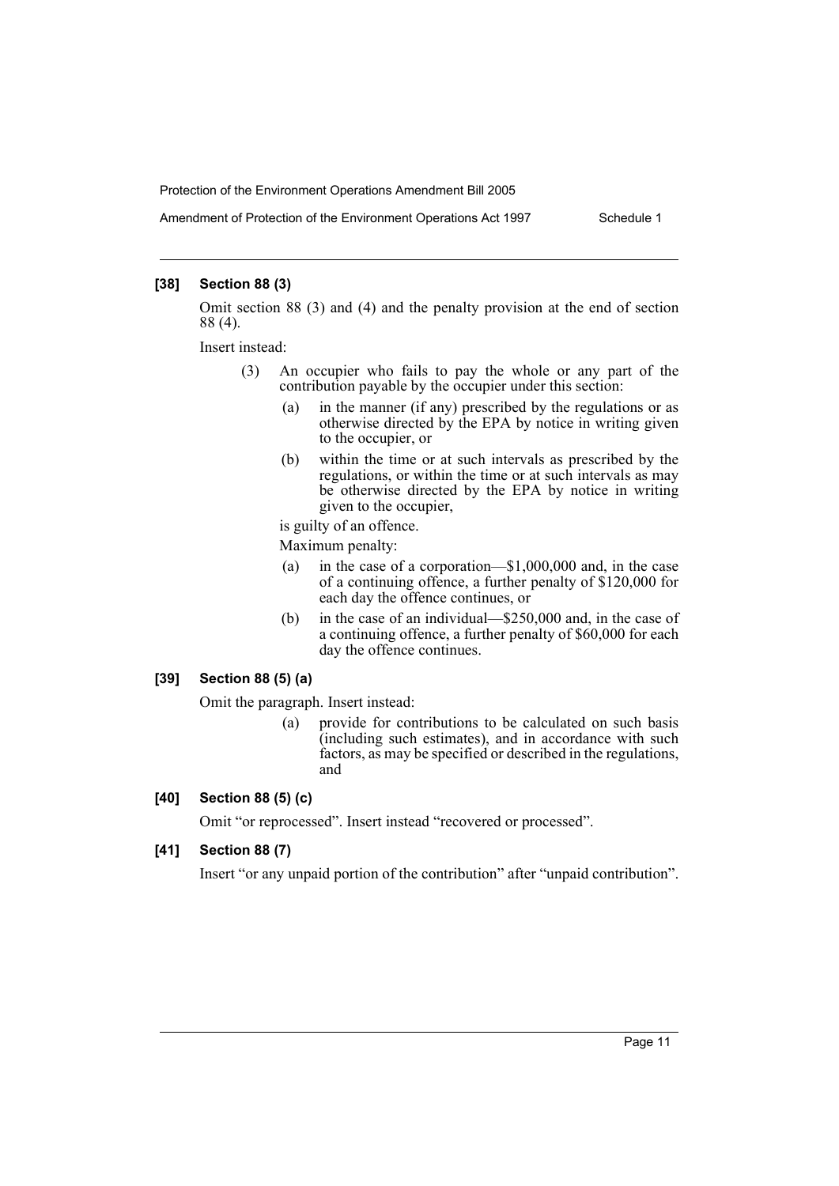Amendment of Protection of the Environment Operations Act 1997 Schedule 1

## **[38] Section 88 (3)**

Omit section 88 (3) and (4) and the penalty provision at the end of section 88 (4).

Insert instead:

- (3) An occupier who fails to pay the whole or any part of the contribution payable by the occupier under this section:
	- (a) in the manner (if any) prescribed by the regulations or as otherwise directed by the EPA by notice in writing given to the occupier, or
	- (b) within the time or at such intervals as prescribed by the regulations, or within the time or at such intervals as may be otherwise directed by the EPA by notice in writing given to the occupier,

is guilty of an offence.

Maximum penalty:

- (a) in the case of a corporation—\$1,000,000 and, in the case of a continuing offence, a further penalty of \$120,000 for each day the offence continues, or
- (b) in the case of an individual—\$250,000 and, in the case of a continuing offence, a further penalty of \$60,000 for each day the offence continues.

#### **[39] Section 88 (5) (a)**

Omit the paragraph. Insert instead:

(a) provide for contributions to be calculated on such basis (including such estimates), and in accordance with such factors, as may be specified or described in the regulations, and

## **[40] Section 88 (5) (c)**

Omit "or reprocessed". Insert instead "recovered or processed".

## **[41] Section 88 (7)**

Insert "or any unpaid portion of the contribution" after "unpaid contribution".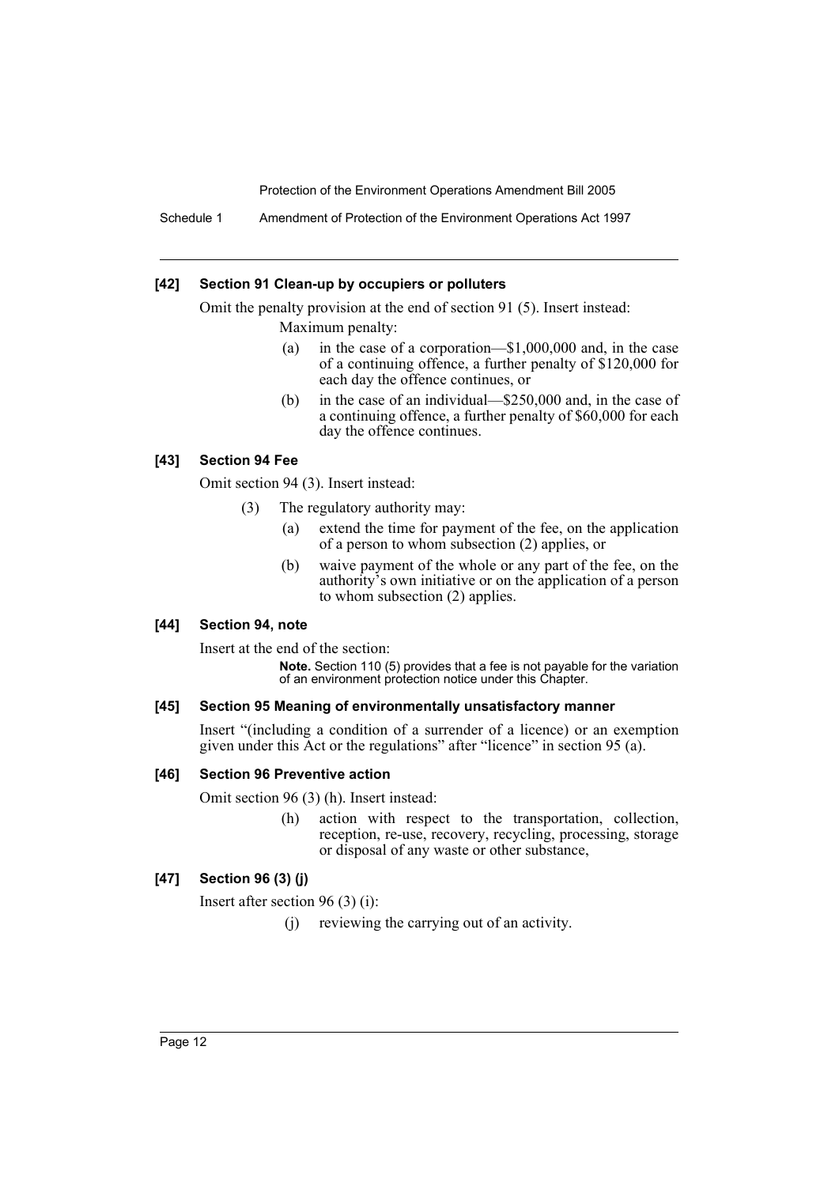Schedule 1 Amendment of Protection of the Environment Operations Act 1997

## **[42] Section 91 Clean-up by occupiers or polluters**

Omit the penalty provision at the end of section 91 (5). Insert instead: Maximum penalty:

- (a) in the case of a corporation—\$1,000,000 and, in the case of a continuing offence, a further penalty of \$120,000 for each day the offence continues, or
- (b) in the case of an individual—\$250,000 and, in the case of a continuing offence, a further penalty of \$60,000 for each day the offence continues.

## **[43] Section 94 Fee**

Omit section 94 (3). Insert instead:

- (3) The regulatory authority may:
	- (a) extend the time for payment of the fee, on the application of a person to whom subsection (2) applies, or
	- (b) waive payment of the whole or any part of the fee, on the authority's own initiative or on the application of a person to whom subsection (2) applies.

#### **[44] Section 94, note**

Insert at the end of the section:

**Note.** Section 110 (5) provides that a fee is not payable for the variation of an environment protection notice under this Chapter.

## **[45] Section 95 Meaning of environmentally unsatisfactory manner**

Insert "(including a condition of a surrender of a licence) or an exemption given under this Act or the regulations" after "licence" in section 95 (a).

#### **[46] Section 96 Preventive action**

Omit section 96 (3) (h). Insert instead:

(h) action with respect to the transportation, collection, reception, re-use, recovery, recycling, processing, storage or disposal of any waste or other substance,

## **[47] Section 96 (3) (j)**

Insert after section 96 (3) (i):

(j) reviewing the carrying out of an activity.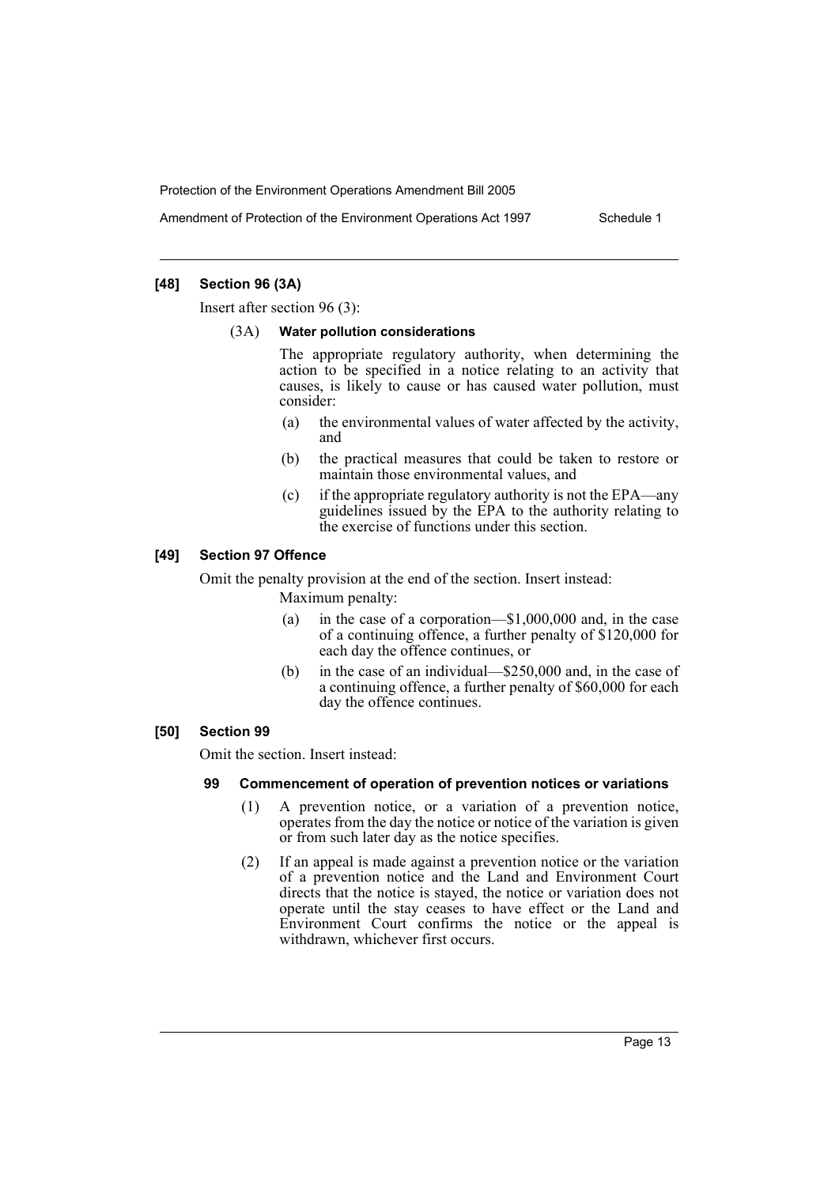Amendment of Protection of the Environment Operations Act 1997 Schedule 1

## **[48] Section 96 (3A)**

Insert after section 96 (3):

#### (3A) **Water pollution considerations**

The appropriate regulatory authority, when determining the action to be specified in a notice relating to an activity that causes, is likely to cause or has caused water pollution, must consider:

- (a) the environmental values of water affected by the activity, and
- (b) the practical measures that could be taken to restore or maintain those environmental values, and
- (c) if the appropriate regulatory authority is not the EPA—any guidelines issued by the EPA to the authority relating to the exercise of functions under this section.

#### **[49] Section 97 Offence**

Omit the penalty provision at the end of the section. Insert instead: Maximum penalty:

- (a) in the case of a corporation—\$1,000,000 and, in the case of a continuing offence, a further penalty of \$120,000 for each day the offence continues, or
- (b) in the case of an individual—\$250,000 and, in the case of a continuing offence, a further penalty of \$60,000 for each day the offence continues.

#### **[50] Section 99**

Omit the section. Insert instead:

#### **99 Commencement of operation of prevention notices or variations**

- (1) A prevention notice, or a variation of a prevention notice, operates from the day the notice or notice of the variation is given or from such later day as the notice specifies.
- (2) If an appeal is made against a prevention notice or the variation of a prevention notice and the Land and Environment Court directs that the notice is stayed, the notice or variation does not operate until the stay ceases to have effect or the Land and Environment Court confirms the notice or the appeal is withdrawn, whichever first occurs.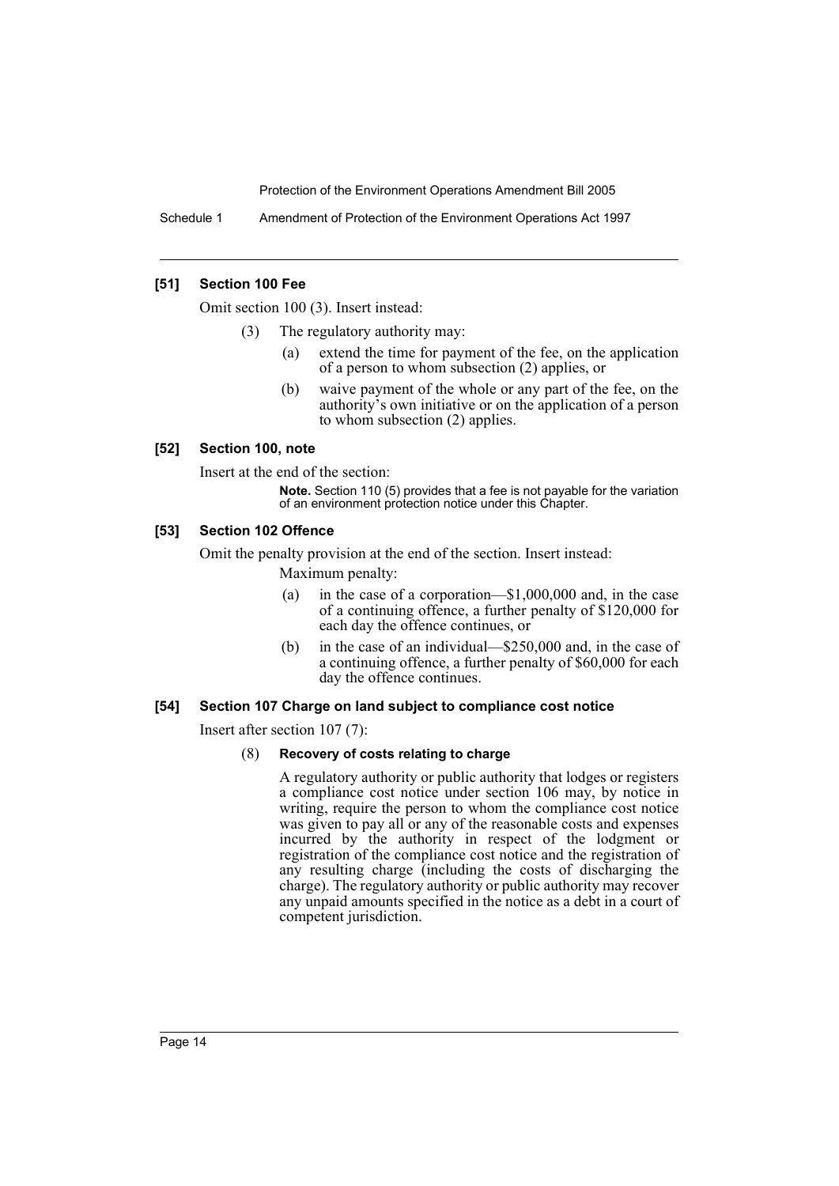Schedule 1 Amendment of Protection of the Environment Operations Act 1997

## **[51] Section 100 Fee**

Omit section 100 (3). Insert instead:

- (3) The regulatory authority may:
	- (a) extend the time for payment of the fee, on the application of a person to whom subsection (2) applies, or
	- (b) waive payment of the whole or any part of the fee, on the authority's own initiative or on the application of a person to whom subsection (2) applies.

#### **[52] Section 100, note**

Insert at the end of the section:

**Note.** Section 110 (5) provides that a fee is not payable for the variation of an environment protection notice under this Chapter.

## **[53] Section 102 Offence**

Omit the penalty provision at the end of the section. Insert instead:

Maximum penalty:

- (a) in the case of a corporation—\$1,000,000 and, in the case of a continuing offence, a further penalty of \$120,000 for each day the offence continues, or
- (b) in the case of an individual—\$250,000 and, in the case of a continuing offence, a further penalty of \$60,000 for each day the offence continues.

#### **[54] Section 107 Charge on land subject to compliance cost notice**

Insert after section 107 (7):

#### (8) **Recovery of costs relating to charge**

A regulatory authority or public authority that lodges or registers a compliance cost notice under section 106 may, by notice in writing, require the person to whom the compliance cost notice was given to pay all or any of the reasonable costs and expenses incurred by the authority in respect of the lodgment or registration of the compliance cost notice and the registration of any resulting charge (including the costs of discharging the charge). The regulatory authority or public authority may recover any unpaid amounts specified in the notice as a debt in a court of competent jurisdiction.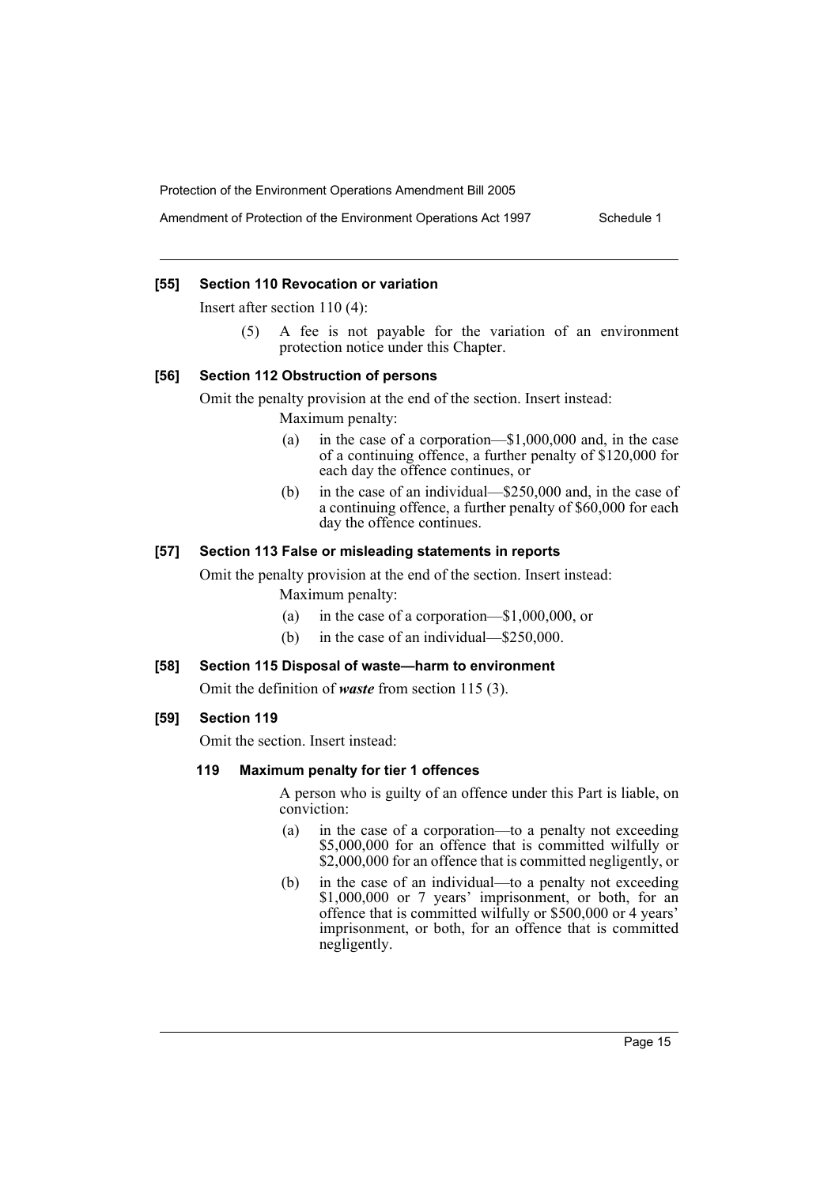Amendment of Protection of the Environment Operations Act 1997 Schedule 1

## **[55] Section 110 Revocation or variation**

Insert after section 110 (4):

(5) A fee is not payable for the variation of an environment protection notice under this Chapter.

#### **[56] Section 112 Obstruction of persons**

Omit the penalty provision at the end of the section. Insert instead: Maximum penalty:

- (a) in the case of a corporation—\$1,000,000 and, in the case of a continuing offence, a further penalty of \$120,000 for each day the offence continues, or
- (b) in the case of an individual—\$250,000 and, in the case of a continuing offence, a further penalty of \$60,000 for each day the offence continues.

## **[57] Section 113 False or misleading statements in reports**

Omit the penalty provision at the end of the section. Insert instead: Maximum penalty:

- (a) in the case of a corporation—\$1,000,000, or
- (b) in the case of an individual—\$250,000.

## **[58] Section 115 Disposal of waste—harm to environment**

Omit the definition of *waste* from section 115 (3).

## **[59] Section 119**

Omit the section. Insert instead:

## **119 Maximum penalty for tier 1 offences**

A person who is guilty of an offence under this Part is liable, on conviction:

- (a) in the case of a corporation—to a penalty not exceeding \$5,000,000 for an offence that is committed wilfully or \$2,000,000 for an offence that is committed negligently, or
- (b) in the case of an individual—to a penalty not exceeding \$1,000,000 or 7 years' imprisonment, or both, for an offence that is committed wilfully or \$500,000 or 4 years' imprisonment, or both, for an offence that is committed negligently.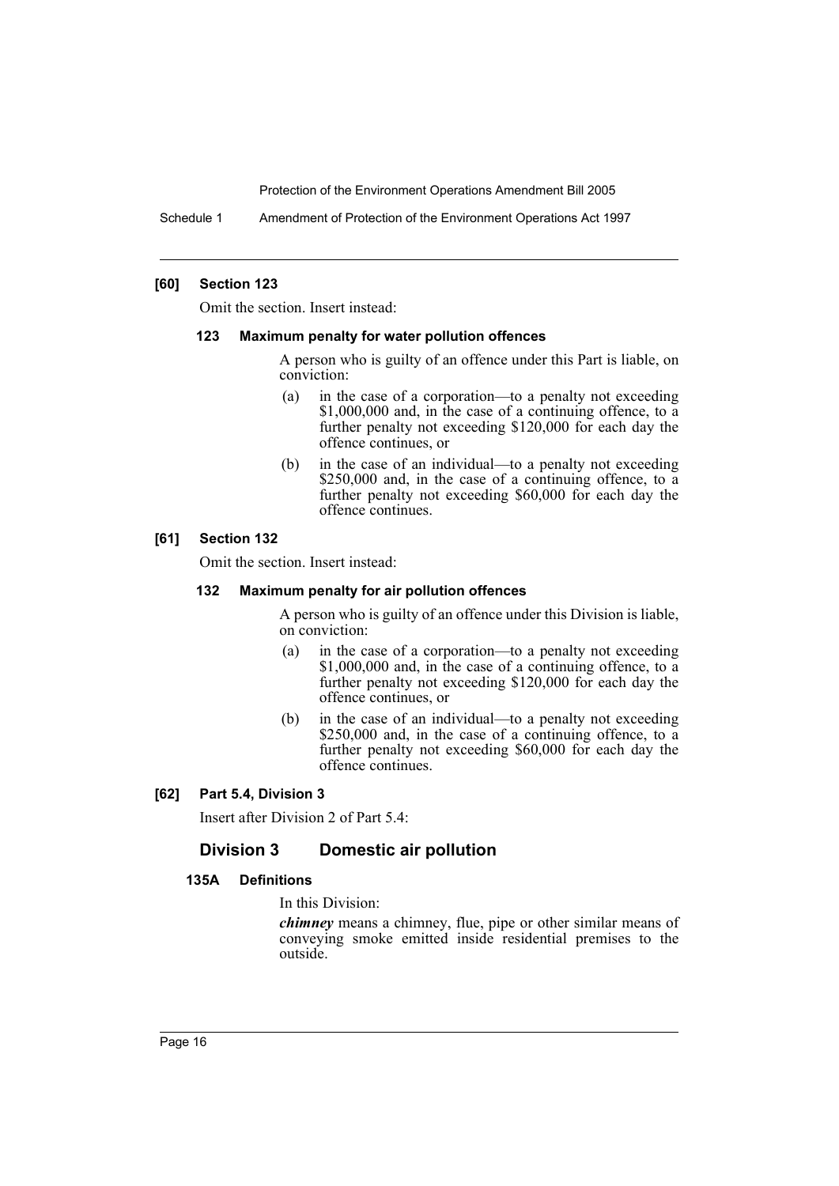Schedule 1 Amendment of Protection of the Environment Operations Act 1997

#### **[60] Section 123**

Omit the section. Insert instead:

#### **123 Maximum penalty for water pollution offences**

A person who is guilty of an offence under this Part is liable, on conviction:

- (a) in the case of a corporation—to a penalty not exceeding \$1,000,000 and, in the case of a continuing offence, to a further penalty not exceeding \$120,000 for each day the offence continues, or
- (b) in the case of an individual—to a penalty not exceeding \$250,000 and, in the case of a continuing offence, to a further penalty not exceeding \$60,000 for each day the offence continues.

#### **[61] Section 132**

Omit the section. Insert instead:

## **132 Maximum penalty for air pollution offences**

A person who is guilty of an offence under this Division is liable, on conviction:

- (a) in the case of a corporation—to a penalty not exceeding \$1,000,000 and, in the case of a continuing offence, to a further penalty not exceeding \$120,000 for each day the offence continues, or
- (b) in the case of an individual—to a penalty not exceeding \$250,000 and, in the case of a continuing offence, to a further penalty not exceeding \$60,000 for each day the offence continues.

#### **[62] Part 5.4, Division 3**

Insert after Division 2 of Part 5.4:

## **Division 3 Domestic air pollution**

#### **135A Definitions**

In this Division:

*chimney* means a chimney, flue, pipe or other similar means of conveying smoke emitted inside residential premises to the outside.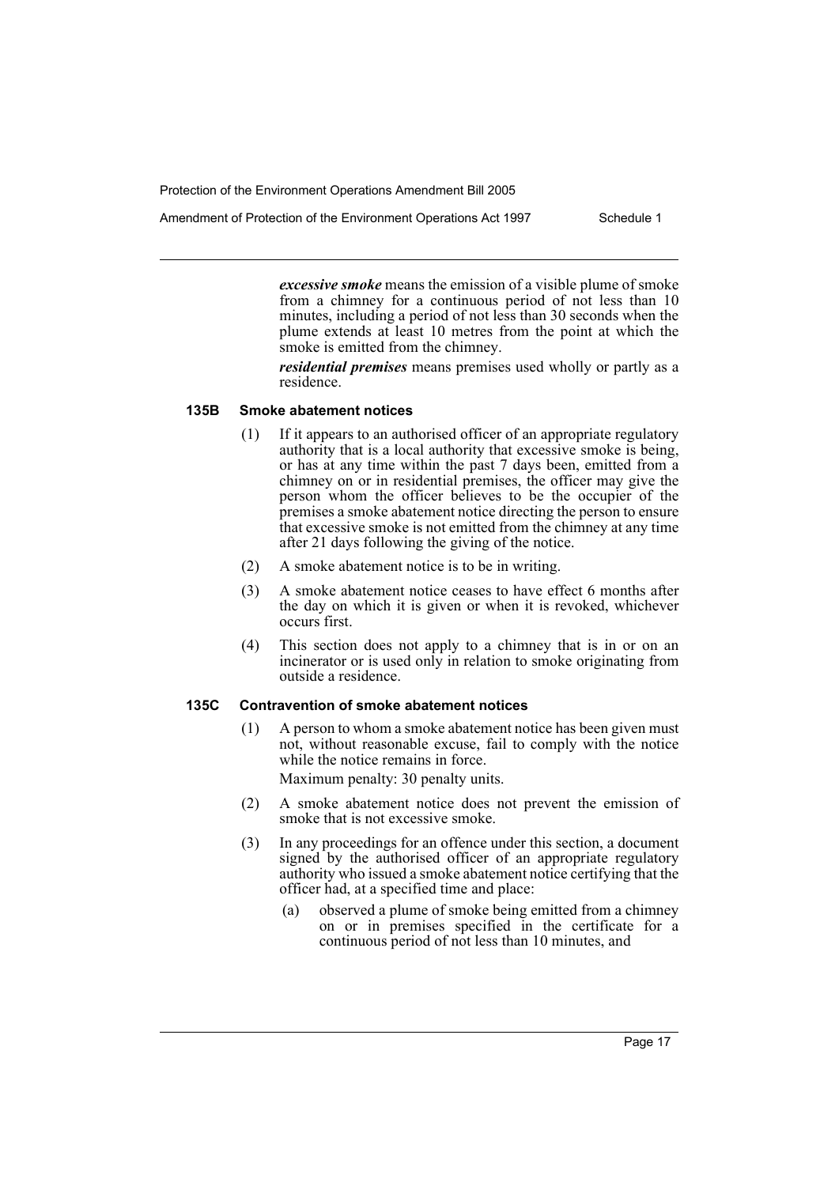*excessive smoke* means the emission of a visible plume of smoke from a chimney for a continuous period of not less than 10 minutes, including a period of not less than 30 seconds when the plume extends at least 10 metres from the point at which the smoke is emitted from the chimney.

*residential premises* means premises used wholly or partly as a residence.

#### **135B Smoke abatement notices**

- (1) If it appears to an authorised officer of an appropriate regulatory authority that is a local authority that excessive smoke is being, or has at any time within the past 7 days been, emitted from a chimney on or in residential premises, the officer may give the person whom the officer believes to be the occupier of the premises a smoke abatement notice directing the person to ensure that excessive smoke is not emitted from the chimney at any time after 21 days following the giving of the notice.
- (2) A smoke abatement notice is to be in writing.
- (3) A smoke abatement notice ceases to have effect 6 months after the day on which it is given or when it is revoked, whichever occurs first.
- (4) This section does not apply to a chimney that is in or on an incinerator or is used only in relation to smoke originating from outside a residence.

## **135C Contravention of smoke abatement notices**

(1) A person to whom a smoke abatement notice has been given must not, without reasonable excuse, fail to comply with the notice while the notice remains in force.

Maximum penalty: 30 penalty units.

- (2) A smoke abatement notice does not prevent the emission of smoke that is not excessive smoke.
- (3) In any proceedings for an offence under this section, a document signed by the authorised officer of an appropriate regulatory authority who issued a smoke abatement notice certifying that the officer had, at a specified time and place:
	- (a) observed a plume of smoke being emitted from a chimney on or in premises specified in the certificate for a continuous period of not less than 10 minutes, and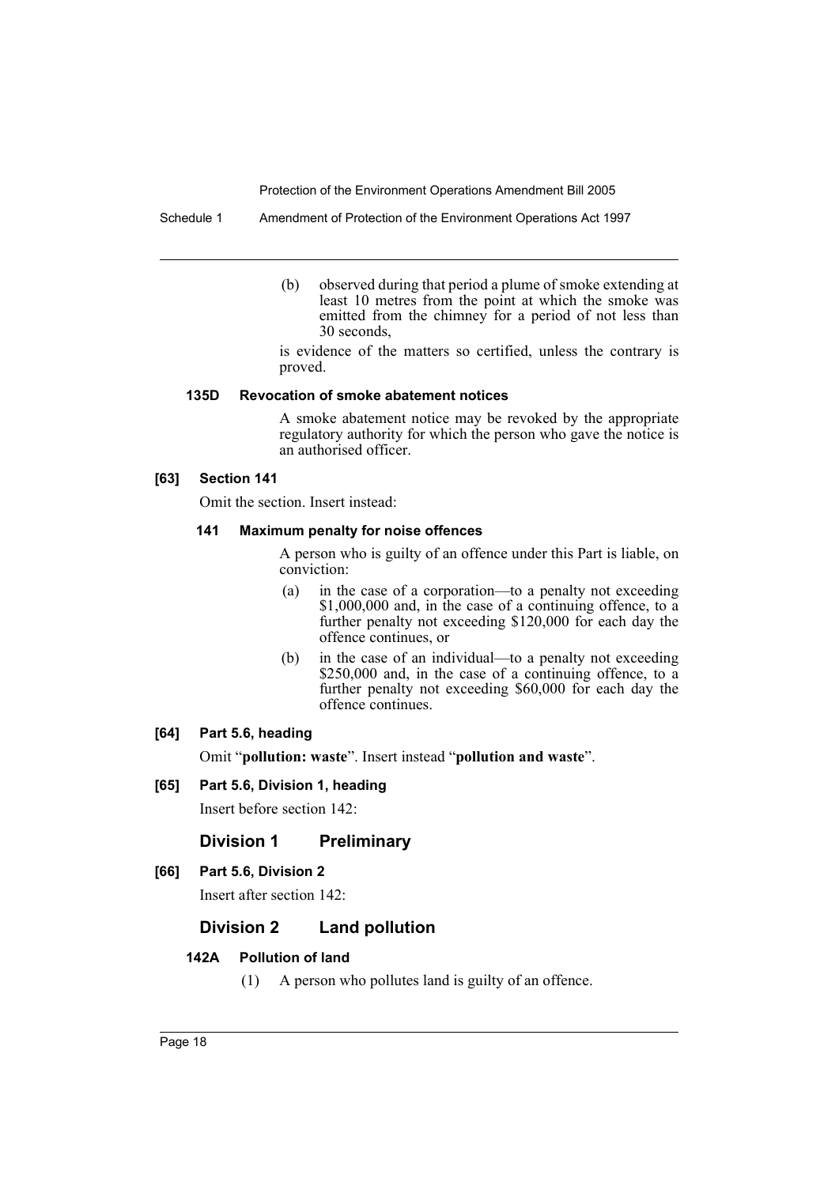Schedule 1 Amendment of Protection of the Environment Operations Act 1997

(b) observed during that period a plume of smoke extending at least 10 metres from the point at which the smoke was emitted from the chimney for a period of not less than 30 seconds,

is evidence of the matters so certified, unless the contrary is proved.

#### **135D Revocation of smoke abatement notices**

A smoke abatement notice may be revoked by the appropriate regulatory authority for which the person who gave the notice is an authorised officer.

## **[63] Section 141**

Omit the section. Insert instead:

## **141 Maximum penalty for noise offences**

A person who is guilty of an offence under this Part is liable, on conviction:

- (a) in the case of a corporation—to a penalty not exceeding \$1,000,000 and, in the case of a continuing offence, to a further penalty not exceeding \$120,000 for each day the offence continues, or
- (b) in the case of an individual—to a penalty not exceeding \$250,000 and, in the case of a continuing offence, to a further penalty not exceeding \$60,000 for each day the offence continues.

## **[64] Part 5.6, heading**

Omit "**pollution: waste**". Insert instead "**pollution and waste**".

## **[65] Part 5.6, Division 1, heading**

Insert before section 142:

## **Division 1 Preliminary**

## **[66] Part 5.6, Division 2**

Insert after section 142:

## **Division 2 Land pollution**

## **142A Pollution of land**

(1) A person who pollutes land is guilty of an offence.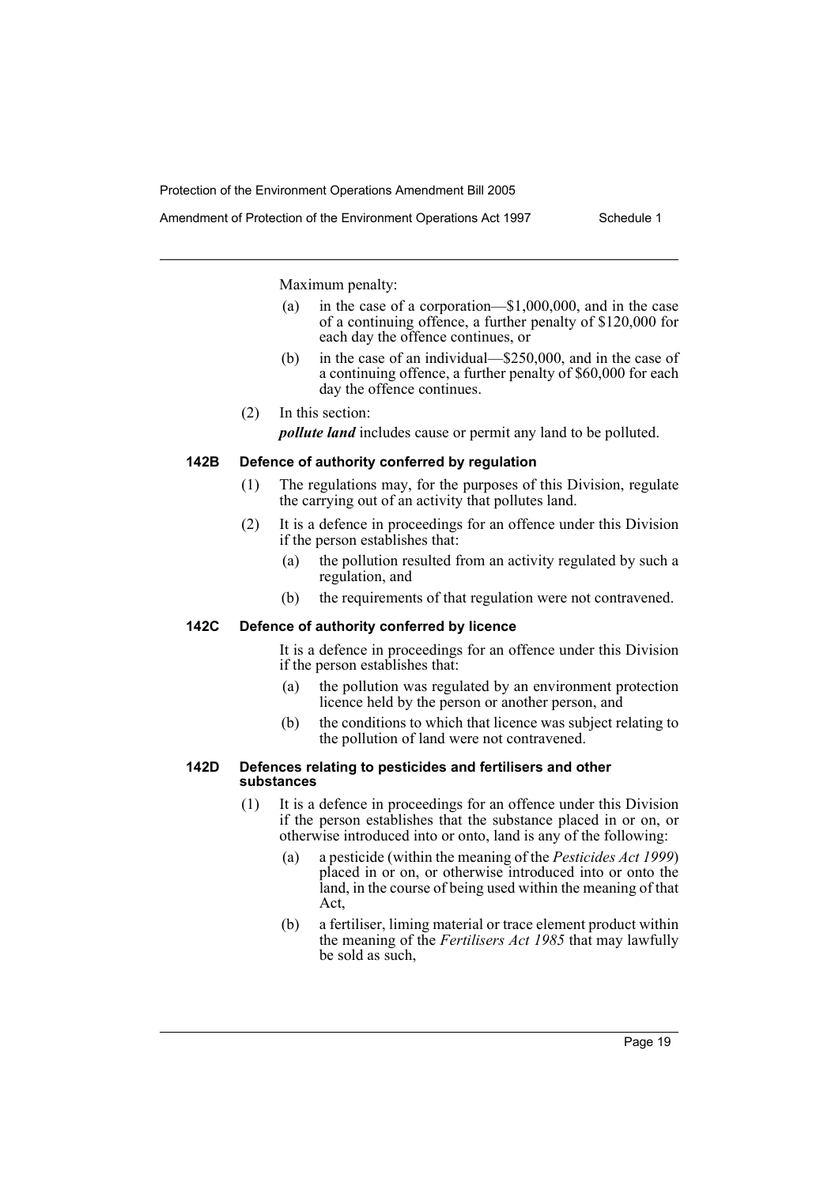Maximum penalty:

- (a) in the case of a corporation—\$1,000,000, and in the case of a continuing offence, a further penalty of \$120,000 for each day the offence continues, or
- (b) in the case of an individual—\$250,000, and in the case of a continuing offence, a further penalty of \$60,000 for each day the offence continues.
- (2) In this section:

*pollute land* includes cause or permit any land to be polluted.

## **142B Defence of authority conferred by regulation**

- (1) The regulations may, for the purposes of this Division, regulate the carrying out of an activity that pollutes land.
- (2) It is a defence in proceedings for an offence under this Division if the person establishes that:
	- (a) the pollution resulted from an activity regulated by such a regulation, and
	- (b) the requirements of that regulation were not contravened.

## **142C Defence of authority conferred by licence**

It is a defence in proceedings for an offence under this Division if the person establishes that:

- (a) the pollution was regulated by an environment protection licence held by the person or another person, and
- (b) the conditions to which that licence was subject relating to the pollution of land were not contravened.

#### **142D Defences relating to pesticides and fertilisers and other substances**

- (1) It is a defence in proceedings for an offence under this Division if the person establishes that the substance placed in or on, or otherwise introduced into or onto, land is any of the following:
	- (a) a pesticide (within the meaning of the *Pesticides Act 1999*) placed in or on, or otherwise introduced into or onto the land, in the course of being used within the meaning of that Act,
	- (b) a fertiliser, liming material or trace element product within the meaning of the *Fertilisers Act 1985* that may lawfully be sold as such,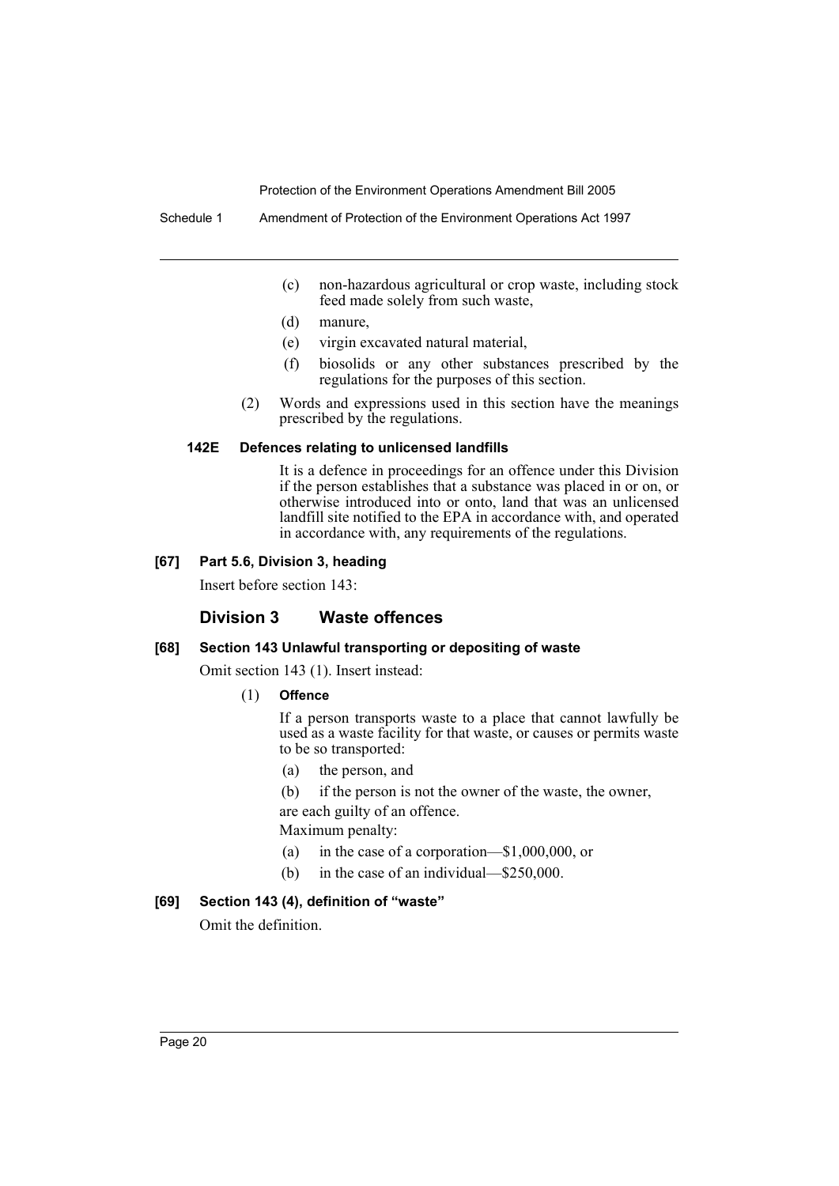Schedule 1 Amendment of Protection of the Environment Operations Act 1997

- (c) non-hazardous agricultural or crop waste, including stock feed made solely from such waste,
- (d) manure,
- (e) virgin excavated natural material,
- (f) biosolids or any other substances prescribed by the regulations for the purposes of this section.
- (2) Words and expressions used in this section have the meanings prescribed by the regulations.

#### **142E Defences relating to unlicensed landfills**

It is a defence in proceedings for an offence under this Division if the person establishes that a substance was placed in or on, or otherwise introduced into or onto, land that was an unlicensed landfill site notified to the EPA in accordance with, and operated in accordance with, any requirements of the regulations.

#### **[67] Part 5.6, Division 3, heading**

Insert before section 143:

#### **Division 3 Waste offences**

#### **[68] Section 143 Unlawful transporting or depositing of waste**

Omit section 143 (1). Insert instead:

(1) **Offence**

If a person transports waste to a place that cannot lawfully be used as a waste facility for that waste, or causes or permits waste to be so transported:

- (a) the person, and
- (b) if the person is not the owner of the waste, the owner,

are each guilty of an offence.

- Maximum penalty:
- (a) in the case of a corporation—\$1,000,000, or
- (b) in the case of an individual—\$250,000.

## **[69] Section 143 (4), definition of "waste"**

Omit the definition.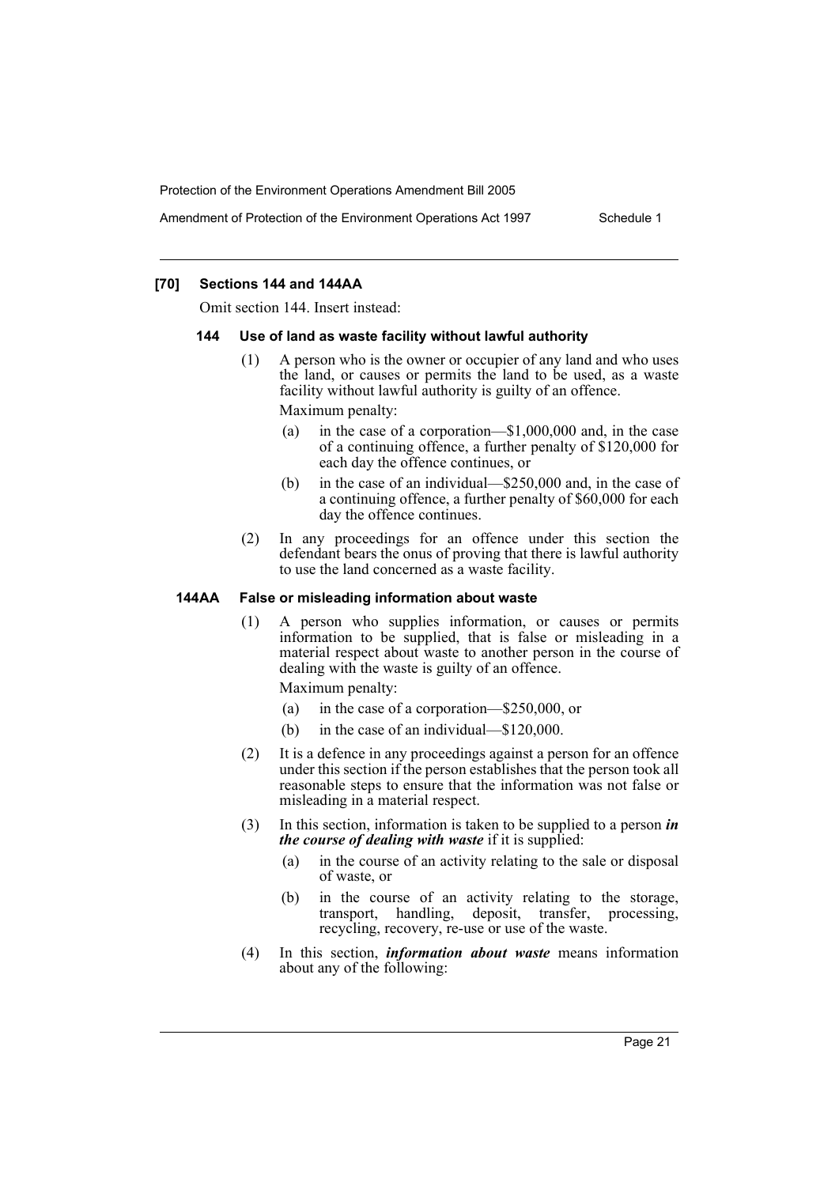Amendment of Protection of the Environment Operations Act 1997 Schedule 1

## **[70] Sections 144 and 144AA**

Omit section 144. Insert instead:

#### **144 Use of land as waste facility without lawful authority**

- (1) A person who is the owner or occupier of any land and who uses the land, or causes or permits the land to be used, as a waste facility without lawful authority is guilty of an offence. Maximum penalty:
	- (a) in the case of a corporation—\$1,000,000 and, in the case of a continuing offence, a further penalty of \$120,000 for each day the offence continues, or
	- (b) in the case of an individual—\$250,000 and, in the case of a continuing offence, a further penalty of \$60,000 for each day the offence continues.
- (2) In any proceedings for an offence under this section the defendant bears the onus of proving that there is lawful authority to use the land concerned as a waste facility.

## **144AA False or misleading information about waste**

(1) A person who supplies information, or causes or permits information to be supplied, that is false or misleading in a material respect about waste to another person in the course of dealing with the waste is guilty of an offence.

Maximum penalty:

- (a) in the case of a corporation—\$250,000, or
- (b) in the case of an individual—\$120,000.
- (2) It is a defence in any proceedings against a person for an offence under this section if the person establishes that the person took all reasonable steps to ensure that the information was not false or misleading in a material respect.
- (3) In this section, information is taken to be supplied to a person *in the course of dealing with waste* if it is supplied:
	- (a) in the course of an activity relating to the sale or disposal of waste, or
	- (b) in the course of an activity relating to the storage, transport, handling, deposit, transfer, processing, recycling, recovery, re-use or use of the waste.
- (4) In this section, *information about waste* means information about any of the following: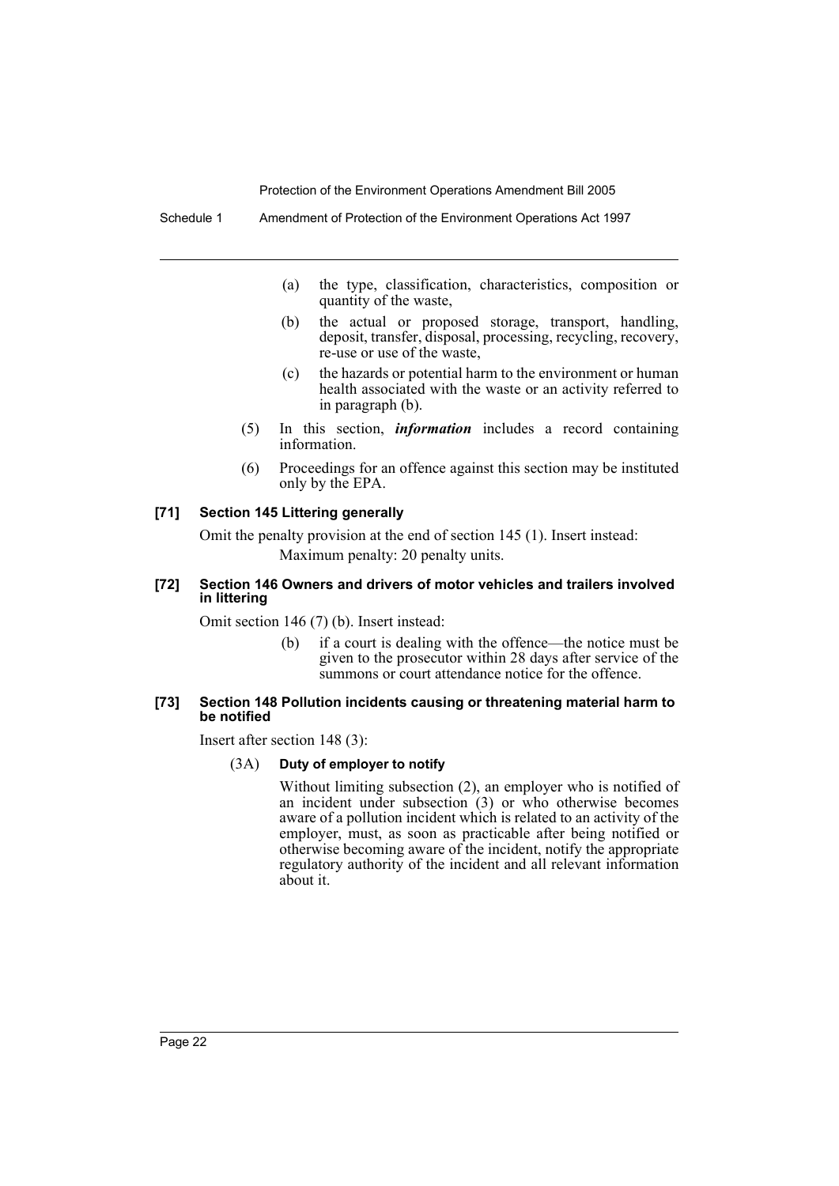Schedule 1 Amendment of Protection of the Environment Operations Act 1997

- (a) the type, classification, characteristics, composition or quantity of the waste,
- (b) the actual or proposed storage, transport, handling, deposit, transfer, disposal, processing, recycling, recovery, re-use or use of the waste,
- (c) the hazards or potential harm to the environment or human health associated with the waste or an activity referred to in paragraph (b).
- (5) In this section, *information* includes a record containing information.
- (6) Proceedings for an offence against this section may be instituted only by the EPA.

## **[71] Section 145 Littering generally**

Omit the penalty provision at the end of section 145 (1). Insert instead: Maximum penalty: 20 penalty units.

#### **[72] Section 146 Owners and drivers of motor vehicles and trailers involved in littering**

Omit section 146 (7) (b). Insert instead:

(b) if a court is dealing with the offence—the notice must be given to the prosecutor within 28 days after service of the summons or court attendance notice for the offence.

#### **[73] Section 148 Pollution incidents causing or threatening material harm to be notified**

Insert after section 148 (3):

## (3A) **Duty of employer to notify**

Without limiting subsection (2), an employer who is notified of an incident under subsection (3) or who otherwise becomes aware of a pollution incident which is related to an activity of the employer, must, as soon as practicable after being notified or otherwise becoming aware of the incident, notify the appropriate regulatory authority of the incident and all relevant information about it.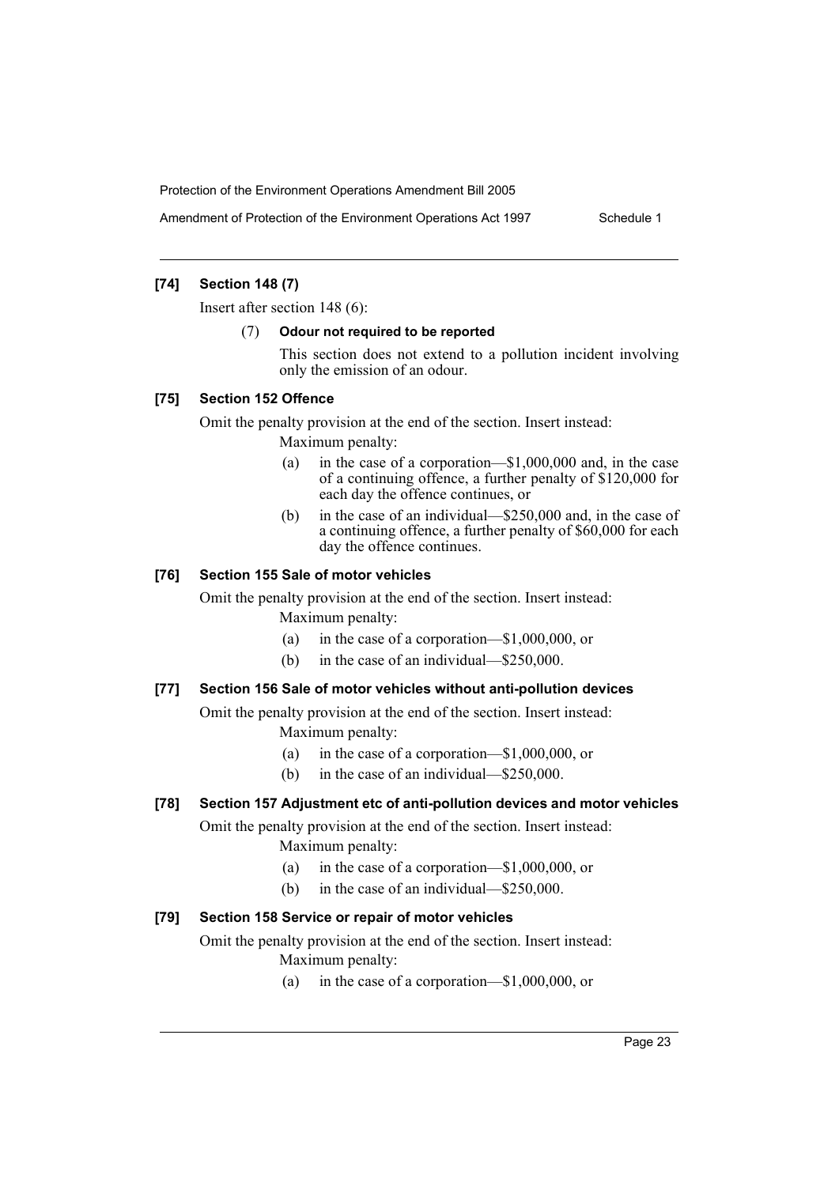Amendment of Protection of the Environment Operations Act 1997 Schedule 1

## **[74] Section 148 (7)**

Insert after section 148 (6):

#### (7) **Odour not required to be reported**

This section does not extend to a pollution incident involving only the emission of an odour.

## **[75] Section 152 Offence**

Omit the penalty provision at the end of the section. Insert instead:

Maximum penalty:

- (a) in the case of a corporation—\$1,000,000 and, in the case of a continuing offence, a further penalty of \$120,000 for each day the offence continues, or
- (b) in the case of an individual—\$250,000 and, in the case of a continuing offence, a further penalty of \$60,000 for each day the offence continues.

## **[76] Section 155 Sale of motor vehicles**

Omit the penalty provision at the end of the section. Insert instead: Maximum penalty:

- (a) in the case of a corporation—\$1,000,000, or
- (b) in the case of an individual—\$250,000.

## **[77] Section 156 Sale of motor vehicles without anti-pollution devices**

Omit the penalty provision at the end of the section. Insert instead: Maximum penalty:

- (a) in the case of a corporation—\$1,000,000, or
- (b) in the case of an individual—\$250,000.

## **[78] Section 157 Adjustment etc of anti-pollution devices and motor vehicles**

Omit the penalty provision at the end of the section. Insert instead: Maximum penalty:

- (a) in the case of a corporation—\$1,000,000, or
- (b) in the case of an individual—\$250,000.

#### **[79] Section 158 Service or repair of motor vehicles**

Omit the penalty provision at the end of the section. Insert instead:

- Maximum penalty:
	- (a) in the case of a corporation—\$1,000,000, or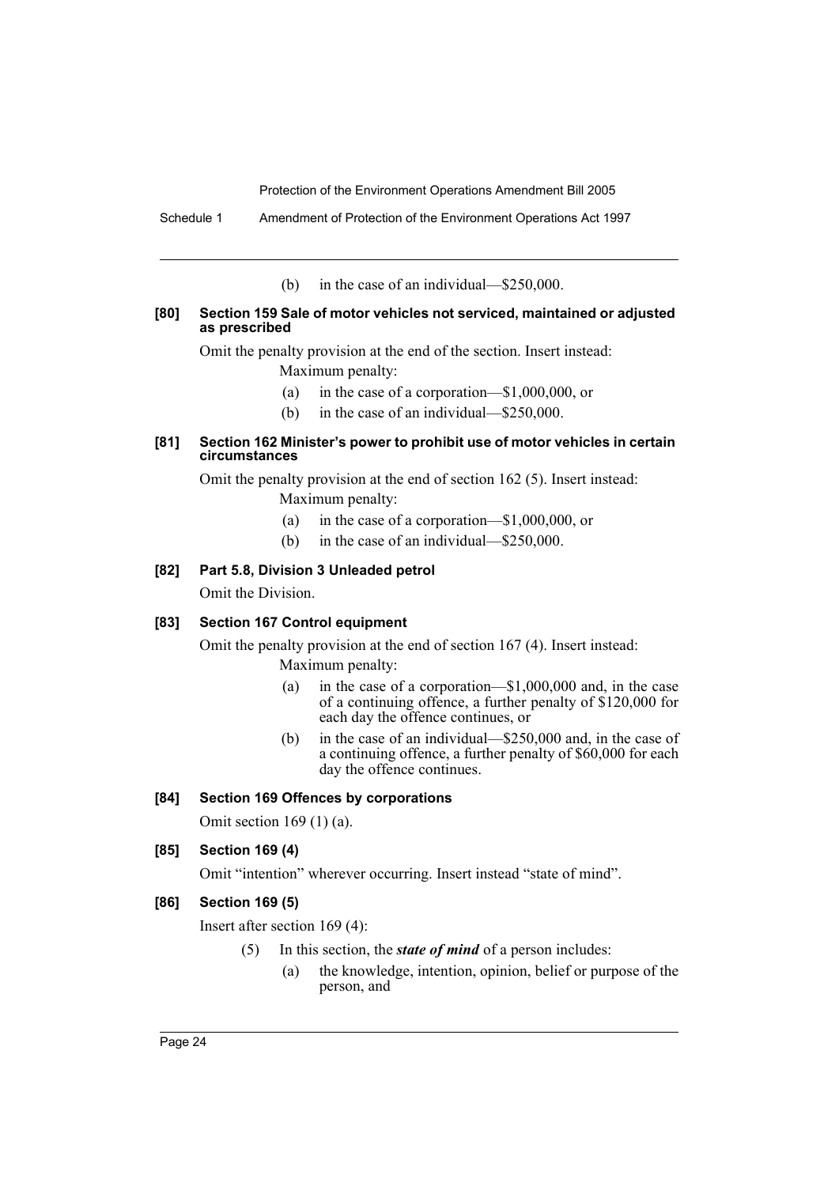Schedule 1 Amendment of Protection of the Environment Operations Act 1997

(b) in the case of an individual—\$250,000.

#### **[80] Section 159 Sale of motor vehicles not serviced, maintained or adjusted as prescribed**

Omit the penalty provision at the end of the section. Insert instead:

Maximum penalty:

- (a) in the case of a corporation—\$1,000,000, or
- (b) in the case of an individual—\$250,000.

## **[81] Section 162 Minister's power to prohibit use of motor vehicles in certain circumstances**

Omit the penalty provision at the end of section 162 (5). Insert instead: Maximum penalty:

- (a) in the case of a corporation—\$1,000,000, or
- (b) in the case of an individual—\$250,000.

## **[82] Part 5.8, Division 3 Unleaded petrol**

Omit the Division.

## **[83] Section 167 Control equipment**

Omit the penalty provision at the end of section 167 (4). Insert instead: Maximum penalty:

(a) in the case of a corporation—\$1,000,000 and, in the case of a continuing offence, a further penalty of \$120,000 for each day the offence continues, or

(b) in the case of an individual—\$250,000 and, in the case of a continuing offence, a further penalty of \$60,000 for each day the offence continues.

#### **[84] Section 169 Offences by corporations**

Omit section 169 (1) (a).

## **[85] Section 169 (4)**

Omit "intention" wherever occurring. Insert instead "state of mind".

## **[86] Section 169 (5)**

Insert after section 169 (4):

- (5) In this section, the *state of mind* of a person includes:
	- (a) the knowledge, intention, opinion, belief or purpose of the person, and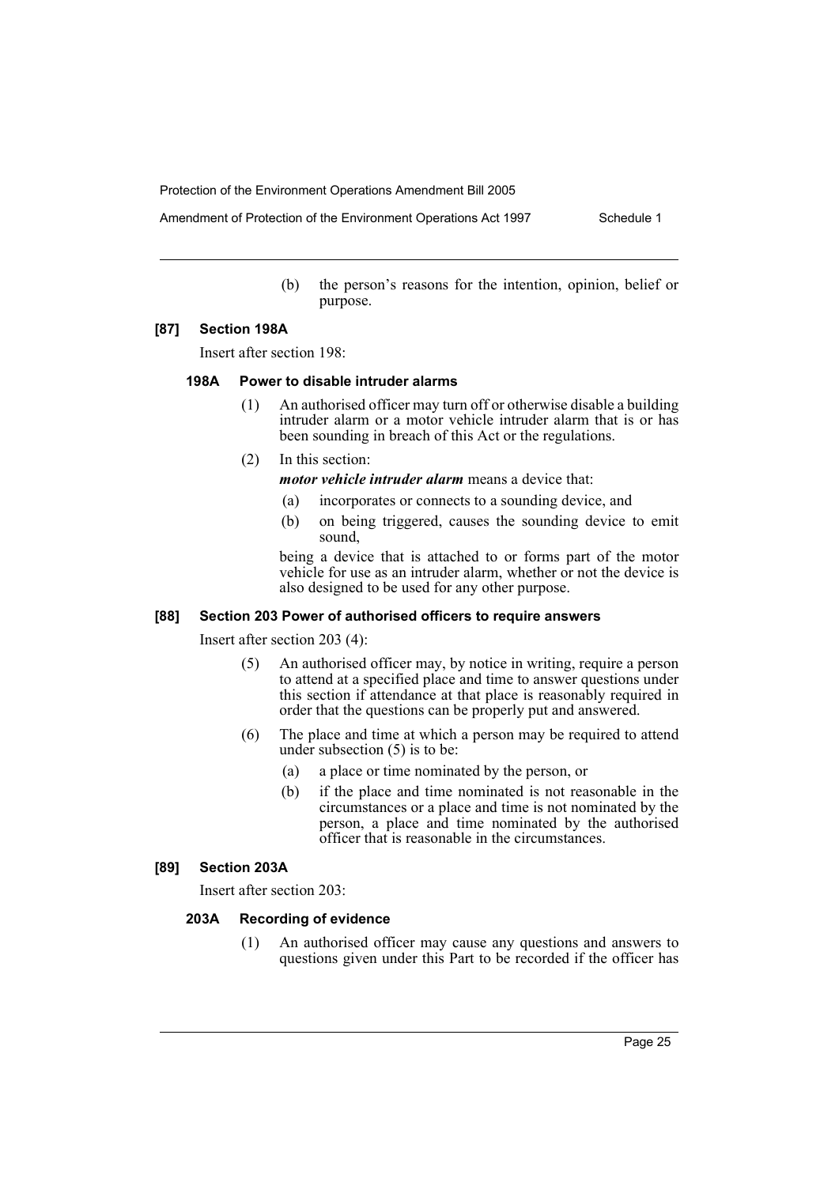Amendment of Protection of the Environment Operations Act 1997 Schedule 1

(b) the person's reasons for the intention, opinion, belief or purpose.

#### **[87] Section 198A**

Insert after section 198:

## **198A Power to disable intruder alarms**

- (1) An authorised officer may turn off or otherwise disable a building intruder alarm or a motor vehicle intruder alarm that is or has been sounding in breach of this Act or the regulations.
- (2) In this section:

*motor vehicle intruder alarm* means a device that:

- (a) incorporates or connects to a sounding device, and
- (b) on being triggered, causes the sounding device to emit sound,

being a device that is attached to or forms part of the motor vehicle for use as an intruder alarm, whether or not the device is also designed to be used for any other purpose.

#### **[88] Section 203 Power of authorised officers to require answers**

Insert after section 203 (4):

- (5) An authorised officer may, by notice in writing, require a person to attend at a specified place and time to answer questions under this section if attendance at that place is reasonably required in order that the questions can be properly put and answered.
- (6) The place and time at which a person may be required to attend under subsection (5) is to be:
	- (a) a place or time nominated by the person, or
	- (b) if the place and time nominated is not reasonable in the circumstances or a place and time is not nominated by the person, a place and time nominated by the authorised officer that is reasonable in the circumstances.

## **[89] Section 203A**

Insert after section 203:

## **203A Recording of evidence**

(1) An authorised officer may cause any questions and answers to questions given under this Part to be recorded if the officer has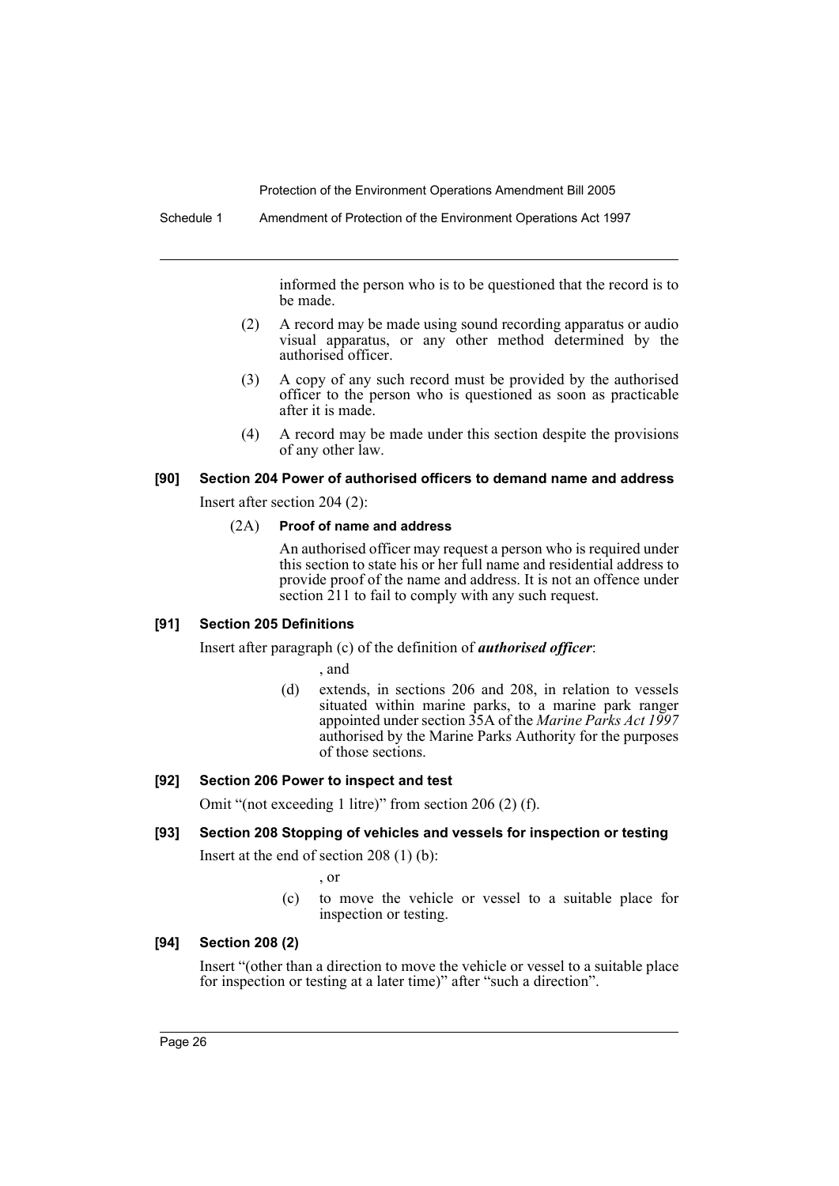Schedule 1 Amendment of Protection of the Environment Operations Act 1997

informed the person who is to be questioned that the record is to be made.

- (2) A record may be made using sound recording apparatus or audio visual apparatus, or any other method determined by the authorised officer.
- (3) A copy of any such record must be provided by the authorised officer to the person who is questioned as soon as practicable after it is made.
- (4) A record may be made under this section despite the provisions of any other law.

#### **[90] Section 204 Power of authorised officers to demand name and address**

Insert after section 204 (2):

#### (2A) **Proof of name and address**

An authorised officer may request a person who is required under this section to state his or her full name and residential address to provide proof of the name and address. It is not an offence under section 211 to fail to comply with any such request.

#### **[91] Section 205 Definitions**

Insert after paragraph (c) of the definition of *authorised officer*:

, and

(d) extends, in sections 206 and 208, in relation to vessels situated within marine parks, to a marine park ranger appointed under section 35A of the *Marine Parks Act 1997* authorised by the Marine Parks Authority for the purposes of those sections.

#### **[92] Section 206 Power to inspect and test**

Omit "(not exceeding 1 litre)" from section 206 (2) (f).

## **[93] Section 208 Stopping of vehicles and vessels for inspection or testing**

Insert at the end of section 208 (1) (b):

, or

(c) to move the vehicle or vessel to a suitable place for inspection or testing.

## **[94] Section 208 (2)**

Insert "(other than a direction to move the vehicle or vessel to a suitable place for inspection or testing at a later time)" after "such a direction".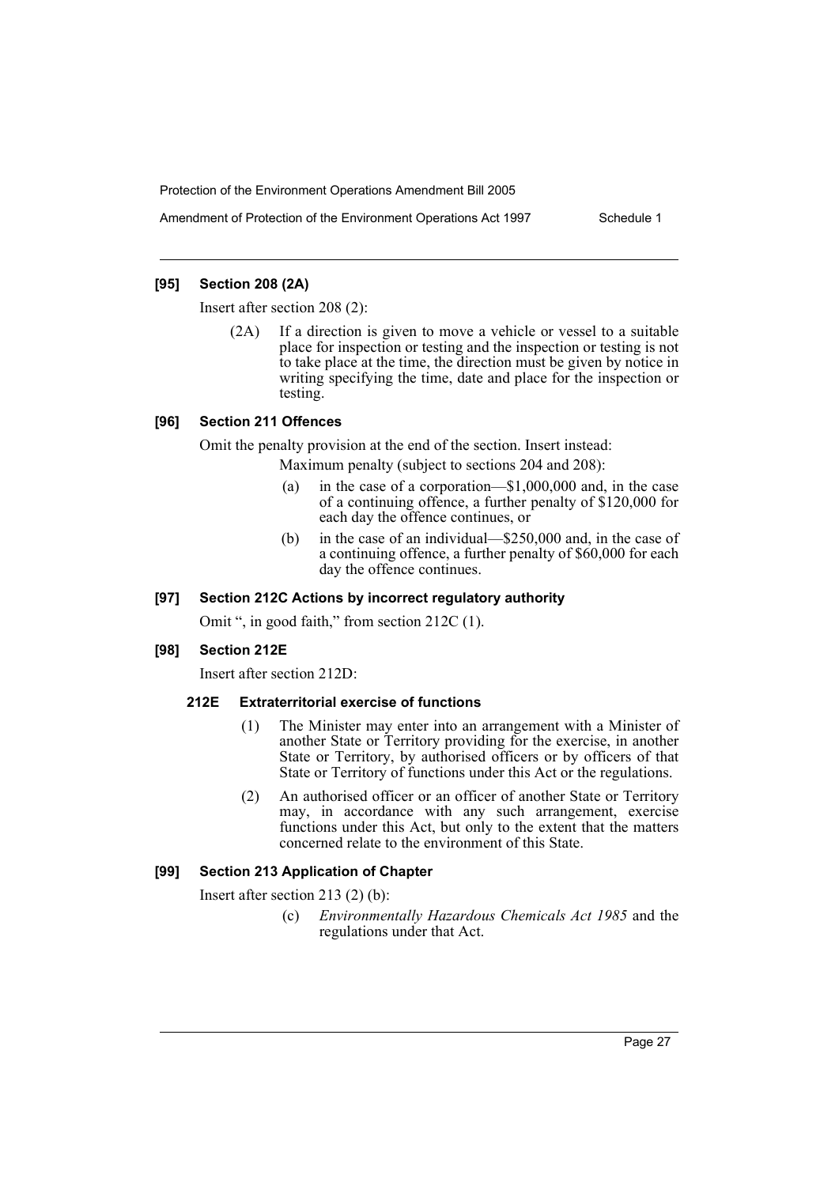Amendment of Protection of the Environment Operations Act 1997 Schedule 1

## **[95] Section 208 (2A)**

Insert after section 208 (2):

(2A) If a direction is given to move a vehicle or vessel to a suitable place for inspection or testing and the inspection or testing is not to take place at the time, the direction must be given by notice in writing specifying the time, date and place for the inspection or testing.

## **[96] Section 211 Offences**

Omit the penalty provision at the end of the section. Insert instead:

Maximum penalty (subject to sections 204 and 208):

- (a) in the case of a corporation—\$1,000,000 and, in the case of a continuing offence, a further penalty of \$120,000 for each day the offence continues, or
- (b) in the case of an individual—\$250,000 and, in the case of a continuing offence, a further penalty of \$60,000 for each day the offence continues.

## **[97] Section 212C Actions by incorrect regulatory authority**

Omit ", in good faith," from section 212C (1).

## **[98] Section 212E**

Insert after section 212D:

## **212E Extraterritorial exercise of functions**

- (1) The Minister may enter into an arrangement with a Minister of another State or Territory providing for the exercise, in another State or Territory, by authorised officers or by officers of that State or Territory of functions under this Act or the regulations.
- (2) An authorised officer or an officer of another State or Territory may, in accordance with any such arrangement, exercise functions under this Act, but only to the extent that the matters concerned relate to the environment of this State.

## **[99] Section 213 Application of Chapter**

Insert after section 213 (2) (b):

(c) *Environmentally Hazardous Chemicals Act 1985* and the regulations under that Act.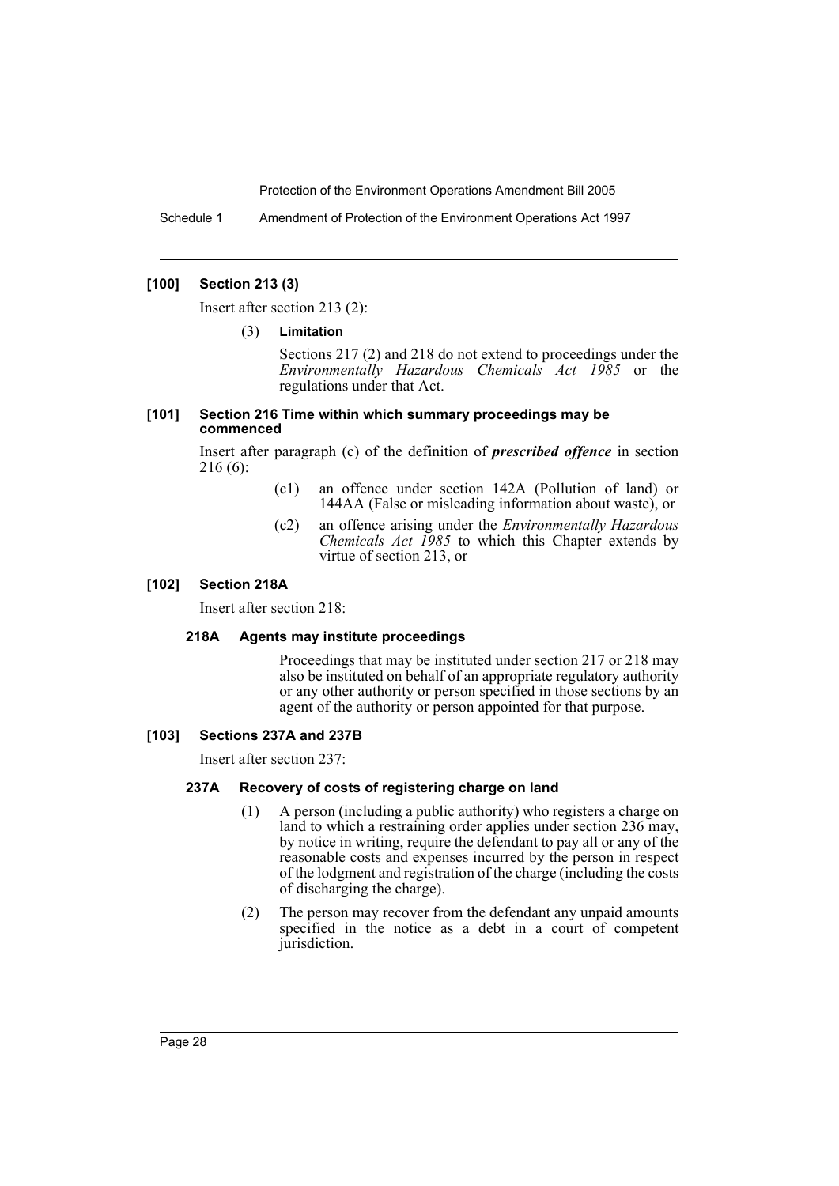Schedule 1 Amendment of Protection of the Environment Operations Act 1997

## **[100] Section 213 (3)**

Insert after section 213 (2):

#### (3) **Limitation**

Sections 217 (2) and 218 do not extend to proceedings under the *Environmentally Hazardous Chemicals Act 1985* or the regulations under that Act.

#### **[101] Section 216 Time within which summary proceedings may be commenced**

Insert after paragraph (c) of the definition of *prescribed offence* in section 216 (6):

- (c1) an offence under section 142A (Pollution of land) or 144AA (False or misleading information about waste), or
- (c2) an offence arising under the *Environmentally Hazardous Chemicals Act 1985* to which this Chapter extends by virtue of section 213, or

#### **[102] Section 218A**

Insert after section 218:

#### **218A Agents may institute proceedings**

Proceedings that may be instituted under section 217 or 218 may also be instituted on behalf of an appropriate regulatory authority or any other authority or person specified in those sections by an agent of the authority or person appointed for that purpose.

#### **[103] Sections 237A and 237B**

Insert after section 237:

#### **237A Recovery of costs of registering charge on land**

- (1) A person (including a public authority) who registers a charge on land to which a restraining order applies under section 236 may, by notice in writing, require the defendant to pay all or any of the reasonable costs and expenses incurred by the person in respect of the lodgment and registration of the charge (including the costs of discharging the charge).
- (2) The person may recover from the defendant any unpaid amounts specified in the notice as a debt in a court of competent jurisdiction.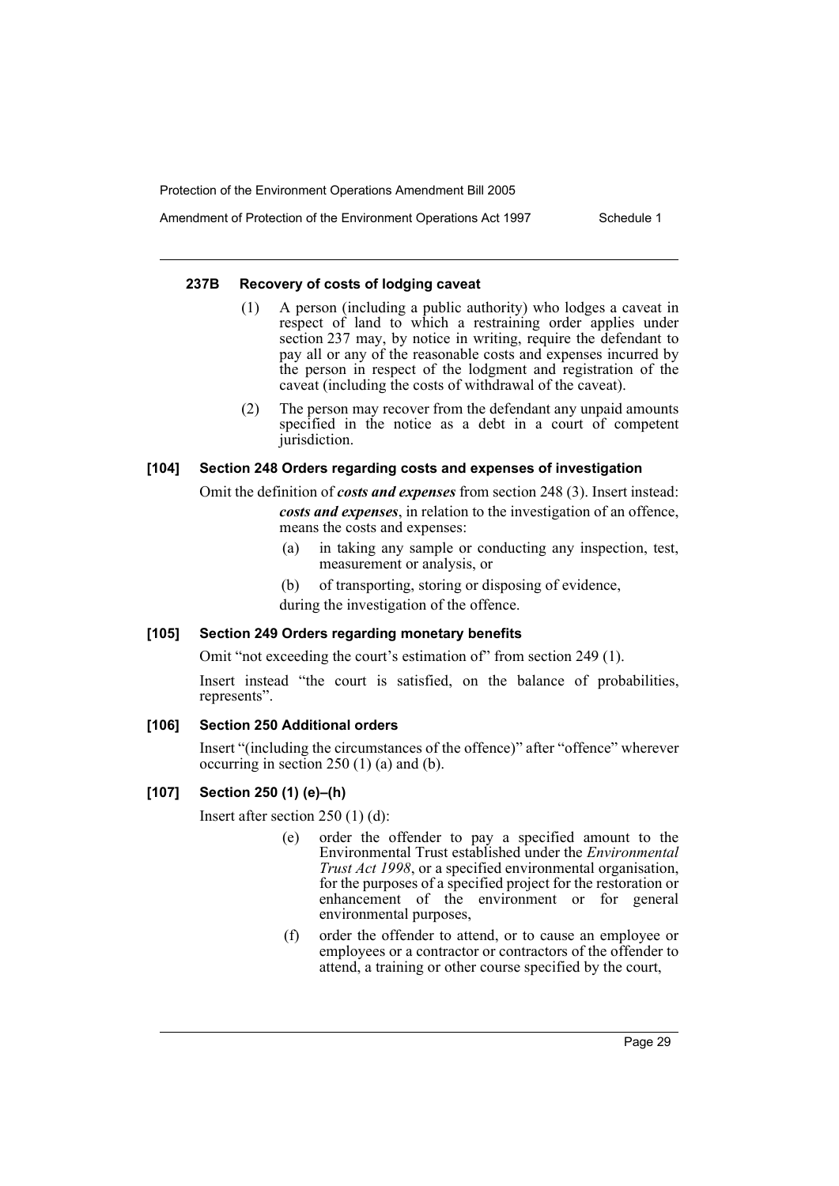Amendment of Protection of the Environment Operations Act 1997 Schedule 1

## **237B Recovery of costs of lodging caveat**

- (1) A person (including a public authority) who lodges a caveat in respect of land to which a restraining order applies under section 237 may, by notice in writing, require the defendant to pay all or any of the reasonable costs and expenses incurred by the person in respect of the lodgment and registration of the caveat (including the costs of withdrawal of the caveat).
- (2) The person may recover from the defendant any unpaid amounts specified in the notice as a debt in a court of competent jurisdiction.

## **[104] Section 248 Orders regarding costs and expenses of investigation**

Omit the definition of *costs and expenses* from section 248 (3). Insert instead: *costs and expenses*, in relation to the investigation of an offence, means the costs and expenses:

- (a) in taking any sample or conducting any inspection, test, measurement or analysis, or
- (b) of transporting, storing or disposing of evidence, during the investigation of the offence.

**[105] Section 249 Orders regarding monetary benefits**

Omit "not exceeding the court's estimation of" from section 249 (1).

Insert instead "the court is satisfied, on the balance of probabilities, represents".

## **[106] Section 250 Additional orders**

Insert "(including the circumstances of the offence)" after "offence" wherever occurring in section 250 (1) (a) and (b).

## **[107] Section 250 (1) (e)–(h)**

Insert after section 250 (1) (d):

- (e) order the offender to pay a specified amount to the Environmental Trust established under the *Environmental Trust Act 1998*, or a specified environmental organisation, for the purposes of a specified project for the restoration or enhancement of the environment or for general environmental purposes,
- (f) order the offender to attend, or to cause an employee or employees or a contractor or contractors of the offender to attend, a training or other course specified by the court,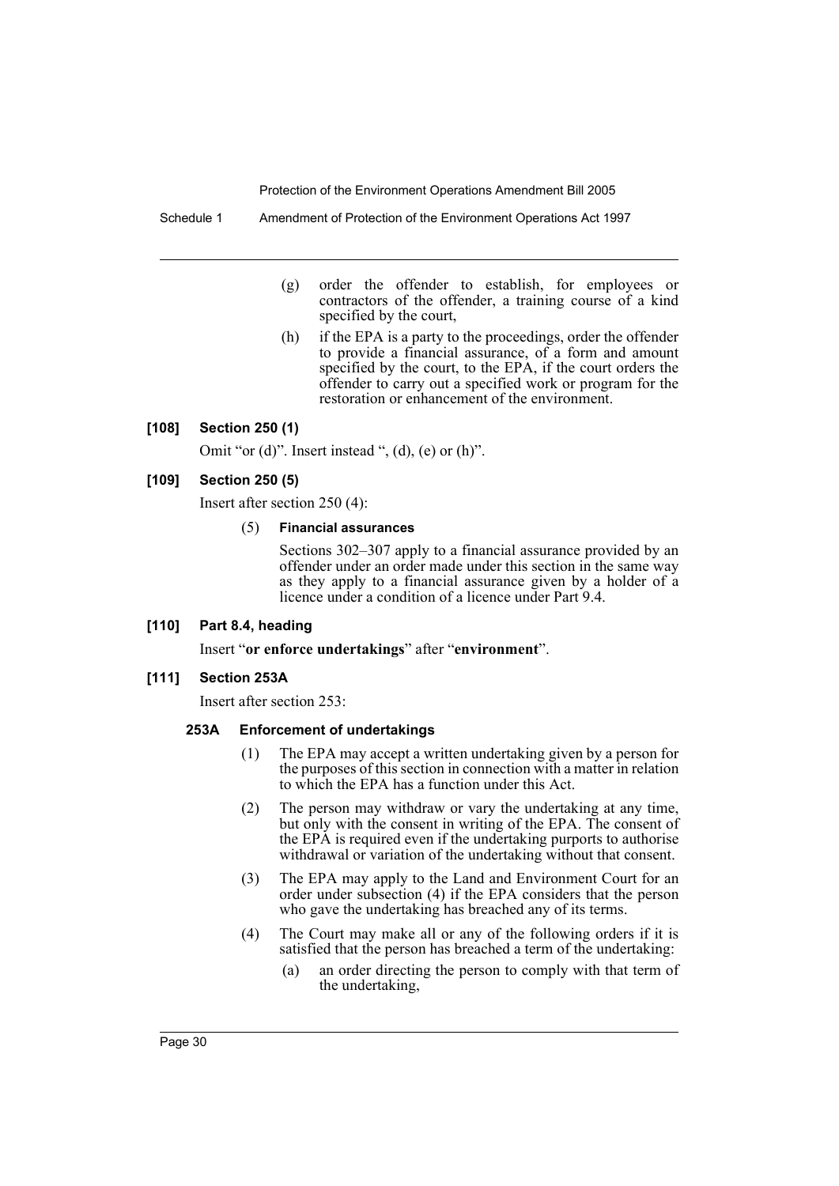Schedule 1 Amendment of Protection of the Environment Operations Act 1997

- (g) order the offender to establish, for employees or contractors of the offender, a training course of a kind specified by the court,
- (h) if the EPA is a party to the proceedings, order the offender to provide a financial assurance, of a form and amount specified by the court, to the EPA, if the court orders the offender to carry out a specified work or program for the restoration or enhancement of the environment.

#### **[108] Section 250 (1)**

Omit "or  $(d)$ ". Insert instead ",  $(d)$ ,  $(e)$  or  $(h)$ ".

#### **[109] Section 250 (5)**

Insert after section 250 (4):

#### (5) **Financial assurances**

Sections 302–307 apply to a financial assurance provided by an offender under an order made under this section in the same way as they apply to a financial assurance given by a holder of a licence under a condition of a licence under Part 9.4.

#### **[110] Part 8.4, heading**

Insert "**or enforce undertakings**" after "**environment**".

#### **[111] Section 253A**

Insert after section 253:

#### **253A Enforcement of undertakings**

- (1) The EPA may accept a written undertaking given by a person for the purposes of this section in connection with a matter in relation to which the EPA has a function under this Act.
- (2) The person may withdraw or vary the undertaking at any time, but only with the consent in writing of the EPA. The consent of the EPA is required even if the undertaking purports to authorise withdrawal or variation of the undertaking without that consent.
- (3) The EPA may apply to the Land and Environment Court for an order under subsection (4) if the EPA considers that the person who gave the undertaking has breached any of its terms.
- (4) The Court may make all or any of the following orders if it is satisfied that the person has breached a term of the undertaking:
	- (a) an order directing the person to comply with that term of the undertaking,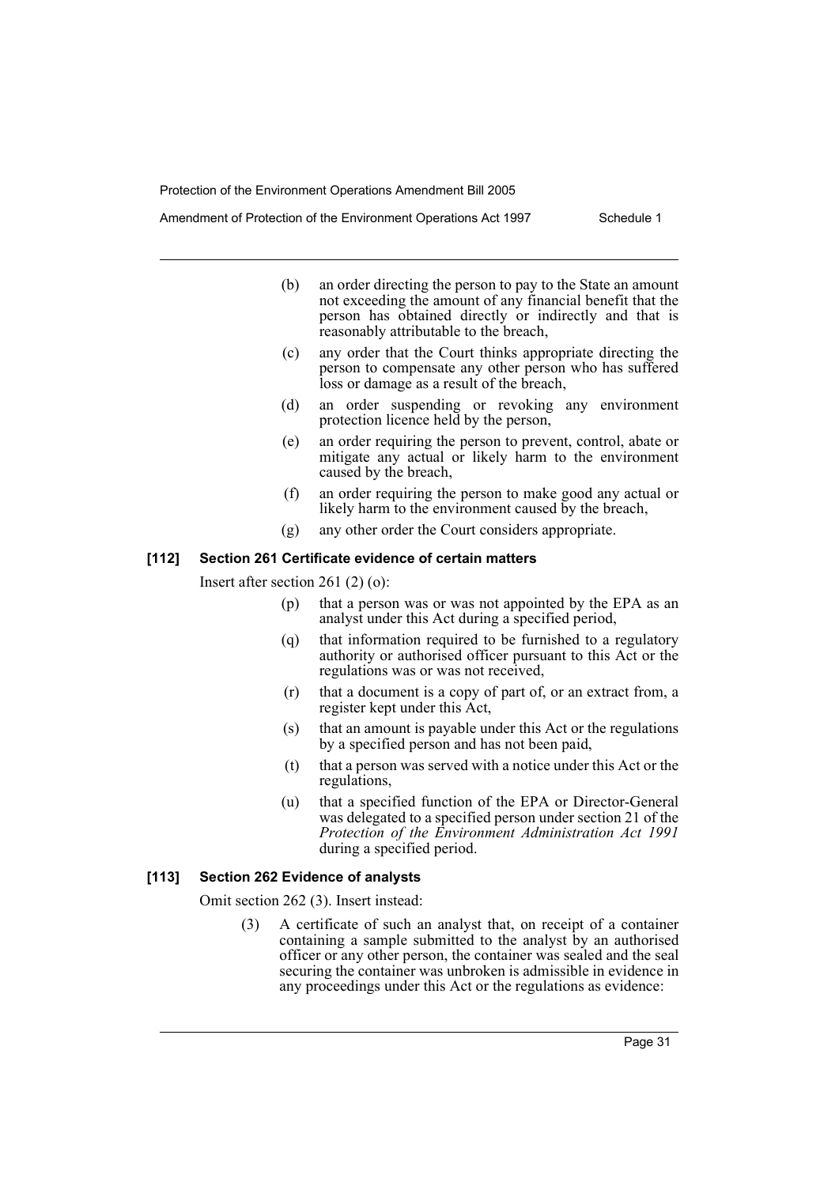Amendment of Protection of the Environment Operations Act 1997 Schedule 1

- (b) an order directing the person to pay to the State an amount not exceeding the amount of any financial benefit that the person has obtained directly or indirectly and that is reasonably attributable to the breach,
- (c) any order that the Court thinks appropriate directing the person to compensate any other person who has suffered loss or damage as a result of the breach,
- (d) an order suspending or revoking any environment protection licence held by the person,
- (e) an order requiring the person to prevent, control, abate or mitigate any actual or likely harm to the environment caused by the breach,
- (f) an order requiring the person to make good any actual or likely harm to the environment caused by the breach,
- (g) any other order the Court considers appropriate.

#### **[112] Section 261 Certificate evidence of certain matters**

Insert after section 261 (2) (o):

- (p) that a person was or was not appointed by the EPA as an analyst under this Act during a specified period,
- (q) that information required to be furnished to a regulatory authority or authorised officer pursuant to this Act or the regulations was or was not received,
- (r) that a document is a copy of part of, or an extract from, a register kept under this Act,
- (s) that an amount is payable under this Act or the regulations by a specified person and has not been paid,
- (t) that a person was served with a notice under this Act or the regulations,
- (u) that a specified function of the EPA or Director-General was delegated to a specified person under section 21 of the *Protection of the Environment Administration Act 1991* during a specified period.

#### **[113] Section 262 Evidence of analysts**

Omit section 262 (3). Insert instead:

A certificate of such an analyst that, on receipt of a container containing a sample submitted to the analyst by an authorised officer or any other person, the container was sealed and the seal securing the container was unbroken is admissible in evidence in any proceedings under this Act or the regulations as evidence: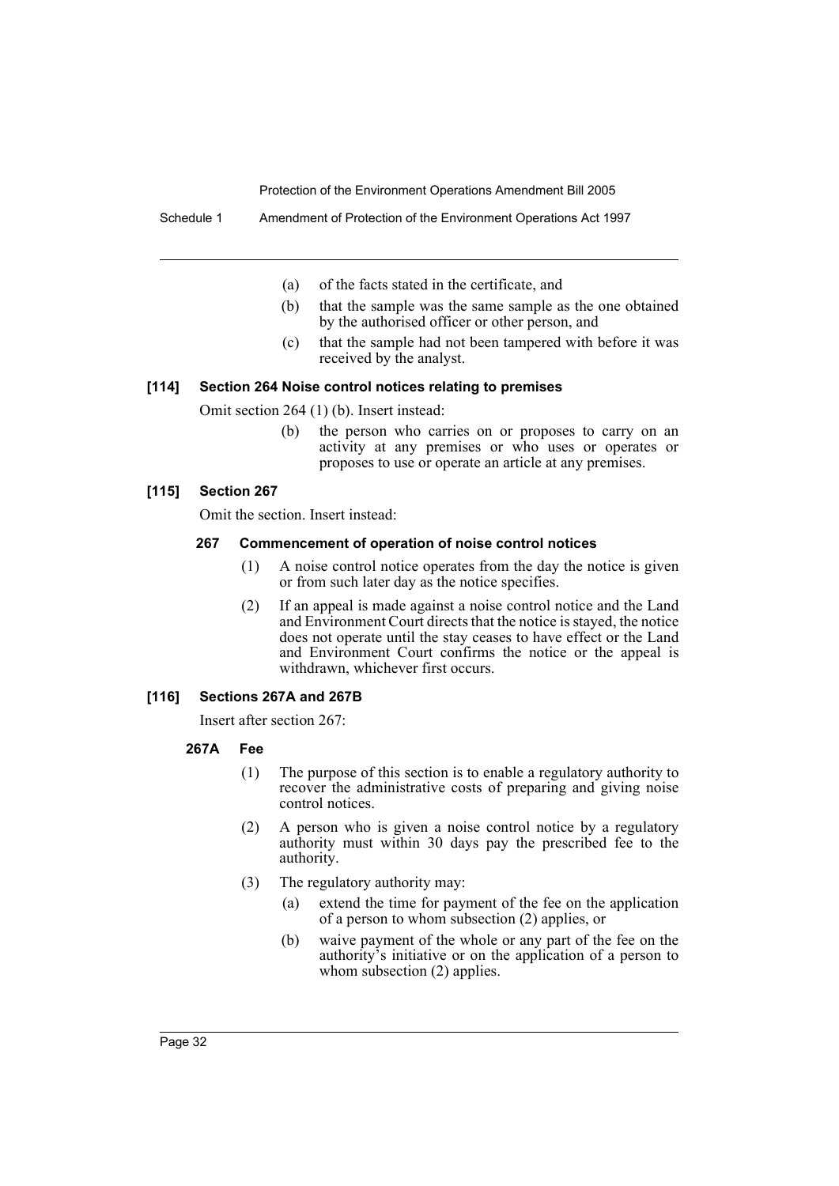Schedule 1 Amendment of Protection of the Environment Operations Act 1997

- (a) of the facts stated in the certificate, and
- (b) that the sample was the same sample as the one obtained by the authorised officer or other person, and
- (c) that the sample had not been tampered with before it was received by the analyst.

#### **[114] Section 264 Noise control notices relating to premises**

Omit section 264 (1) (b). Insert instead:

(b) the person who carries on or proposes to carry on an activity at any premises or who uses or operates or proposes to use or operate an article at any premises.

## **[115] Section 267**

Omit the section. Insert instead:

#### **267 Commencement of operation of noise control notices**

- (1) A noise control notice operates from the day the notice is given or from such later day as the notice specifies.
- (2) If an appeal is made against a noise control notice and the Land and Environment Court directs that the notice is stayed, the notice does not operate until the stay ceases to have effect or the Land and Environment Court confirms the notice or the appeal is withdrawn, whichever first occurs.

#### **[116] Sections 267A and 267B**

Insert after section 267:

## **267A Fee**

- (1) The purpose of this section is to enable a regulatory authority to recover the administrative costs of preparing and giving noise control notices.
- (2) A person who is given a noise control notice by a regulatory authority must within 30 days pay the prescribed fee to the authority.
- (3) The regulatory authority may:
	- (a) extend the time for payment of the fee on the application of a person to whom subsection (2) applies, or
	- (b) waive payment of the whole or any part of the fee on the authority's initiative or on the application of a person to whom subsection (2) applies.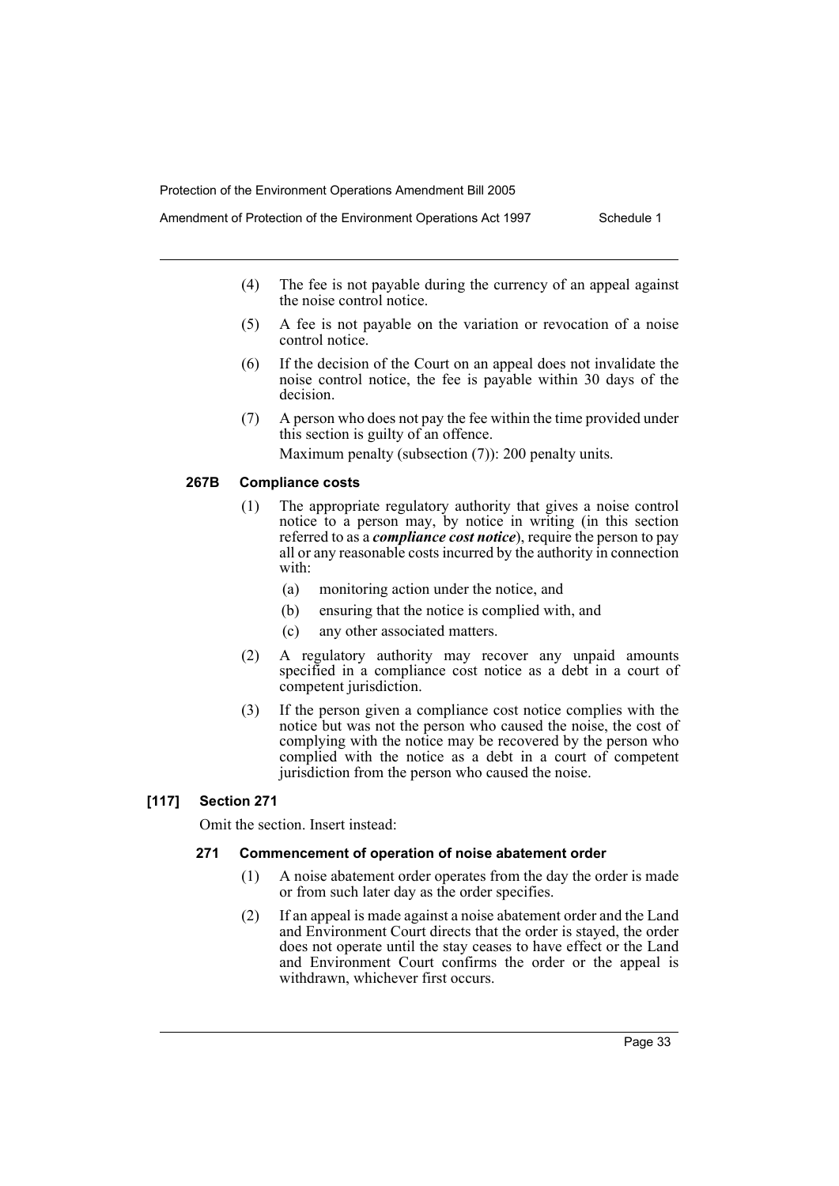- (4) The fee is not payable during the currency of an appeal against the noise control notice.
- (5) A fee is not payable on the variation or revocation of a noise control notice.
- (6) If the decision of the Court on an appeal does not invalidate the noise control notice, the fee is payable within 30 days of the decision.
- (7) A person who does not pay the fee within the time provided under this section is guilty of an offence. Maximum penalty (subsection (7)): 200 penalty units.

## **267B Compliance costs**

- (1) The appropriate regulatory authority that gives a noise control notice to a person may, by notice in writing (in this section referred to as a *compliance cost notice*), require the person to pay all or any reasonable costs incurred by the authority in connection with:
	- (a) monitoring action under the notice, and
	- (b) ensuring that the notice is complied with, and
	- (c) any other associated matters.
- (2) A regulatory authority may recover any unpaid amounts specified in a compliance cost notice as a debt in a court of competent jurisdiction.
- (3) If the person given a compliance cost notice complies with the notice but was not the person who caused the noise, the cost of complying with the notice may be recovered by the person who complied with the notice as a debt in a court of competent jurisdiction from the person who caused the noise.

## **[117] Section 271**

Omit the section. Insert instead:

## **271 Commencement of operation of noise abatement order**

- (1) A noise abatement order operates from the day the order is made or from such later day as the order specifies.
- (2) If an appeal is made against a noise abatement order and the Land and Environment Court directs that the order is stayed, the order does not operate until the stay ceases to have effect or the Land and Environment Court confirms the order or the appeal is withdrawn, whichever first occurs.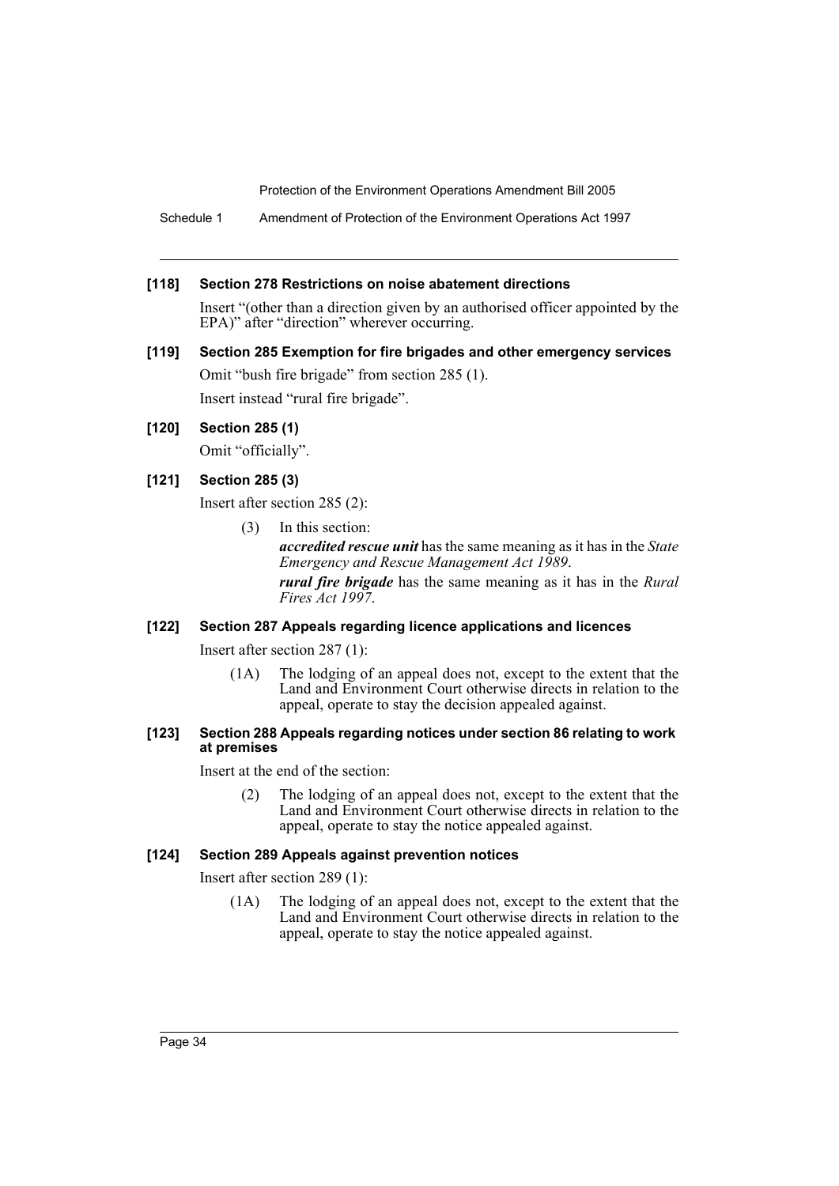Schedule 1 Amendment of Protection of the Environment Operations Act 1997

#### **[118] Section 278 Restrictions on noise abatement directions**

Insert "(other than a direction given by an authorised officer appointed by the EPA)" after "direction" wherever occurring.

**[119] Section 285 Exemption for fire brigades and other emergency services** Omit "bush fire brigade" from section 285 (1). Insert instead "rural fire brigade".

## **[120] Section 285 (1)**

Omit "officially".

#### **[121] Section 285 (3)**

Insert after section 285 (2):

(3) In this section:

*accredited rescue unit* has the same meaning as it has in the *State Emergency and Rescue Management Act 1989*.

*rural fire brigade* has the same meaning as it has in the *Rural Fires Act 1997*.

## **[122] Section 287 Appeals regarding licence applications and licences**

Insert after section 287 (1):

(1A) The lodging of an appeal does not, except to the extent that the Land and Environment Court otherwise directs in relation to the appeal, operate to stay the decision appealed against.

#### **[123] Section 288 Appeals regarding notices under section 86 relating to work at premises**

Insert at the end of the section:

(2) The lodging of an appeal does not, except to the extent that the Land and Environment Court otherwise directs in relation to the appeal, operate to stay the notice appealed against.

## **[124] Section 289 Appeals against prevention notices**

Insert after section 289 (1):

(1A) The lodging of an appeal does not, except to the extent that the Land and Environment Court otherwise directs in relation to the appeal, operate to stay the notice appealed against.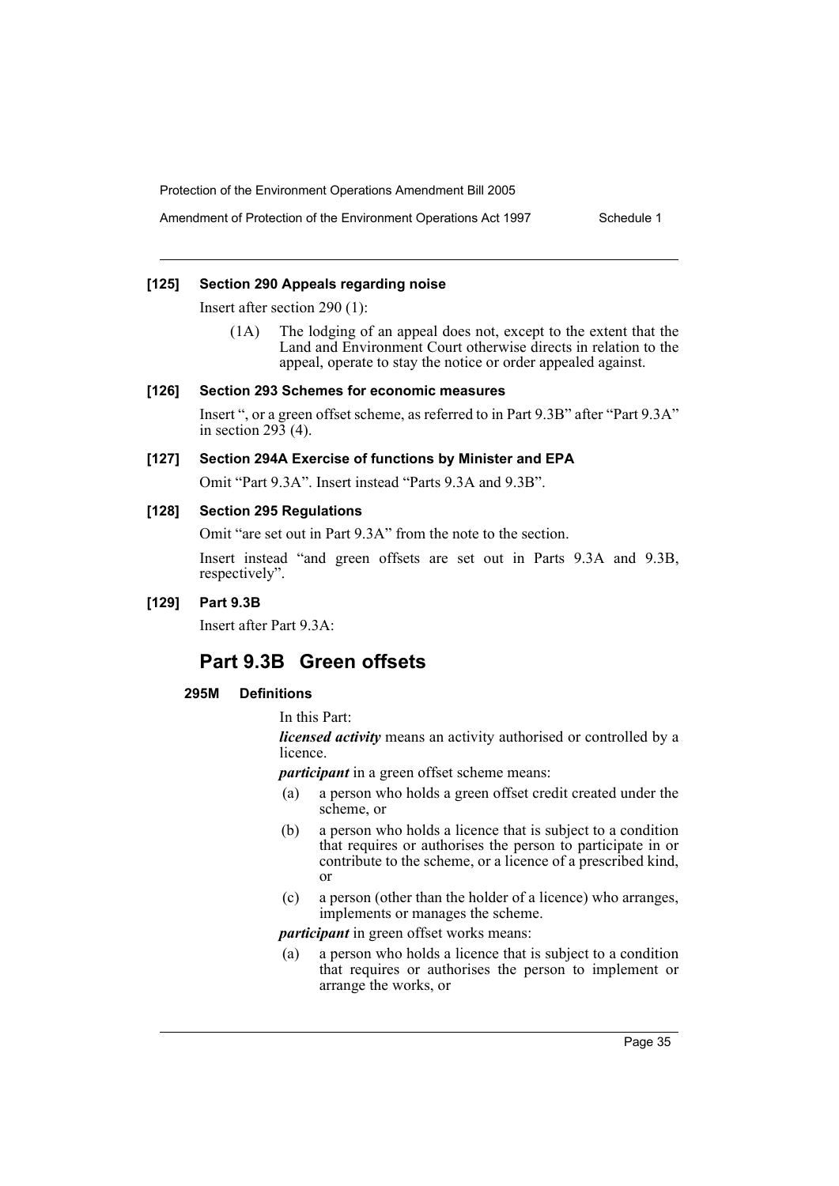Amendment of Protection of the Environment Operations Act 1997 Schedule 1

#### **[125] Section 290 Appeals regarding noise**

Insert after section 290 (1):

(1A) The lodging of an appeal does not, except to the extent that the Land and Environment Court otherwise directs in relation to the appeal, operate to stay the notice or order appealed against.

#### **[126] Section 293 Schemes for economic measures**

Insert ", or a green offset scheme, as referred to in Part 9.3B" after "Part 9.3A" in section  $29\overline{3}$  (4).

#### **[127] Section 294A Exercise of functions by Minister and EPA**

Omit "Part 9.3A". Insert instead "Parts 9.3A and 9.3B".

## **[128] Section 295 Regulations**

Omit "are set out in Part 9.3A" from the note to the section.

Insert instead "and green offsets are set out in Parts 9.3A and 9.3B, respectively".

## **[129] Part 9.3B**

Insert after Part 9.3A:

## **Part 9.3B Green offsets**

## **295M Definitions**

#### In this Part:

*licensed activity* means an activity authorised or controlled by a licence.

*participant* in a green offset scheme means:

- (a) a person who holds a green offset credit created under the scheme, or
- (b) a person who holds a licence that is subject to a condition that requires or authorises the person to participate in or contribute to the scheme, or a licence of a prescribed kind, or
- (c) a person (other than the holder of a licence) who arranges, implements or manages the scheme.

*participant* in green offset works means:

(a) a person who holds a licence that is subject to a condition that requires or authorises the person to implement or arrange the works, or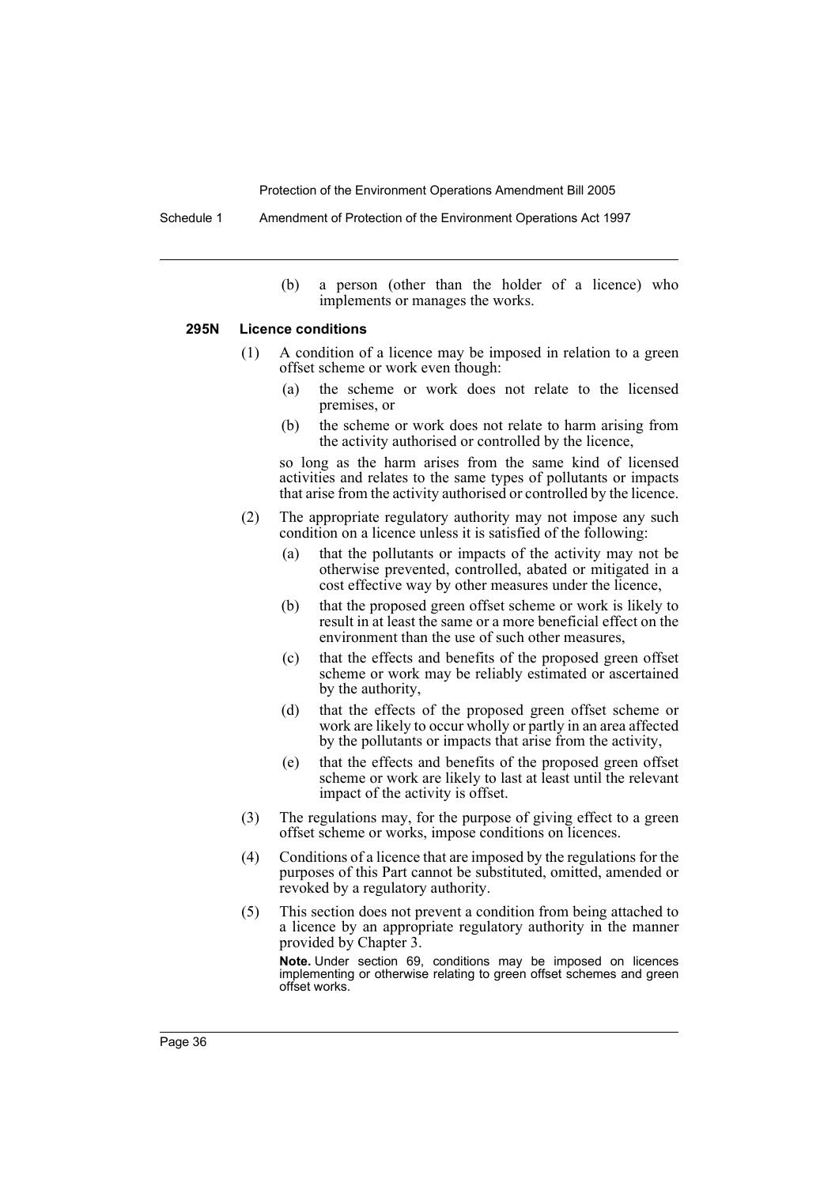Schedule 1 Amendment of Protection of the Environment Operations Act 1997

(b) a person (other than the holder of a licence) who implements or manages the works.

#### **295N Licence conditions**

- (1) A condition of a licence may be imposed in relation to a green offset scheme or work even though:
	- (a) the scheme or work does not relate to the licensed premises, or
	- (b) the scheme or work does not relate to harm arising from the activity authorised or controlled by the licence,

so long as the harm arises from the same kind of licensed activities and relates to the same types of pollutants or impacts that arise from the activity authorised or controlled by the licence.

- (2) The appropriate regulatory authority may not impose any such condition on a licence unless it is satisfied of the following:
	- (a) that the pollutants or impacts of the activity may not be otherwise prevented, controlled, abated or mitigated in a cost effective way by other measures under the licence,
	- (b) that the proposed green offset scheme or work is likely to result in at least the same or a more beneficial effect on the environment than the use of such other measures,
	- (c) that the effects and benefits of the proposed green offset scheme or work may be reliably estimated or ascertained by the authority,
	- (d) that the effects of the proposed green offset scheme or work are likely to occur wholly or partly in an area affected by the pollutants or impacts that arise from the activity,
	- (e) that the effects and benefits of the proposed green offset scheme or work are likely to last at least until the relevant impact of the activity is offset.
- (3) The regulations may, for the purpose of giving effect to a green offset scheme or works, impose conditions on licences.
- (4) Conditions of a licence that are imposed by the regulations for the purposes of this Part cannot be substituted, omitted, amended or revoked by a regulatory authority.
- (5) This section does not prevent a condition from being attached to a licence by an appropriate regulatory authority in the manner provided by Chapter 3.

**Note.** Under section 69, conditions may be imposed on licences implementing or otherwise relating to green offset schemes and green offset works.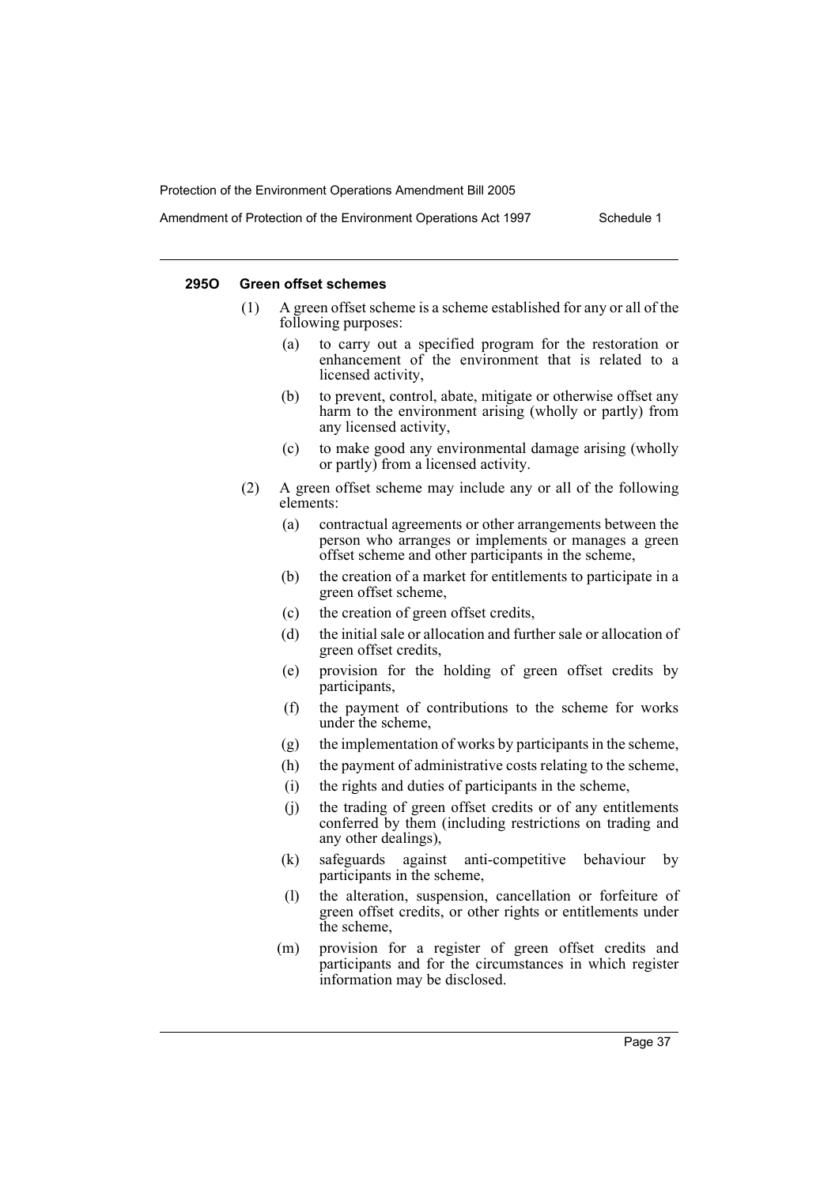#### **295O Green offset schemes**

- (1) A green offset scheme is a scheme established for any or all of the following purposes:
	- (a) to carry out a specified program for the restoration or enhancement of the environment that is related to a licensed activity,
	- (b) to prevent, control, abate, mitigate or otherwise offset any harm to the environment arising (wholly or partly) from any licensed activity,
	- (c) to make good any environmental damage arising (wholly or partly) from a licensed activity.
- (2) A green offset scheme may include any or all of the following elements:
	- (a) contractual agreements or other arrangements between the person who arranges or implements or manages a green offset scheme and other participants in the scheme,
	- (b) the creation of a market for entitlements to participate in a green offset scheme,
	- (c) the creation of green offset credits,
	- (d) the initial sale or allocation and further sale or allocation of green offset credits,
	- (e) provision for the holding of green offset credits by participants,
	- (f) the payment of contributions to the scheme for works under the scheme,
	- (g) the implementation of works by participants in the scheme,
	- (h) the payment of administrative costs relating to the scheme,
	- (i) the rights and duties of participants in the scheme,
	- (j) the trading of green offset credits or of any entitlements conferred by them (including restrictions on trading and any other dealings),
	- (k) safeguards against anti-competitive behaviour by participants in the scheme,
	- (l) the alteration, suspension, cancellation or forfeiture of green offset credits, or other rights or entitlements under the scheme,
	- (m) provision for a register of green offset credits and participants and for the circumstances in which register information may be disclosed.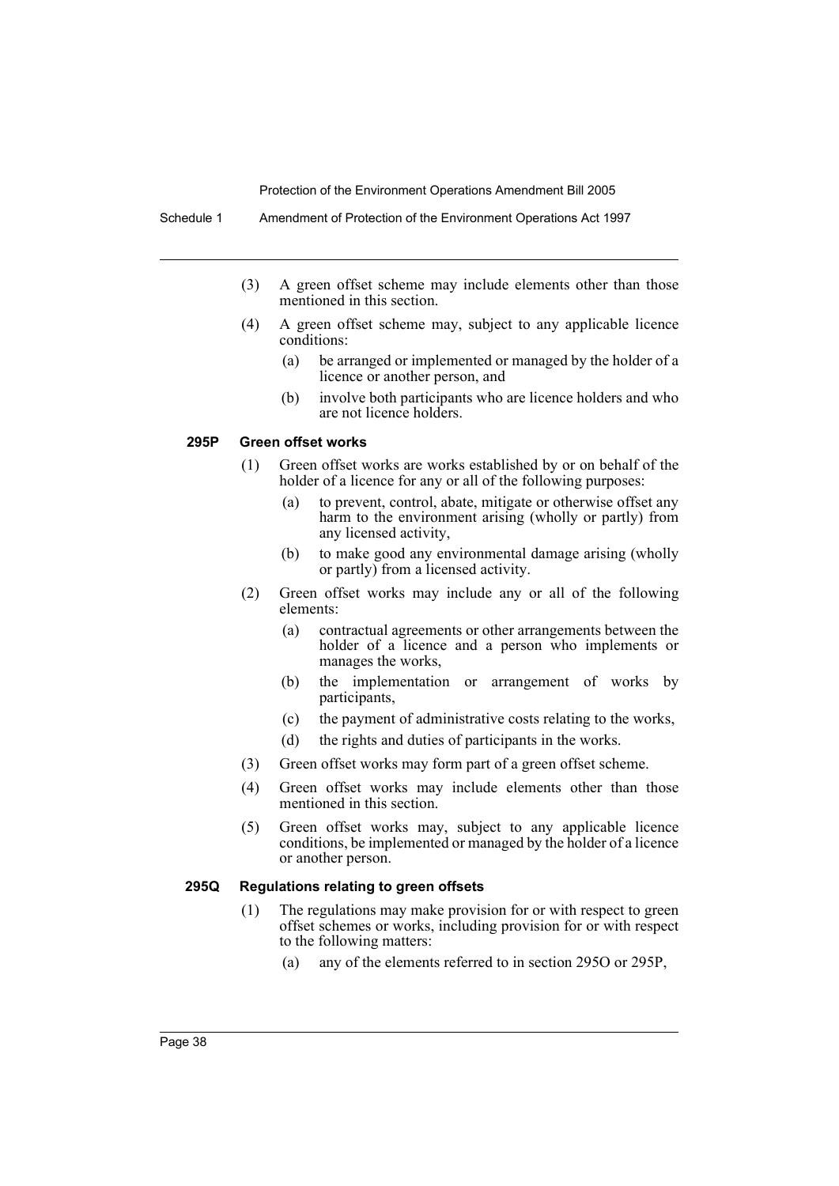- (3) A green offset scheme may include elements other than those mentioned in this section.
- (4) A green offset scheme may, subject to any applicable licence conditions:
	- (a) be arranged or implemented or managed by the holder of a licence or another person, and
	- (b) involve both participants who are licence holders and who are not licence holders.

## **295P Green offset works**

- (1) Green offset works are works established by or on behalf of the holder of a licence for any or all of the following purposes:
	- (a) to prevent, control, abate, mitigate or otherwise offset any harm to the environment arising (wholly or partly) from any licensed activity,
	- (b) to make good any environmental damage arising (wholly or partly) from a licensed activity.
- (2) Green offset works may include any or all of the following elements:
	- (a) contractual agreements or other arrangements between the holder of a licence and a person who implements or manages the works,
	- (b) the implementation or arrangement of works by participants,
	- (c) the payment of administrative costs relating to the works,
	- (d) the rights and duties of participants in the works.
- (3) Green offset works may form part of a green offset scheme.
- (4) Green offset works may include elements other than those mentioned in this section.
- (5) Green offset works may, subject to any applicable licence conditions, be implemented or managed by the holder of a licence or another person.

## **295Q Regulations relating to green offsets**

- (1) The regulations may make provision for or with respect to green offset schemes or works, including provision for or with respect to the following matters:
	- (a) any of the elements referred to in section 295O or 295P,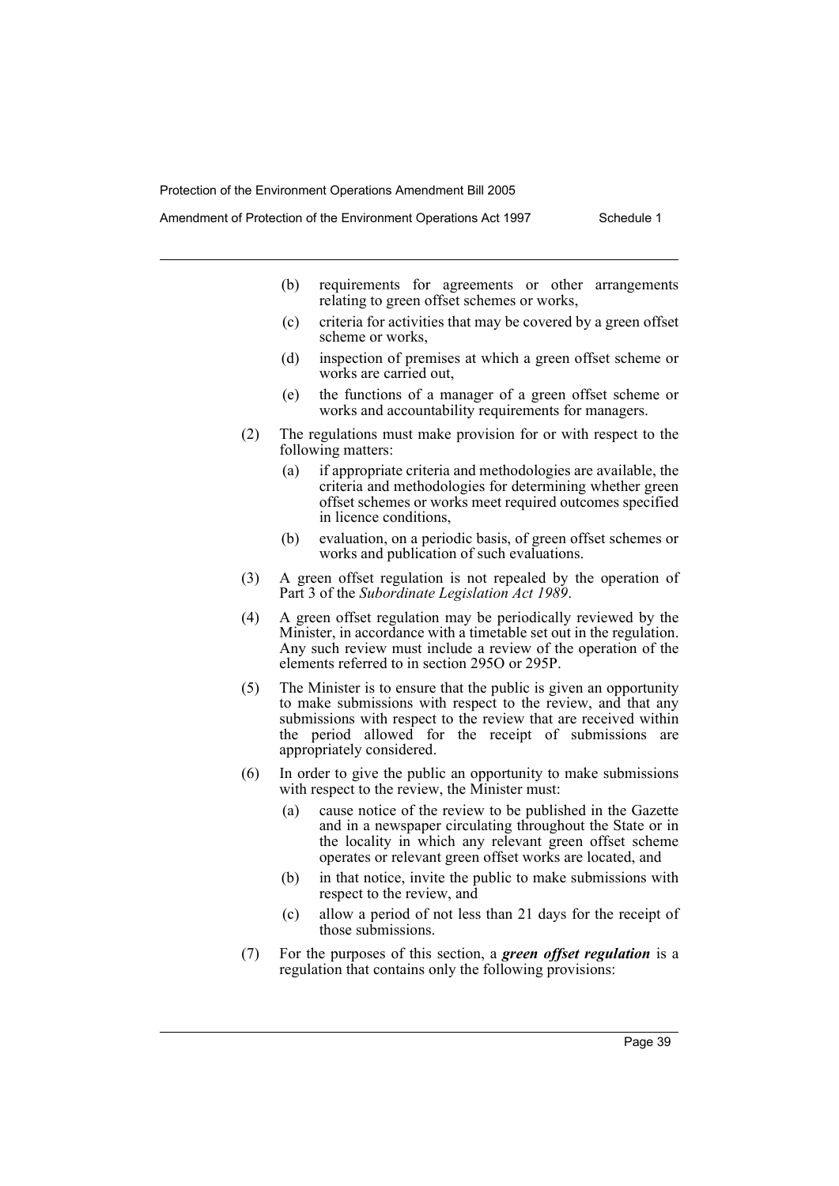Amendment of Protection of the Environment Operations Act 1997 Schedule 1

- (b) requirements for agreements or other arrangements relating to green offset schemes or works,
- (c) criteria for activities that may be covered by a green offset scheme or works,
- (d) inspection of premises at which a green offset scheme or works are carried out,
- (e) the functions of a manager of a green offset scheme or works and accountability requirements for managers.
- (2) The regulations must make provision for or with respect to the following matters:
	- (a) if appropriate criteria and methodologies are available, the criteria and methodologies for determining whether green offset schemes or works meet required outcomes specified in licence conditions,
	- (b) evaluation, on a periodic basis, of green offset schemes or works and publication of such evaluations.
- (3) A green offset regulation is not repealed by the operation of Part 3 of the *Subordinate Legislation Act 1989*.
- (4) A green offset regulation may be periodically reviewed by the Minister, in accordance with a timetable set out in the regulation. Any such review must include a review of the operation of the elements referred to in section 295O or 295P.
- (5) The Minister is to ensure that the public is given an opportunity to make submissions with respect to the review, and that any submissions with respect to the review that are received within the period allowed for the receipt of submissions are appropriately considered.
- (6) In order to give the public an opportunity to make submissions with respect to the review, the Minister must:
	- (a) cause notice of the review to be published in the Gazette and in a newspaper circulating throughout the State or in the locality in which any relevant green offset scheme operates or relevant green offset works are located, and
	- (b) in that notice, invite the public to make submissions with respect to the review, and
	- (c) allow a period of not less than 21 days for the receipt of those submissions.
- (7) For the purposes of this section, a *green offset regulation* is a regulation that contains only the following provisions: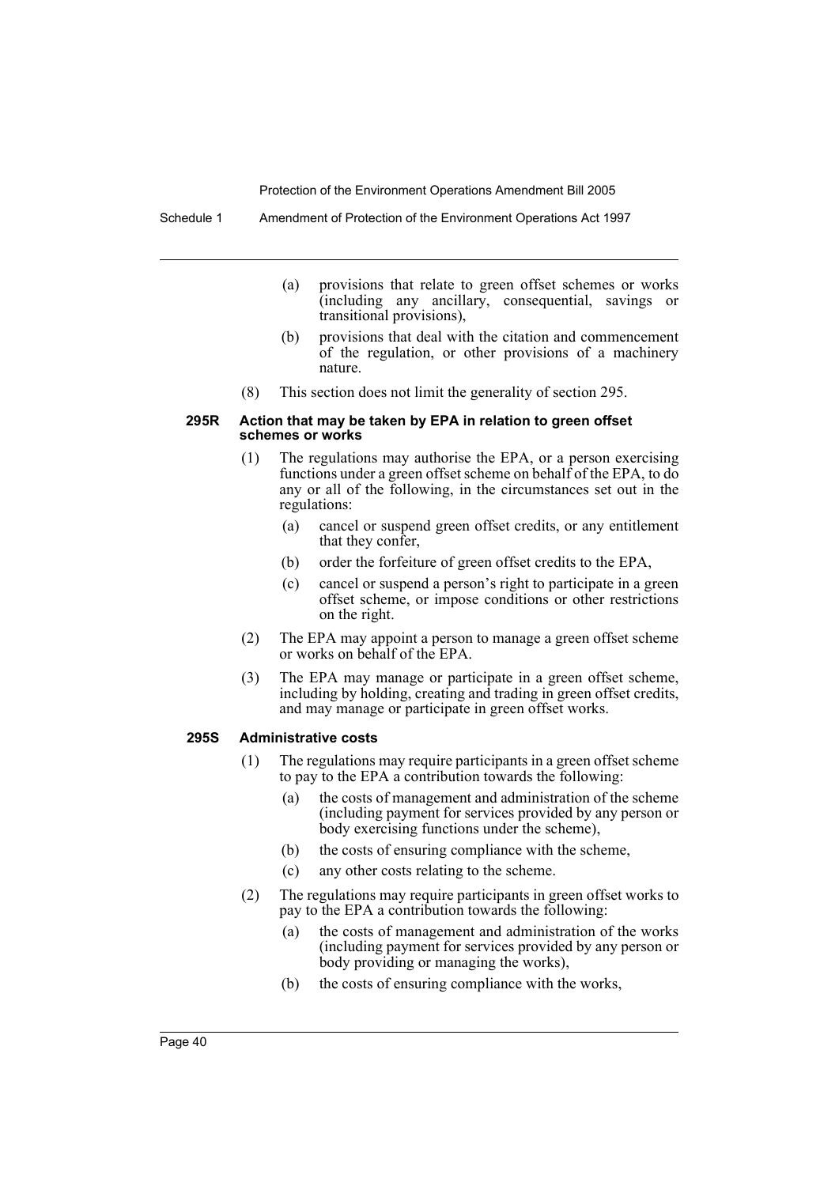Schedule 1 Amendment of Protection of the Environment Operations Act 1997

- (a) provisions that relate to green offset schemes or works (including any ancillary, consequential, savings or transitional provisions),
- (b) provisions that deal with the citation and commencement of the regulation, or other provisions of a machinery nature.
- (8) This section does not limit the generality of section 295.

#### **295R Action that may be taken by EPA in relation to green offset schemes or works**

- (1) The regulations may authorise the EPA, or a person exercising functions under a green offset scheme on behalf of the EPA, to do any or all of the following, in the circumstances set out in the regulations:
	- (a) cancel or suspend green offset credits, or any entitlement that they confer,
	- (b) order the forfeiture of green offset credits to the EPA,
	- (c) cancel or suspend a person's right to participate in a green offset scheme, or impose conditions or other restrictions on the right.
- (2) The EPA may appoint a person to manage a green offset scheme or works on behalf of the EPA.
- (3) The EPA may manage or participate in a green offset scheme, including by holding, creating and trading in green offset credits, and may manage or participate in green offset works.

## **295S Administrative costs**

- (1) The regulations may require participants in a green offset scheme to pay to the EPA a contribution towards the following:
	- (a) the costs of management and administration of the scheme (including payment for services provided by any person or body exercising functions under the scheme),
	- (b) the costs of ensuring compliance with the scheme,
	- (c) any other costs relating to the scheme.
- (2) The regulations may require participants in green offset works to pay to the EPA a contribution towards the following:
	- (a) the costs of management and administration of the works (including payment for services provided by any person or body providing or managing the works),
	- (b) the costs of ensuring compliance with the works,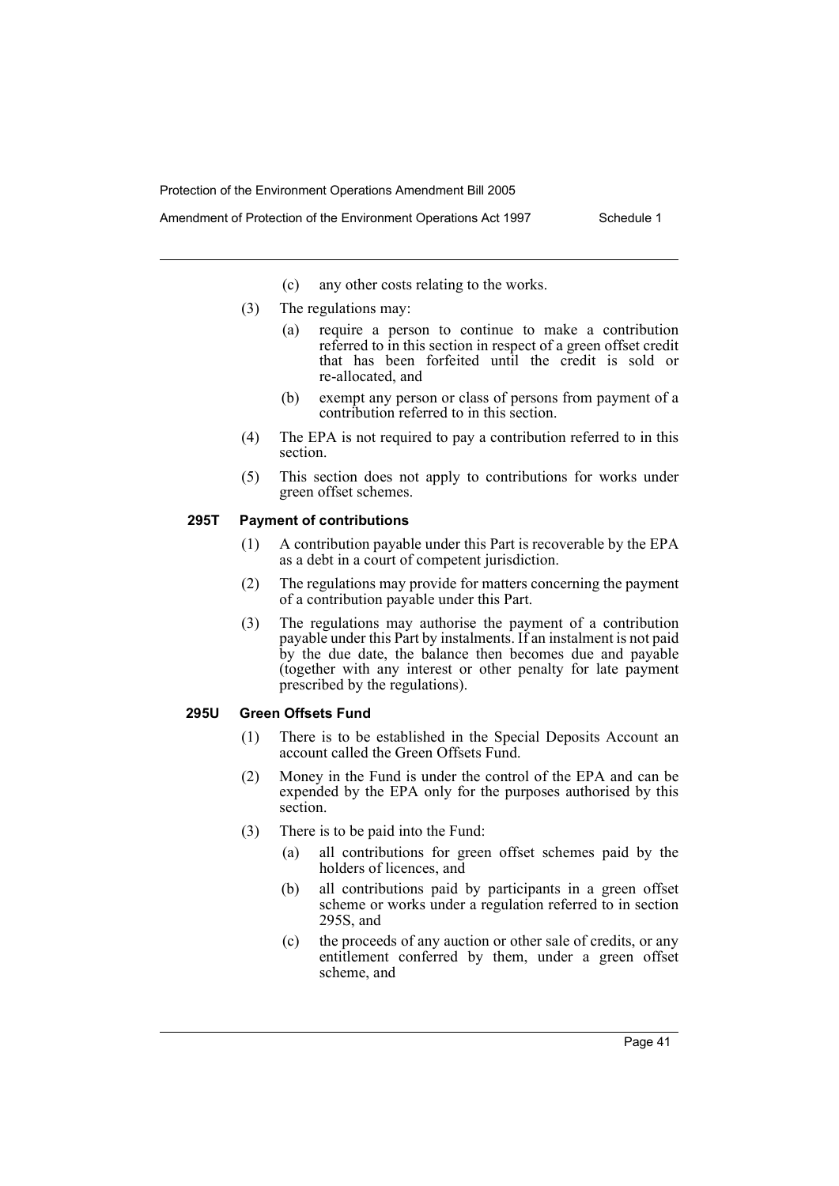- (c) any other costs relating to the works.
- (3) The regulations may:
	- (a) require a person to continue to make a contribution referred to in this section in respect of a green offset credit that has been forfeited until the credit is sold or re-allocated, and
	- (b) exempt any person or class of persons from payment of a contribution referred to in this section.
- (4) The EPA is not required to pay a contribution referred to in this section.
- (5) This section does not apply to contributions for works under green offset schemes.

## **295T Payment of contributions**

- (1) A contribution payable under this Part is recoverable by the EPA as a debt in a court of competent jurisdiction.
- (2) The regulations may provide for matters concerning the payment of a contribution payable under this Part.
- (3) The regulations may authorise the payment of a contribution payable under this Part by instalments. If an instalment is not paid by the due date, the balance then becomes due and payable (together with any interest or other penalty for late payment prescribed by the regulations).

#### **295U Green Offsets Fund**

- (1) There is to be established in the Special Deposits Account an account called the Green Offsets Fund.
- (2) Money in the Fund is under the control of the EPA and can be expended by the EPA only for the purposes authorised by this section.
- (3) There is to be paid into the Fund:
	- (a) all contributions for green offset schemes paid by the holders of licences, and
	- (b) all contributions paid by participants in a green offset scheme or works under a regulation referred to in section 295S, and
	- (c) the proceeds of any auction or other sale of credits, or any entitlement conferred by them, under a green offset scheme, and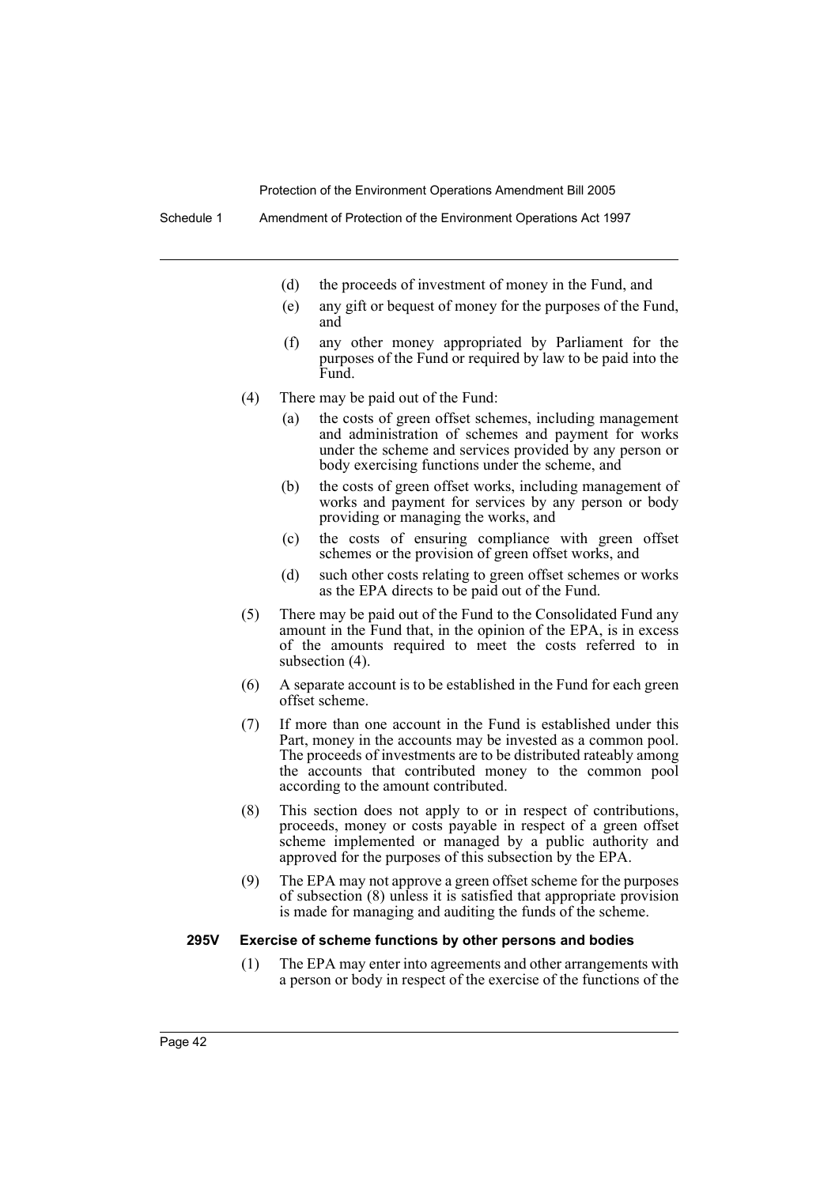- (d) the proceeds of investment of money in the Fund, and
- (e) any gift or bequest of money for the purposes of the Fund, and
- (f) any other money appropriated by Parliament for the purposes of the Fund or required by law to be paid into the Fund.
- (4) There may be paid out of the Fund:
	- (a) the costs of green offset schemes, including management and administration of schemes and payment for works under the scheme and services provided by any person or body exercising functions under the scheme, and
	- (b) the costs of green offset works, including management of works and payment for services by any person or body providing or managing the works, and
	- (c) the costs of ensuring compliance with green offset schemes or the provision of green offset works, and
	- (d) such other costs relating to green offset schemes or works as the EPA directs to be paid out of the Fund.
- (5) There may be paid out of the Fund to the Consolidated Fund any amount in the Fund that, in the opinion of the EPA, is in excess of the amounts required to meet the costs referred to in subsection (4).
- (6) A separate account is to be established in the Fund for each green offset scheme.
- (7) If more than one account in the Fund is established under this Part, money in the accounts may be invested as a common pool. The proceeds of investments are to be distributed rateably among the accounts that contributed money to the common pool according to the amount contributed.
- (8) This section does not apply to or in respect of contributions, proceeds, money or costs payable in respect of a green offset scheme implemented or managed by a public authority and approved for the purposes of this subsection by the EPA.
- (9) The EPA may not approve a green offset scheme for the purposes of subsection (8) unless it is satisfied that appropriate provision is made for managing and auditing the funds of the scheme.

#### **295V Exercise of scheme functions by other persons and bodies**

(1) The EPA may enter into agreements and other arrangements with a person or body in respect of the exercise of the functions of the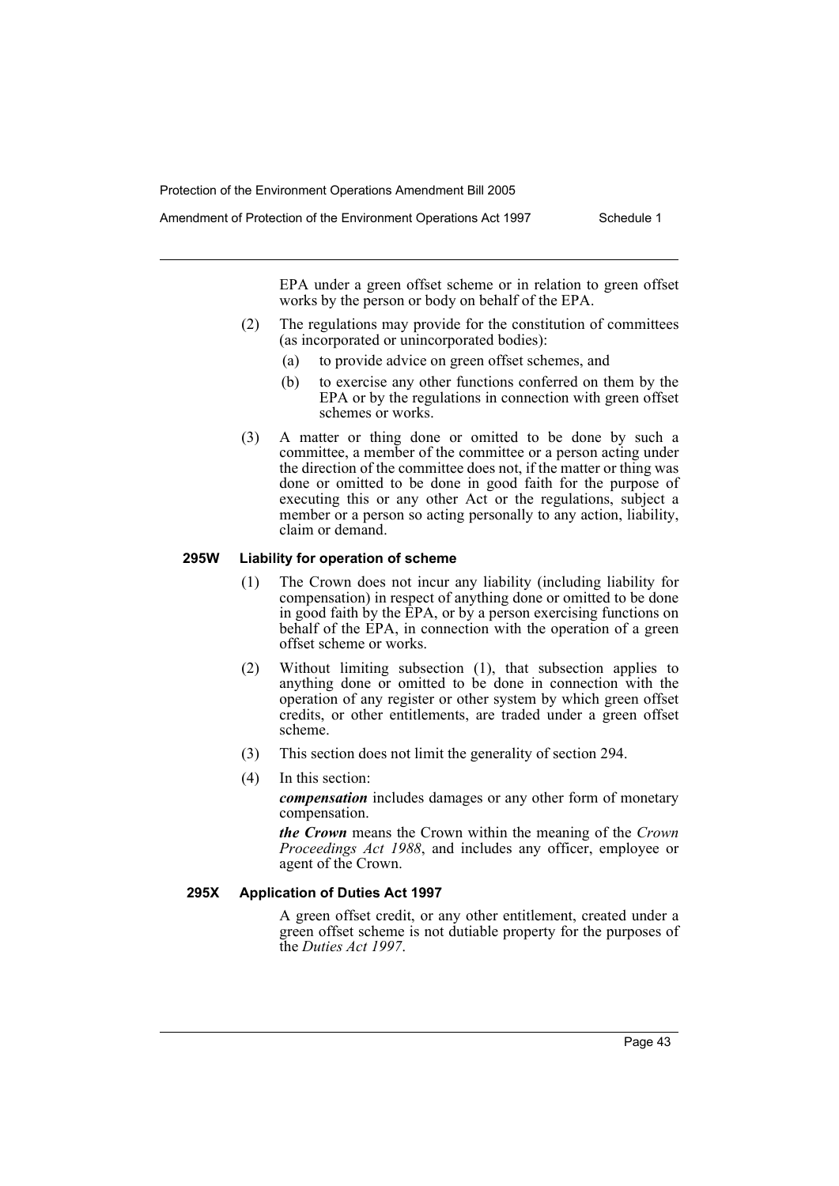Amendment of Protection of the Environment Operations Act 1997 Schedule 1

EPA under a green offset scheme or in relation to green offset works by the person or body on behalf of the EPA.

- (2) The regulations may provide for the constitution of committees (as incorporated or unincorporated bodies):
	- (a) to provide advice on green offset schemes, and
	- (b) to exercise any other functions conferred on them by the EPA or by the regulations in connection with green offset schemes or works.
- (3) A matter or thing done or omitted to be done by such a committee, a member of the committee or a person acting under the direction of the committee does not, if the matter or thing was done or omitted to be done in good faith for the purpose of executing this or any other Act or the regulations, subject a member or a person so acting personally to any action, liability, claim or demand.

## **295W Liability for operation of scheme**

- (1) The Crown does not incur any liability (including liability for compensation) in respect of anything done or omitted to be done in good faith by the EPA, or by a person exercising functions on behalf of the EPA, in connection with the operation of a green offset scheme or works.
- (2) Without limiting subsection (1), that subsection applies to anything done or omitted to be done in connection with the operation of any register or other system by which green offset credits, or other entitlements, are traded under a green offset scheme.
- (3) This section does not limit the generality of section 294.
- (4) In this section:

*compensation* includes damages or any other form of monetary compensation.

*the Crown* means the Crown within the meaning of the *Crown Proceedings Act 1988*, and includes any officer, employee or agent of the Crown.

## **295X Application of Duties Act 1997**

A green offset credit, or any other entitlement, created under a green offset scheme is not dutiable property for the purposes of the *Duties Act 1997*.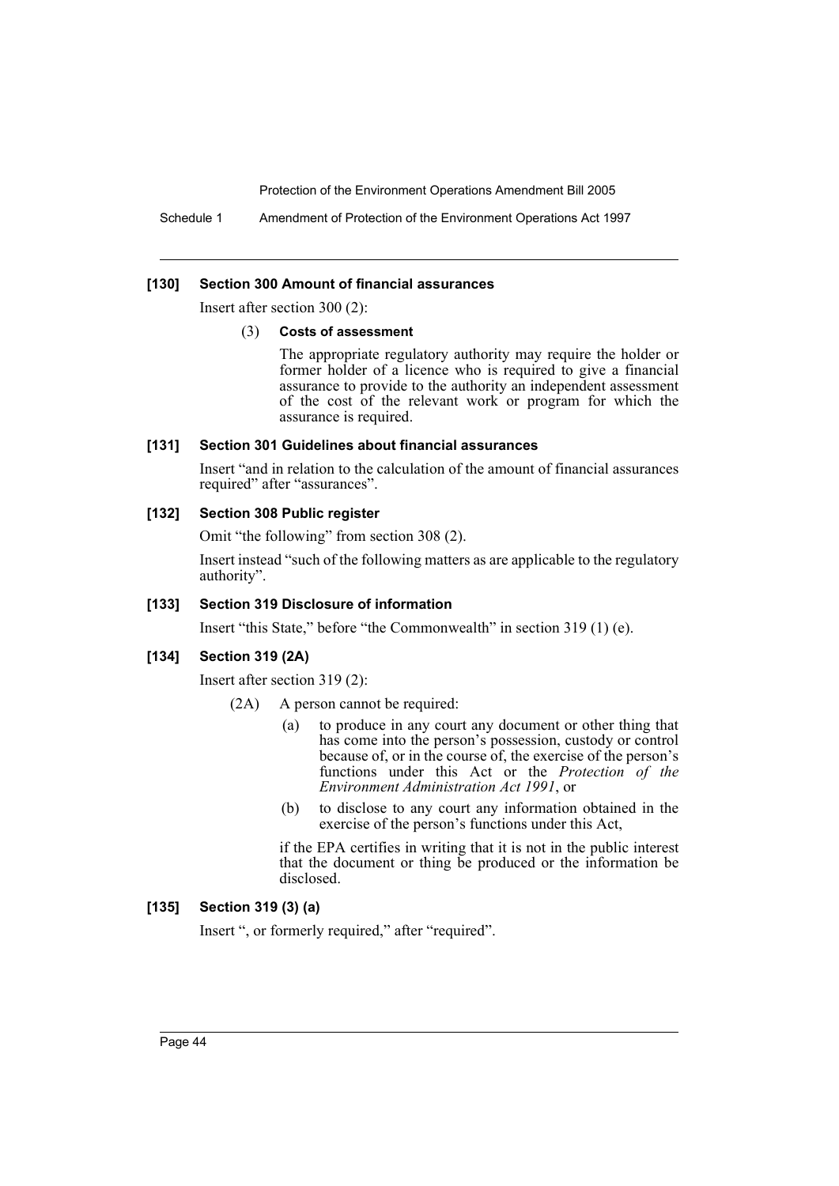Schedule 1 Amendment of Protection of the Environment Operations Act 1997

## **[130] Section 300 Amount of financial assurances**

Insert after section 300 (2):

#### (3) **Costs of assessment**

The appropriate regulatory authority may require the holder or former holder of a licence who is required to give a financial assurance to provide to the authority an independent assessment of the cost of the relevant work or program for which the assurance is required.

#### **[131] Section 301 Guidelines about financial assurances**

Insert "and in relation to the calculation of the amount of financial assurances required" after "assurances".

## **[132] Section 308 Public register**

Omit "the following" from section 308 (2).

Insert instead "such of the following matters as are applicable to the regulatory authority".

#### **[133] Section 319 Disclosure of information**

Insert "this State," before "the Commonwealth" in section 319 (1) (e).

#### **[134] Section 319 (2A)**

Insert after section 319 (2):

- (2A) A person cannot be required:
	- (a) to produce in any court any document or other thing that has come into the person's possession, custody or control because of, or in the course of, the exercise of the person's functions under this Act or the *Protection of the Environment Administration Act 1991*, or
	- (b) to disclose to any court any information obtained in the exercise of the person's functions under this Act,

if the EPA certifies in writing that it is not in the public interest that the document or thing be produced or the information be disclosed.

## **[135] Section 319 (3) (a)**

Insert ", or formerly required," after "required".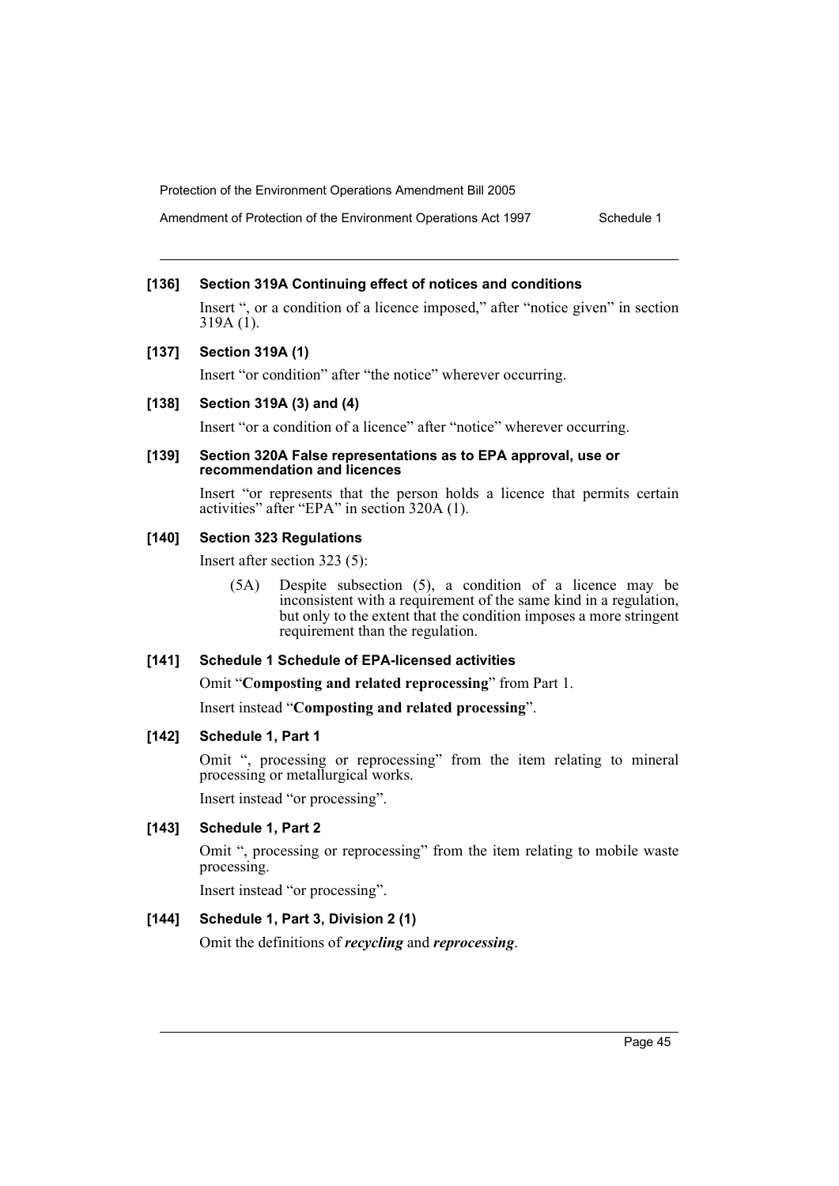Amendment of Protection of the Environment Operations Act 1997 Schedule 1

## **[136] Section 319A Continuing effect of notices and conditions**

Insert ", or a condition of a licence imposed," after "notice given" in section 319A $(i)$ .

## **[137] Section 319A (1)**

Insert "or condition" after "the notice" wherever occurring.

## **[138] Section 319A (3) and (4)**

Insert "or a condition of a licence" after "notice" wherever occurring.

#### **[139] Section 320A False representations as to EPA approval, use or recommendation and licences**

Insert "or represents that the person holds a licence that permits certain activities" after "EPA" in section 320A (1).

## **[140] Section 323 Regulations**

Insert after section 323 (5):

(5A) Despite subsection (5), a condition of a licence may be inconsistent with a requirement of the same kind in a regulation, but only to the extent that the condition imposes a more stringent requirement than the regulation.

## **[141] Schedule 1 Schedule of EPA-licensed activities**

Omit "**Composting and related reprocessing**" from Part 1.

Insert instead "**Composting and related processing**".

## **[142] Schedule 1, Part 1**

Omit ", processing or reprocessing" from the item relating to mineral processing or metallurgical works.

Insert instead "or processing".

## **[143] Schedule 1, Part 2**

Omit ", processing or reprocessing" from the item relating to mobile waste processing.

Insert instead "or processing".

## **[144] Schedule 1, Part 3, Division 2 (1)**

Omit the definitions of *recycling* and *reprocessing*.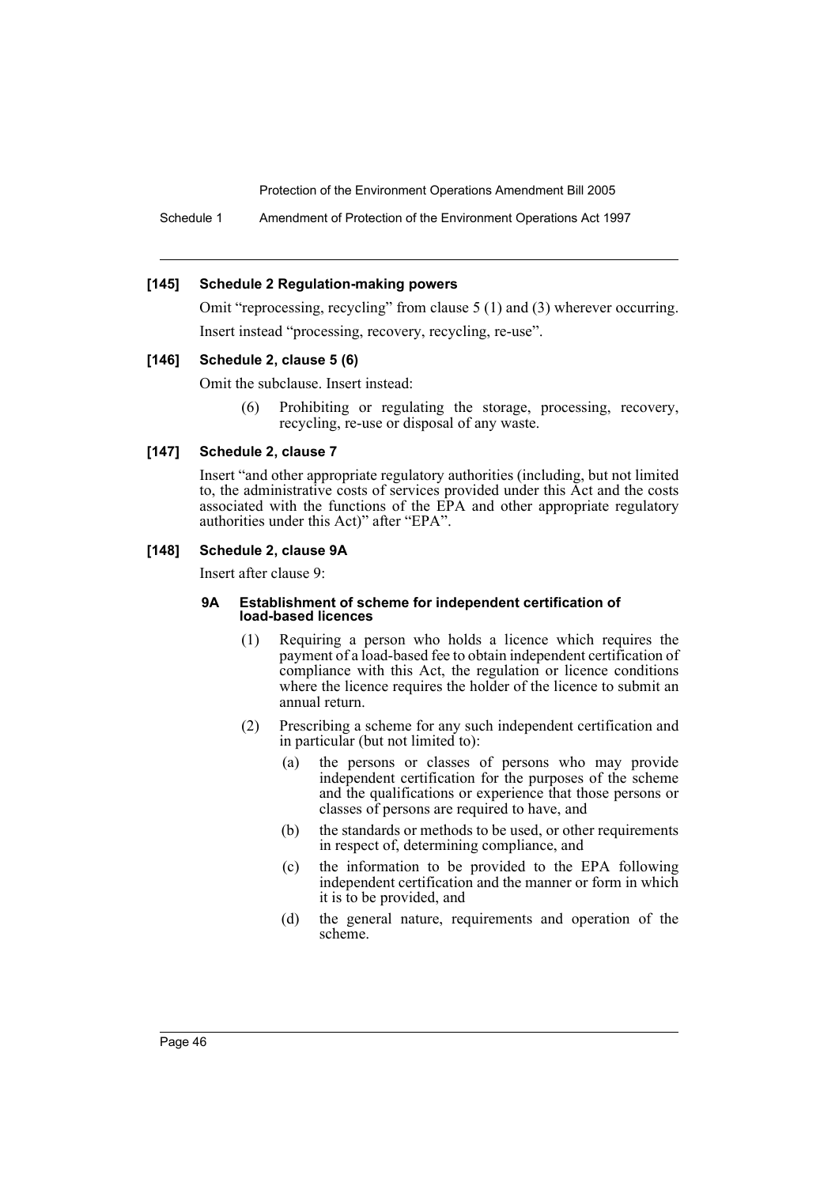Schedule 1 Amendment of Protection of the Environment Operations Act 1997

#### **[145] Schedule 2 Regulation-making powers**

Omit "reprocessing, recycling" from clause 5 (1) and (3) wherever occurring. Insert instead "processing, recovery, recycling, re-use".

#### **[146] Schedule 2, clause 5 (6)**

Omit the subclause. Insert instead:

(6) Prohibiting or regulating the storage, processing, recovery, recycling, re-use or disposal of any waste.

## **[147] Schedule 2, clause 7**

Insert "and other appropriate regulatory authorities (including, but not limited to, the administrative costs of services provided under this Act and the costs associated with the functions of the EPA and other appropriate regulatory authorities under this Act)" after "EPA".

## **[148] Schedule 2, clause 9A**

Insert after clause 9:

#### **9A Establishment of scheme for independent certification of load-based licences**

- (1) Requiring a person who holds a licence which requires the payment of a load-based fee to obtain independent certification of compliance with this Act, the regulation or licence conditions where the licence requires the holder of the licence to submit an annual return.
- (2) Prescribing a scheme for any such independent certification and in particular (but not limited to):
	- (a) the persons or classes of persons who may provide independent certification for the purposes of the scheme and the qualifications or experience that those persons or classes of persons are required to have, and
	- (b) the standards or methods to be used, or other requirements in respect of, determining compliance, and
	- (c) the information to be provided to the EPA following independent certification and the manner or form in which it is to be provided, and
	- (d) the general nature, requirements and operation of the scheme.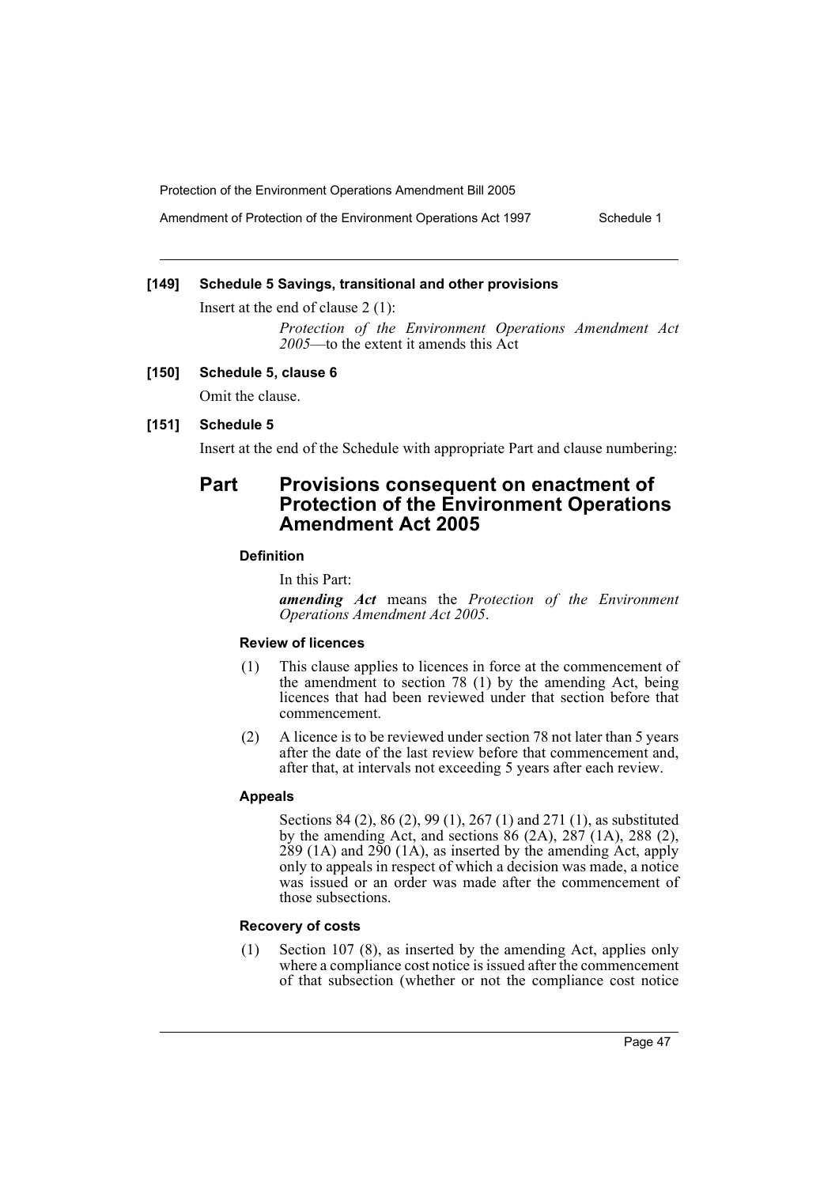Amendment of Protection of the Environment Operations Act 1997 Schedule 1

## **[149] Schedule 5 Savings, transitional and other provisions**

Insert at the end of clause 2 (1):

*Protection of the Environment Operations Amendment Act* 2005—to the extent it amends this Act

## **[150] Schedule 5, clause 6**

Omit the clause.

## **[151] Schedule 5**

Insert at the end of the Schedule with appropriate Part and clause numbering:

## **Part Provisions consequent on enactment of Protection of the Environment Operations Amendment Act 2005**

## **Definition**

In this Part:

*amending Act* means the *Protection of the Environment Operations Amendment Act 2005*.

## **Review of licences**

- (1) This clause applies to licences in force at the commencement of the amendment to section 78 (1) by the amending Act, being licences that had been reviewed under that section before that commencement.
- (2) A licence is to be reviewed under section 78 not later than 5 years after the date of the last review before that commencement and, after that, at intervals not exceeding 5 years after each review.

#### **Appeals**

Sections 84 (2), 86 (2), 99 (1), 267 (1) and 271 (1), as substituted by the amending Act, and sections  $86$  (2A),  $287$  (1A), 288 (2),  $289$  (1A) and  $290$  (1A), as inserted by the amending Act, apply only to appeals in respect of which a decision was made, a notice was issued or an order was made after the commencement of those subsections.

## **Recovery of costs**

(1) Section 107 (8), as inserted by the amending Act, applies only where a compliance cost notice is issued after the commencement of that subsection (whether or not the compliance cost notice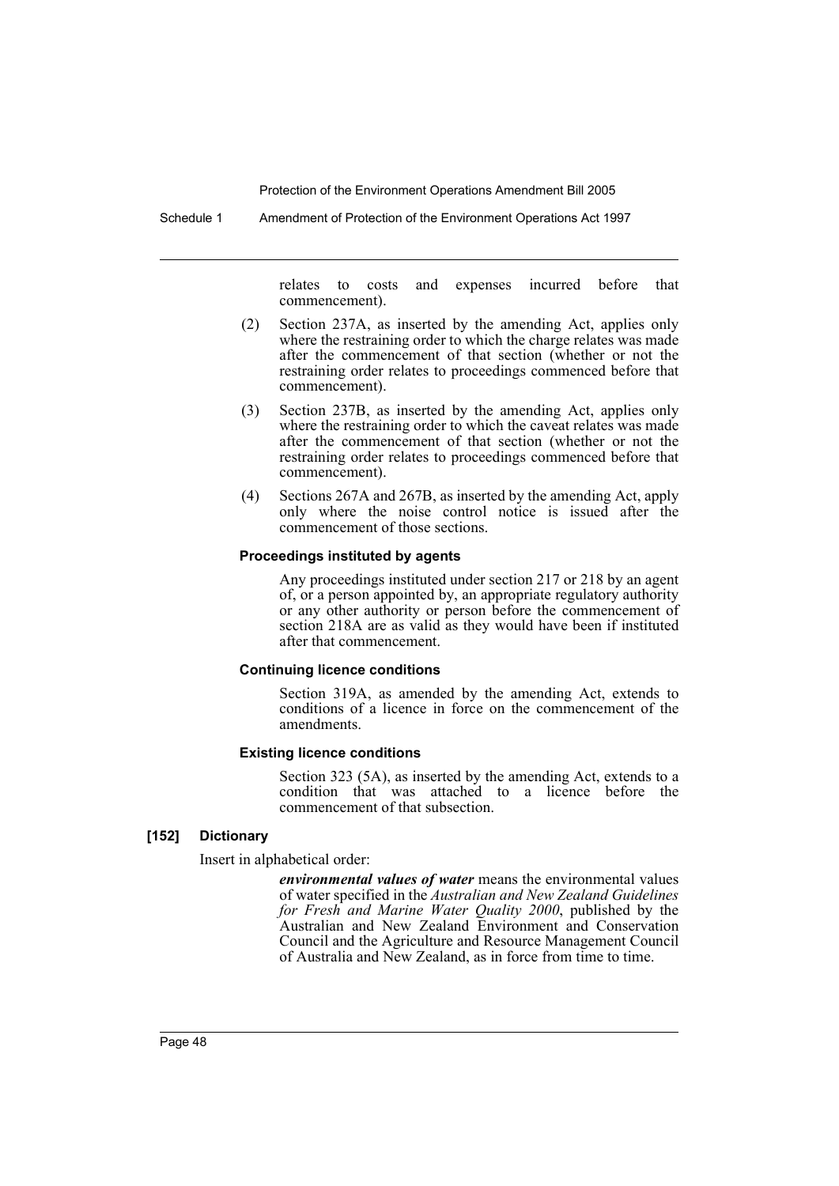Schedule 1 Amendment of Protection of the Environment Operations Act 1997

relates to costs and expenses incurred before that commencement).

- (2) Section 237A, as inserted by the amending Act, applies only where the restraining order to which the charge relates was made after the commencement of that section (whether or not the restraining order relates to proceedings commenced before that commencement).
- (3) Section 237B, as inserted by the amending Act, applies only where the restraining order to which the caveat relates was made after the commencement of that section (whether or not the restraining order relates to proceedings commenced before that commencement).
- (4) Sections 267A and 267B, as inserted by the amending Act, apply only where the noise control notice is issued after the commencement of those sections.

#### **Proceedings instituted by agents**

Any proceedings instituted under section 217 or 218 by an agent of, or a person appointed by, an appropriate regulatory authority or any other authority or person before the commencement of section 218A are as valid as they would have been if instituted after that commencement.

#### **Continuing licence conditions**

Section 319A, as amended by the amending Act, extends to conditions of a licence in force on the commencement of the amendments.

#### **Existing licence conditions**

Section 323 (5A), as inserted by the amending Act, extends to a condition that was attached to a licence before the commencement of that subsection.

#### **[152] Dictionary**

Insert in alphabetical order:

*environmental values of water* means the environmental values of water specified in the *Australian and New Zealand Guidelines for Fresh and Marine Water Quality 2000*, published by the Australian and New Zealand Environment and Conservation Council and the Agriculture and Resource Management Council of Australia and New Zealand, as in force from time to time.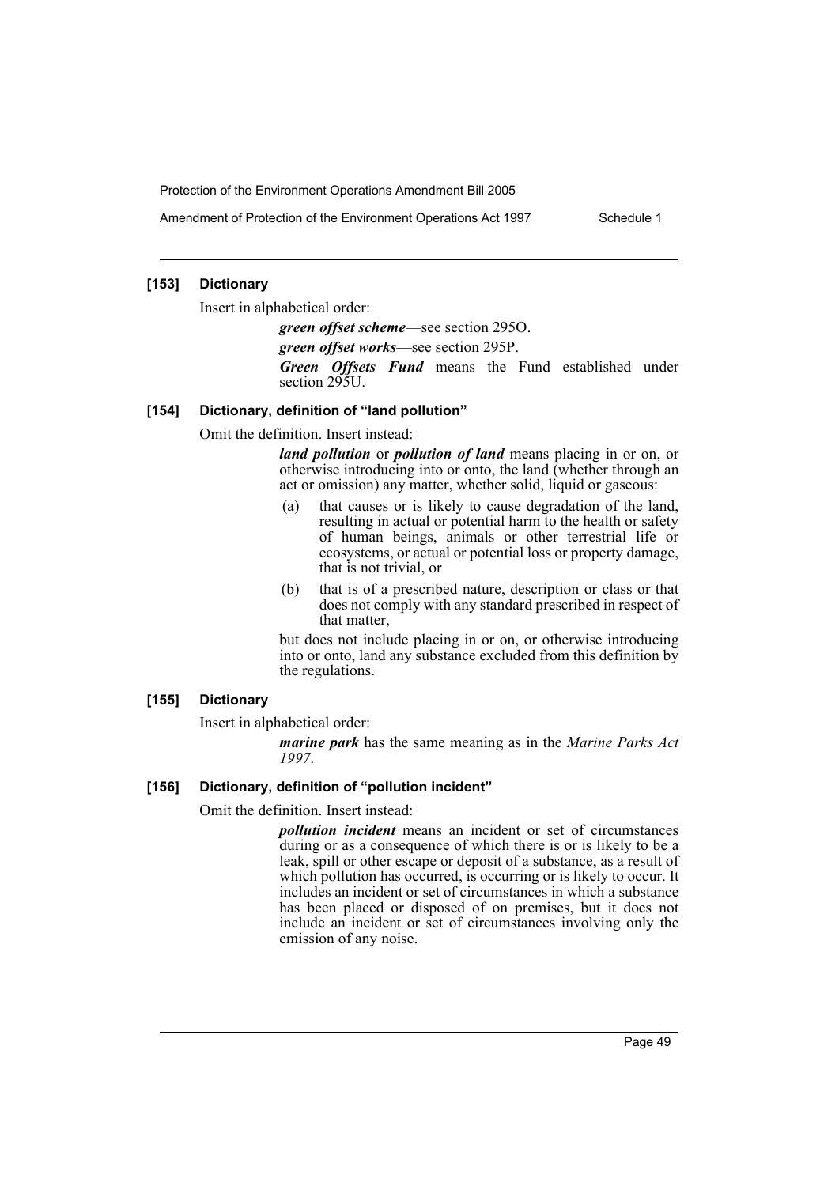Amendment of Protection of the Environment Operations Act 1997 Schedule 1

## **[153] Dictionary**

Insert in alphabetical order:

*green offset scheme*—see section 295O.

*green offset works*—see section 295P.

*Green Offsets Fund* means the Fund established under section 295U.

#### **[154] Dictionary, definition of "land pollution"**

Omit the definition. Insert instead:

*land pollution* or *pollution of land* means placing in or on, or otherwise introducing into or onto, the land (whether through an act or omission) any matter, whether solid, liquid or gaseous:

- (a) that causes or is likely to cause degradation of the land, resulting in actual or potential harm to the health or safety of human beings, animals or other terrestrial life or ecosystems, or actual or potential loss or property damage, that is not trivial, or
- (b) that is of a prescribed nature, description or class or that does not comply with any standard prescribed in respect of that matter,

but does not include placing in or on, or otherwise introducing into or onto, land any substance excluded from this definition by the regulations.

## **[155] Dictionary**

Insert in alphabetical order:

*marine park* has the same meaning as in the *Marine Parks Act 1997*.

## **[156] Dictionary, definition of "pollution incident"**

Omit the definition. Insert instead:

*pollution incident* means an incident or set of circumstances during or as a consequence of which there is or is likely to be a leak, spill or other escape or deposit of a substance, as a result of which pollution has occurred, is occurring or is likely to occur. It includes an incident or set of circumstances in which a substance has been placed or disposed of on premises, but it does not include an incident or set of circumstances involving only the emission of any noise.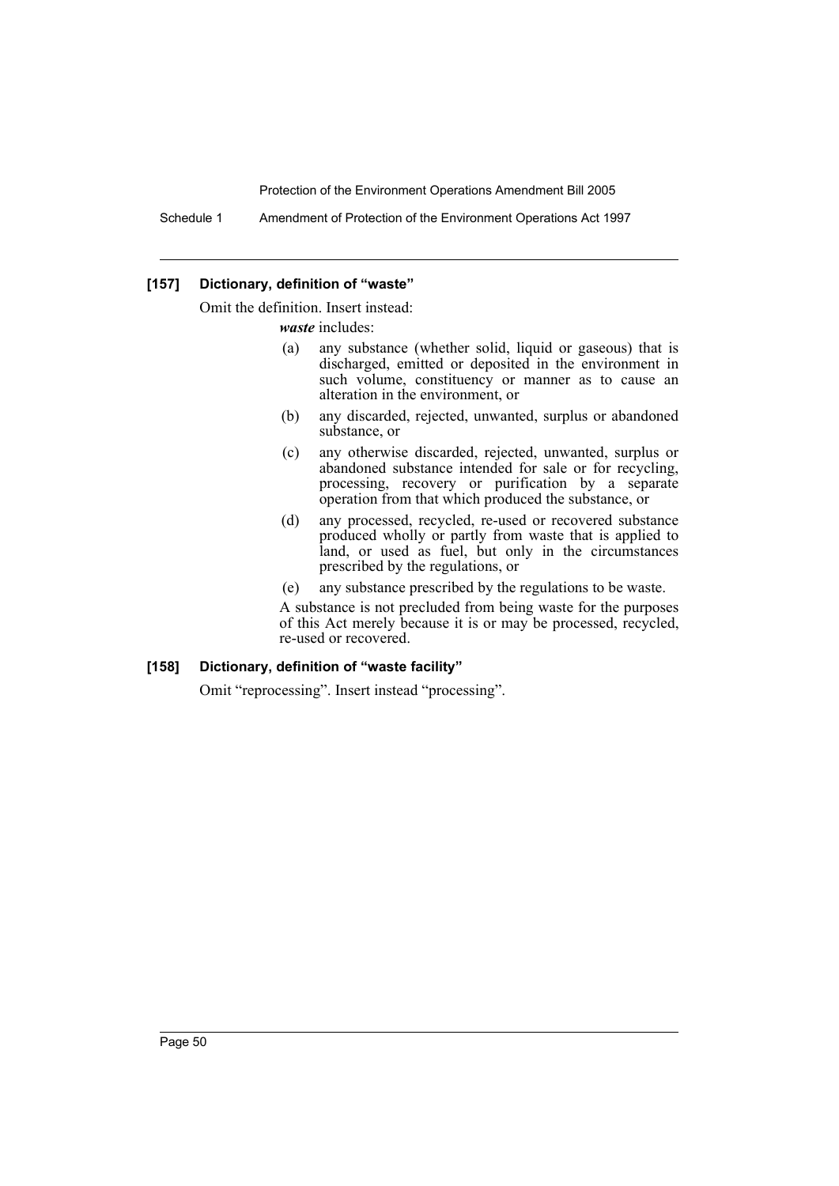Schedule 1 Amendment of Protection of the Environment Operations Act 1997

#### **[157] Dictionary, definition of "waste"**

Omit the definition. Insert instead:

*waste* includes:

- (a) any substance (whether solid, liquid or gaseous) that is discharged, emitted or deposited in the environment in such volume, constituency or manner as to cause an alteration in the environment, or
- (b) any discarded, rejected, unwanted, surplus or abandoned substance, or
- (c) any otherwise discarded, rejected, unwanted, surplus or abandoned substance intended for sale or for recycling, processing, recovery or purification by a separate operation from that which produced the substance, or
- (d) any processed, recycled, re-used or recovered substance produced wholly or partly from waste that is applied to land, or used as fuel, but only in the circumstances prescribed by the regulations, or
- (e) any substance prescribed by the regulations to be waste.

A substance is not precluded from being waste for the purposes of this Act merely because it is or may be processed, recycled, re-used or recovered.

#### **[158] Dictionary, definition of "waste facility"**

Omit "reprocessing". Insert instead "processing".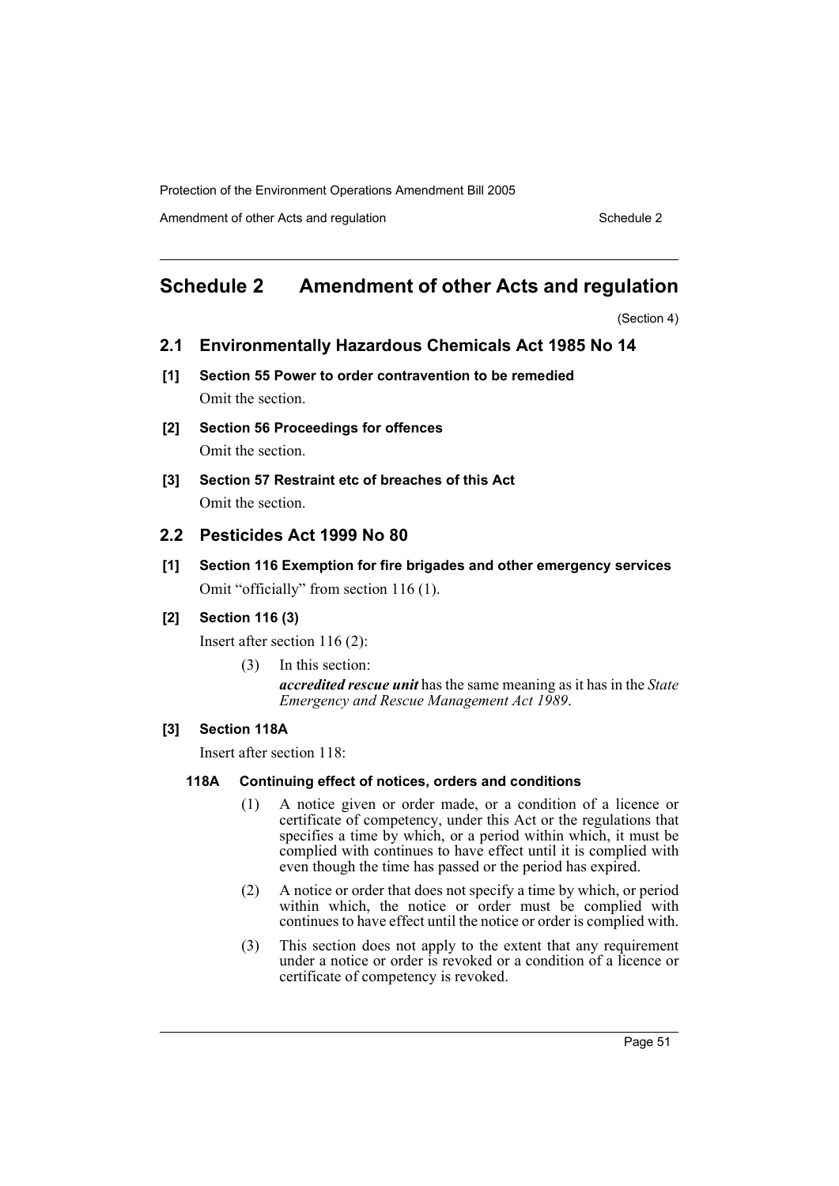Amendment of other Acts and regulation Schedule 2

## **Schedule 2 Amendment of other Acts and regulation**

(Section 4)

- **2.1 Environmentally Hazardous Chemicals Act 1985 No 14**
- **[1] Section 55 Power to order contravention to be remedied** Omit the section.
- **[2] Section 56 Proceedings for offences** Omit the section.
- **[3] Section 57 Restraint etc of breaches of this Act** Omit the section.

## **2.2 Pesticides Act 1999 No 80**

**[1] Section 116 Exemption for fire brigades and other emergency services** Omit "officially" from section 116 (1).

## **[2] Section 116 (3)**

Insert after section 116 (2):

(3) In this section: *accredited rescue unit* has the same meaning as it has in the *State Emergency and Rescue Management Act 1989*.

## **[3] Section 118A**

Insert after section 118:

## **118A Continuing effect of notices, orders and conditions**

- (1) A notice given or order made, or a condition of a licence or certificate of competency, under this Act or the regulations that specifies a time by which, or a period within which, it must be complied with continues to have effect until it is complied with even though the time has passed or the period has expired.
- (2) A notice or order that does not specify a time by which, or period within which, the notice or order must be complied with continues to have effect until the notice or order is complied with.
- (3) This section does not apply to the extent that any requirement under a notice or order is revoked or a condition of a licence or certificate of competency is revoked.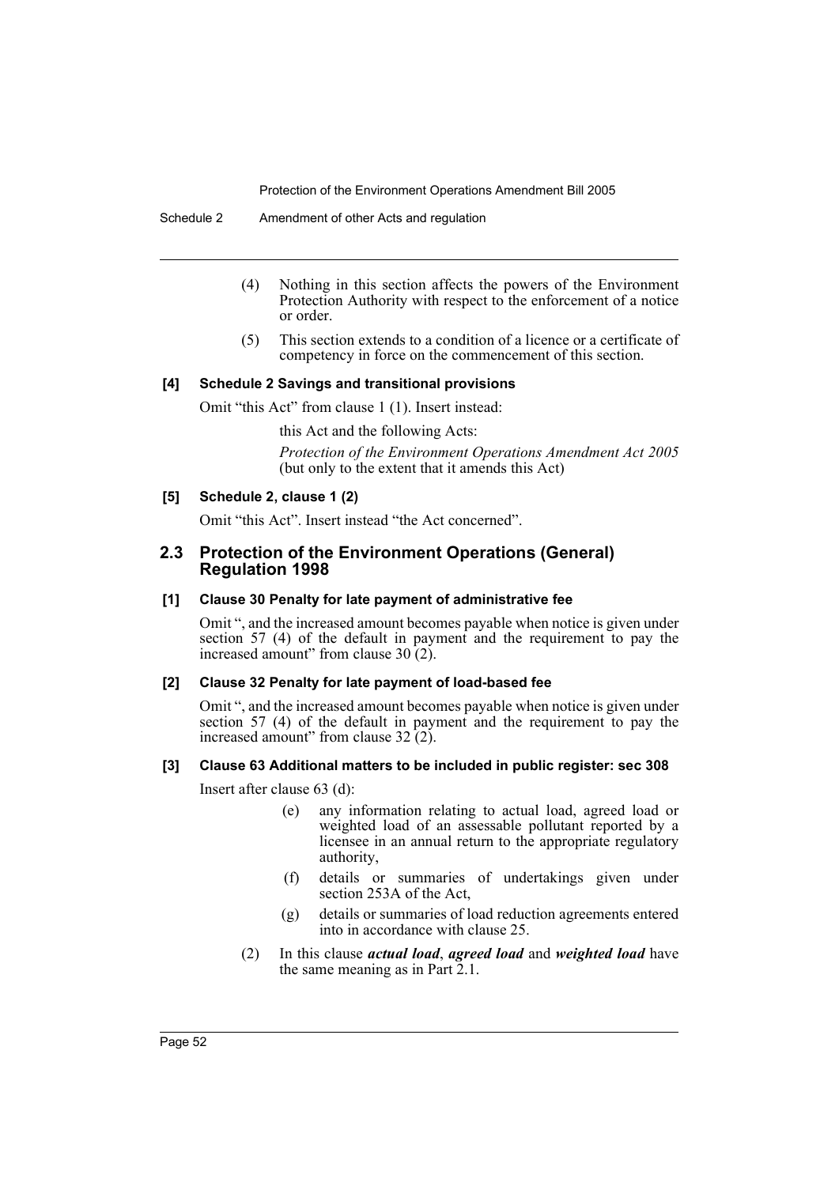- (4) Nothing in this section affects the powers of the Environment Protection Authority with respect to the enforcement of a notice or order.
- (5) This section extends to a condition of a licence or a certificate of competency in force on the commencement of this section.

#### **[4] Schedule 2 Savings and transitional provisions**

Omit "this Act" from clause 1 (1). Insert instead:

this Act and the following Acts:

*Protection of the Environment Operations Amendment Act 2005* (but only to the extent that it amends this Act)

#### **[5] Schedule 2, clause 1 (2)**

Omit "this Act". Insert instead "the Act concerned".

## **2.3 Protection of the Environment Operations (General) Regulation 1998**

#### **[1] Clause 30 Penalty for late payment of administrative fee**

Omit ", and the increased amount becomes payable when notice is given under section 57 (4) of the default in payment and the requirement to pay the increased amount" from clause  $30(2)$ .

#### **[2] Clause 32 Penalty for late payment of load-based fee**

Omit ", and the increased amount becomes payable when notice is given under section 57 (4) of the default in payment and the requirement to pay the increased amount" from clause  $32(2)$ .

## **[3] Clause 63 Additional matters to be included in public register: sec 308**

Insert after clause 63 (d):

- (e) any information relating to actual load, agreed load or weighted load of an assessable pollutant reported by a licensee in an annual return to the appropriate regulatory authority,
- (f) details or summaries of undertakings given under section 253A of the Act,
- (g) details or summaries of load reduction agreements entered into in accordance with clause 25.
- (2) In this clause *actual load*, *agreed load* and *weighted load* have the same meaning as in Part  $2.1$ .